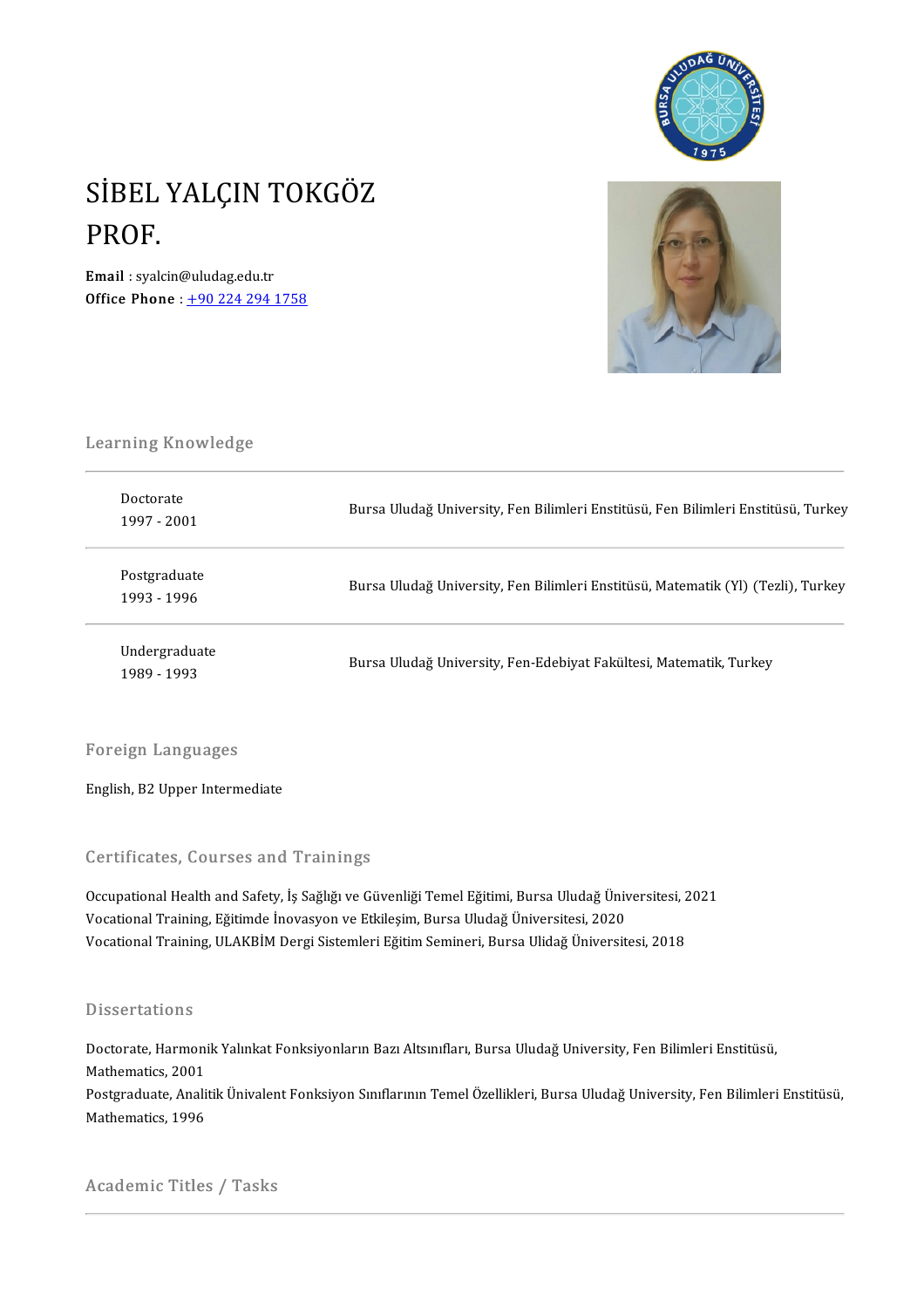

# SİBEL YALÇIN TOKGÖZ<br>PROF SİBEL<br>PROF.<br><sub>Email i sval</sub> Email : syalcin@uludag.edu.tr

Office Phone:  $\frac{+902242941758}{ }$  $\frac{+902242941758}{ }$  $\frac{+902242941758}{ }$ 



# Learning Knowledge<br>Learning Knowledge

| earning Knowledge.           |                                                                                   |
|------------------------------|-----------------------------------------------------------------------------------|
| Doctorate<br>1997 - 2001     | Bursa Uludağ University, Fen Bilimleri Enstitüsü, Fen Bilimleri Enstitüsü, Turkey |
| Postgraduate<br>1993 - 1996  | Bursa Uludağ University, Fen Bilimleri Enstitüsü, Matematik (Yl) (Tezli), Turkey  |
| Undergraduate<br>1989 - 1993 | Bursa Uludağ University, Fen-Edebiyat Fakültesi, Matematik, Turkey                |

### Foreign Languages

English, B2 Upper Intermediate

### Certificates, Courses and Trainings

Certificates, Courses and Trainings<br>Occupational Health and Safety, İş Sağlığı ve Güvenliği Temel Eğitimi, Bursa Uludağ Üniversitesi, 2021<br>Vesstional Training, Fğitimda İnayasyon ve Etkilesim, Bursa Uludağ Üniversitesi, 20 Vor enreaces, Godroes and Trammgs<br>Occupational Health and Safety, İş Sağlığı ve Güvenliği Temel Eğitimi, Bursa Uludağ Üniv<br>Vocational Training, Eğitimde İnovasyon ve Etkileşim, Bursa Uludağ Üniversitesi, 2020<br>Vocational Tr Occupational Health and Safety, İş Sağlığı ve Güvenliği Temel Eğitimi, Bursa Uludağ Üniversitesi, 2<br>Vocational Training, Eğitimde İnovasyon ve Etkileşim, Bursa Uludağ Üniversitesi, 2020<br>Vocational Training, ULAKBİM Dergi S Vocational Training, ULAKBİM Dergi Sistemleri Eğitim Semineri, Bursa Ulidağ Üniversitesi, 2018<br>Dissertations

Dissertations<br>Doctorate, Harmonik Yalınkat Fonksiyonların Bazı Altsınıfları, Bursa Uludağ University, Fen Bilimleri Enstitüsü,<br>Mathematics 2001 *Basson decreme*<br>Doctorate, Harmoni<br>Mathematics, 2001<br>Restanaduate, Anali Mathematics, 2001<br>Postgraduate, Analitik Ünivalent Fonksiyon Sınıflarının Temel Özellikleri, Bursa Uludağ University, Fen Bilimleri Enstitüsü, Mathematics,1996

Academic Titles / Tasks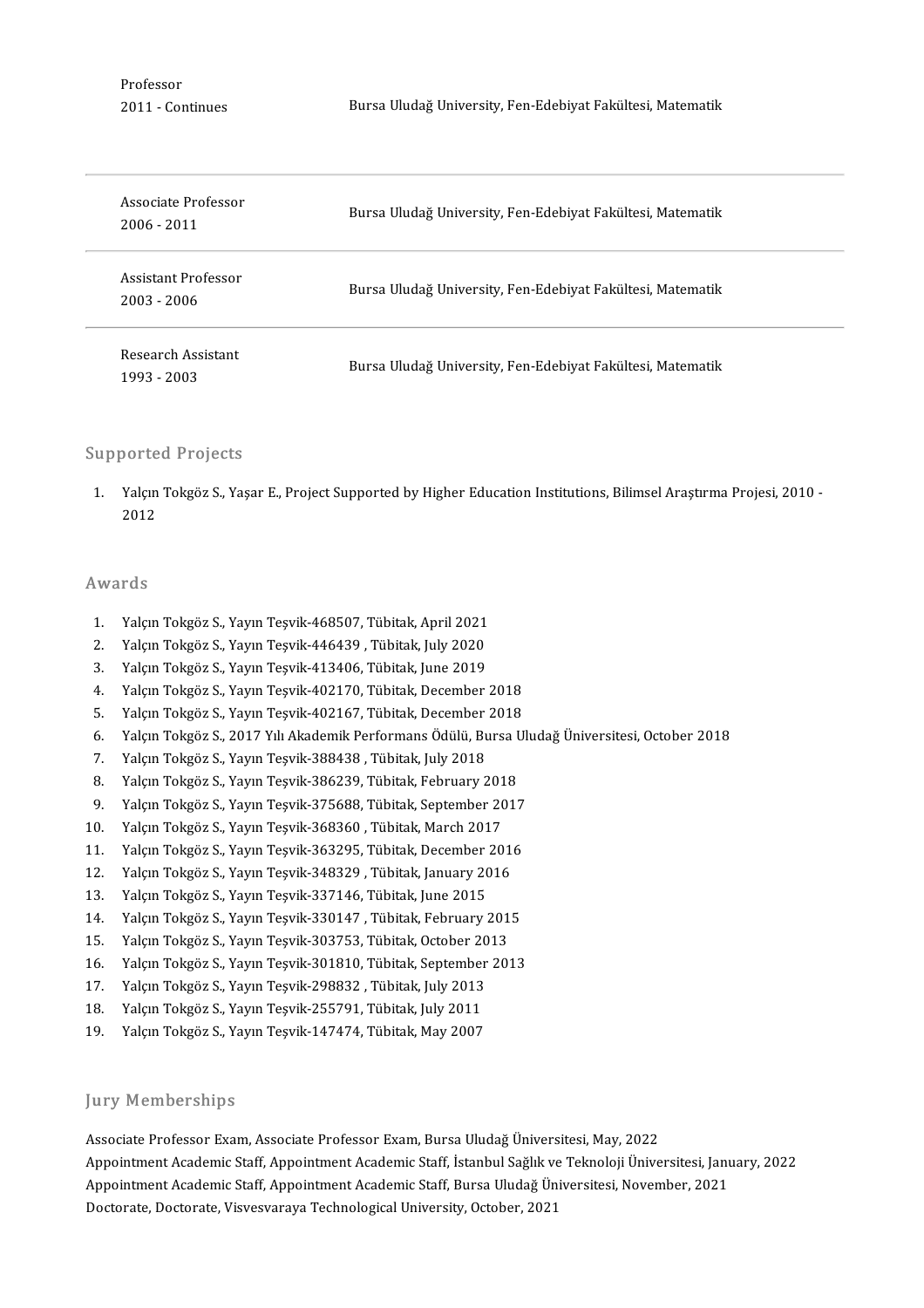Professor<br>2011 - Continues

| Associate Professor<br>2006 - 2011 | Bursa Uludağ University, Fen-Edebiyat Fakültesi, Matematik |
|------------------------------------|------------------------------------------------------------|
| Assistant Professor<br>2003 - 2006 | Bursa Uludağ University, Fen-Edebiyat Fakültesi, Matematik |
| Research Assistant<br>1993 - 2003  | Bursa Uludağ University, Fen-Edebiyat Fakültesi, Matematik |

### Supported Projects

'upported Projects<br>1. Yalçın Tokgöz S., Yaşar E., Project Supported by Higher Education Institutions, Bilimsel Araştırma Projesi, 2010 -<br>2012 yoree<br>Yalçın<br>2012 2012<br>Awards

- 1. Yalçın Tokgöz S., Yayın Teşvik-468507, Tübitak, April 2021<br>1. Yalçın Tokgöz S., Yayın Teşvik-468507, Tübitak, April 2021<br>2. Yalsın Tokgöz S., Yayın Teşvik 446439, Tübitak, July 2020
- 2. Yalçın Tokgöz S., Yayın Teşvik-468507, Tübitak, April 2021<br>2. Yalçın Tokgöz S., Yayın Teşvik-446439 , Tübitak, July 2020<br>2. Yalsın Tokgöz S. Yayın Teşvik-446439 , Tübitak, July 2020
- 3. Yalçın Tokgöz S., Yayın Teşvik-468507, Tübitak, April 2021<br>3. Yalçın Tokgöz S., Yayın Teşvik-446439 , Tübitak, July 2020<br>3. Yalçın Tokgöz S., Yayın Teşvik-413406, Tübitak, June 2019
- 2. Yalçın Tokgöz S., Yayın Teşvik-446439 , Tübitak, July 2020<br>3. Yalçın Tokgöz S., Yayın Teşvik-413406, Tübitak, June 2019<br>4. Yalçın Tokgöz S., Yayın Teşvik-402170, Tübitak, December 2018<br>5. Yalçın Tokgöz S. Yayın Teşvik 4 3. Yalçın Tokgöz S., Yayın Teşvik-413406, Tübitak, June 2019<br>4. Yalçın Tokgöz S., Yayın Teşvik-402170, Tübitak, December 2018<br>5. Yalçın Tokgöz S., Yayın Teşvik-402167, Tübitak, December 2018<br>6. Yalçın Tokgöz S. 2017 Yılı A
- 
- 4. Yalçın Tokgöz S., Yayın Teşvik-402170, Tübitak, December 2018<br>5. Yalçın Tokgöz S., Yayın Teşvik-402167, Tübitak, December 2018<br>6. Yalçın Tokgöz S., 2017 Yılı Akademik Performans Ödülü, Bursa Uludağ Üniversitesi, October 5. Yalçın Tokgöz S., Yayın Teşvik-402167, Tübitak, December 2018<br>6. Yalçın Tokgöz S., 2017 Yılı Akademik Performans Ödülü, Bursa U<br>7. Yalçın Tokgöz S., Yayın Teşvik-388438 , Tübitak, July 2018<br>8. Yalcın Tokgöz S., Yayın Te 8. Yalçın Tokgöz S., 2017 Yılı Akademik Performans Ödülü, Bursa U.<br>1. Yalçın Tokgöz S., Yayın Teşvik-388438 , Tübitak, July 2018<br>8. Yalçın Tokgöz S., Yayın Teşvik-386239, Tübitak, February 2018<br>9. Yalçın Tokgöz S. Yayın Te
- 
- 
- 7. Yalçın Tokgöz S., Yayın Teşvik-388438 , Tübitak, July 2018<br>8. Yalçın Tokgöz S., Yayın Teşvik-386239, Tübitak, February 2018<br>9. Yalçın Tokgöz S., Yayın Teşvik-375688, Tübitak, September 2017<br>9. Yalçın Tokgöz S. Yayın Teş 10. Yalçın Tokgöz S., Yayın Teşvik-386239, Tübitak, February 2018<br>10. Yalçın Tokgöz S., Yayın Teşvik-375688, Tübitak, September 2017<br>10. Yalçın Tokgöz S., Yayın Teşvik-368360, Tübitak, March 2017<br>11. Yalçın Tokgöz S., Yayı 9. Yalçın Tokgöz S., Yayın Teşvik-375688, Tübitak, September 2017<br>10. Yalçın Tokgöz S., Yayın Teşvik-368360 , Tübitak, March 2017<br>11. Yalçın Tokgöz S., Yayın Teşvik-363295, Tübitak, December 2016
- 
- 10. Yalçın Tokgöz S., Yayın Teşvik-368360 , Tübitak, March 2017<br>11. Yalçın Tokgöz S., Yayın Teşvik-363295, Tübitak, December 201<br>12. Yalçın Tokgöz S., Yayın Teşvik-348329 , Tübitak, January 2016<br>13. Yalçın Tokgöz S., Yayın
- 11. Yalçın Tokgöz S., Yayın Teşvik-363295, Tübitak, December<br>12. Yalçın Tokgöz S., Yayın Teşvik-348329, Tübitak, January 20<br>13. Yalçın Tokgöz S., Yayın Teşvik-337146, Tübitak, June 2015
- 
- 12. Yalçın Tokgöz S., Yayın Teşvik-348329 , Tübitak, January 2016<br>13. Yalçın Tokgöz S., Yayın Teşvik-337146, Tübitak, June 2015<br>14. Yalçın Tokgöz S., Yayın Teşvik-330147 , Tübitak, February 2015<br>15. Yalçın Tokgöz S. Yayın 13. Yalçın Tokgöz S., Yayın Teşvik-337146, Tübitak, June 2015<br>14. Yalçın Tokgöz S., Yayın Teşvik-330147 , Tübitak, February 201<br>15. Yalçın Tokgöz S., Yayın Teşvik-303753, Tübitak, October 2013<br>16. Yalçın Tokgöz S., Yayın T
- 
- 14. Yalçın Tokgöz S., Yayın Teşvik-330147 , Tübitak, February 2015<br>15. Yalçın Tokgöz S., Yayın Teşvik-303753, Tübitak, October 2013<br>16. Yalçın Tokgöz S., Yayın Teşvik-301810, Tübitak, September 2013<br>17. Yalçın Tokgöz S. Ya 15. Yalçın Tokgöz S., Yayın Teşvik-303753, Tübitak, October 2013<br>16. Yalçın Tokgöz S., Yayın Teşvik-301810, Tübitak, September 2013<br>17. Yalçın Tokgöz S., Yayın Teşvik-298832 , Tübitak, July 2013<br>18. Yalçın Tokgöz S., Yayın
- 
- 16. Yalçın Tokgöz S., Yayın Teşvik-301810, Tübitak, September<br>17. Yalçın Tokgöz S., Yayın Teşvik-298832 , Tübitak, July 2013<br>18. Yalçın Tokgöz S., Yayın Teşvik-255791, Tübitak, July 2011<br>19. Yalçın Tokgöz S., Yayın Teşvik 17. Yalçın Tokgöz S., Yayın Teşvik-298832 , Tübitak, July 2013<br>18. Yalçın Tokgöz S., Yayın Teşvik-255791, Tübitak, July 2011<br>19. Yalçın Tokgöz S., Yayın Teşvik-147474, Tübitak, May 2007
- 19. Yalçın Tokgöz S., Yayın Teşvik-147474, Tübitak, May 2007<br>Jury Memberships

Associate Professor Exam, Associate Professor Exam, Bursa Uludağ Üniversitesi, May, 2022 Jury Trembersmps<br>Associate Professor Exam, Associate Professor Exam, Bursa Uludağ Üniversitesi, May, 2022<br>Appointment Academic Staff, Appointment Academic Staff, İstanbul Sağlık ve Teknoloji Üniversitesi, January, 2022 Associate Professor Exam, Associate Professor Exam, Bursa Uludağ Üniversitesi, May, 2022<br>Appointment Academic Staff, Appointment Academic Staff, İstanbul Sağlık ve Teknoloji Üniversitesi, Janu<br>Appointment Academic Staff, A Appointment Academic Staff, Appointment Academic Staff, İstanbul Sağlık ve<br>Appointment Academic Staff, Appointment Academic Staff, Bursa Uludağ Ün<br>Doctorate, Doctorate, Visvesvaraya Technological University, October, 2021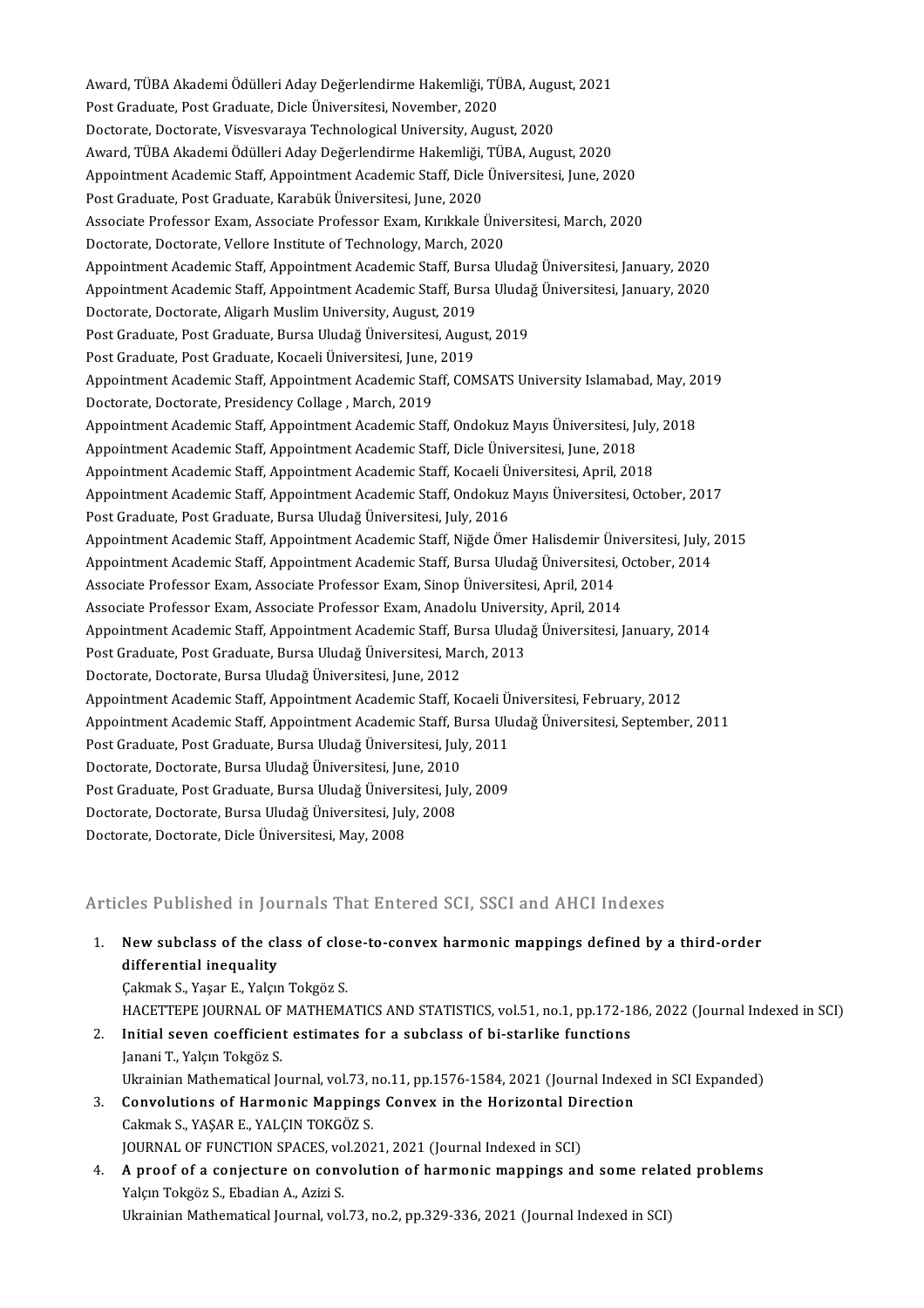Award, TÜBA Akademi Ödülleri Aday Değerlendirme Hakemliği, TÜBA, August, 2021<br>Pest Cradusta Pest Cradusta Disk Üniversitesi November, 2020 Award, TÜBA Akademi Ödülleri Aday Değerlendirme Hakemliği, TÜ<br>Post Graduate, Post Graduate, Dicle Üniversitesi, November, 2020<br>Destarate, Destarate, Visuesyaraya, Teshnelesisel University, Ausu Award, TÜBA Akademi Ödülleri Aday Değerlendirme Hakemliği, TÜBA, Augu<br>Post Graduate, Post Graduate, Dicle Üniversitesi, November, 2020<br>Doctorate, Doctorate, Visvesvaraya Technological University, August, 2020<br>August, TÜBA Post Graduate, Post Graduate, Dicle Üniversitesi, November, 2020<br>Doctorate, Doctorate, Visvesvaraya Technological University, August, 2020<br>Award, TÜBA Akademi Ödülleri Aday Değerlendirme Hakemliği, TÜBA, August, 2020<br>Annei Doctorate, Doctorate, Visvesvaraya Technological University, August, 2020<br>Award, TÜBA Akademi Ödülleri Aday Değerlendirme Hakemliği, TÜBA, August, 2020<br>Appointment Academic Staff, Appointment Academic Staff, Dicle Üniversi Award, TÜBA Akademi Ödülleri Aday Değerlendirme Hakemliği,<br>Appointment Academic Staff, Appointment Academic Staff, Dicle<br>Post Graduate, Post Graduate, Karabük Üniversitesi, June, 2020<br>Associate Prefessor Fram, Associate Pr Appointment Academic Staff, Appointment Academic Staff, Dicle Üniversitesi, June, 2020<br>Post Graduate, Post Graduate, Karabük Üniversitesi, June, 2020<br>Associate Professor Exam, Associate Professor Exam, Kırıkkale Üniversite Post Graduate, Post Graduate, Karabük Üniversitesi, June, 2020<br>Associate Professor Exam, Associate Professor Exam, Kırıkkale Üniv<br>Doctorate, Doctorate, Vellore Institute of Technology, March, 2020<br>Anneintment Academie Staf Doctorate, Doctorate, Vellore Institute of Technology, March, 2020<br>Appointment Academic Staff, Appointment Academic Staff, Bursa Uludağ Üniversitesi, January, 2020 Doctorate, Doctorate, Vellore Institute of Technology, March, 2020<br>Appointment Academic Staff, Appointment Academic Staff, Bursa Uludağ Üniversitesi, January, 2020<br>Appointment Academic Staff, Appointment Academic Staff, Bu Appointment Academic Staff, Appointment Academic Staff, Burs<br>Appointment Academic Staff, Appointment Academic Staff, Burs<br>Doctorate, Doctorate, Aligarh Muslim University, August, 2019<br>Post Cradusta, Post Cradusta, Bursa Ul Appointment Academic Staff, Appointment Academic Staff, Bursa Uludaj<br>Doctorate, Doctorate, Aligarh Muslim University, August, 2019<br>Post Graduate, Post Graduate, Bursa Uludağ Üniversitesi, August, 2019<br>Post Graduate, Post G Doctorate, Doctorate, Aligarh Muslim University, August, 2019<br>Post Graduate, Post Graduate, Bursa Uludağ Üniversitesi, August, 2019<br>Post Graduate, Post Graduate, Kocaeli Üniversitesi, June, 2019 Post Graduate, Post Graduate, Bursa Uludağ Üniversitesi, August, 2019<br>Post Graduate, Post Graduate, Kocaeli Üniversitesi, June, 2019<br>Appointment Academic Staff, Appointment Academic Staff, COMSATS University Islamabad, May Post Graduate, Post Graduate, Kocaeli Üniversitesi, June,<br>Appointment Academic Staff, Appointment Academic Sta<br>Doctorate, Doctorate, Presidency Collage , March, 2019<br>Appointment Academic Staff, Appointment Academic Sta Appointment Academic Staff, Appointment Academic Staff, COMSATS University Islamabad, May, 20<br>Doctorate, Doctorate, Presidency Collage , March, 2019<br>Appointment Academic Staff, Appointment Academic Staff, Ondokuz Mayıs Üni Doctorate, Doctorate, Presidency Collage , March, 2019<br>Appointment Academic Staff, Appointment Academic Staff, Ondokuz Mayıs Üniversitesi, July, 2018<br>Appointment Academic Staff, Appointment Academic Staff, Dicle Üniversite Appointment Academic Staff, Appointment Academic Staff, Ondokuz Mayıs Üniversitesi, July,<br>Appointment Academic Staff, Appointment Academic Staff, Dicle Üniversitesi, June, 2018<br>Appointment Academic Staff, Appointment Acade Appointment Academic Staff, Appointment Academic Staff, Dicle Üniversitesi, June, 2018<br>Appointment Academic Staff, Appointment Academic Staff, Kocaeli Üniversitesi, April, 2018<br>Appointment Academic Staff, Appointment Acade Appointment Academic Staff, Appointment Academic Staff, Kocaeli Ü.<br>Appointment Academic Staff, Appointment Academic Staff, Ondokuz<br>Post Graduate, Post Graduate, Bursa Uludağ Üniversitesi, July, 2016<br>Appointment Academic St Appointment Academic Staff, Appointment Academic Staff, Ondokuz Mayıs Üniversitesi, October, 2017<br>Post Graduate, Post Graduate, Bursa Uludağ Üniversitesi, July, 2016<br>Appointment Academic Staff, Appointment Academic Staff, Appointment Academic Staff, Appointment Academic Staff, Niğde Ömer Halisdemir Üniversitesi, July, 2015 Appointment Academic Staff, Appointment Academic Staff, Niğde Ömer Halisdemir Ün<br>Appointment Academic Staff, Appointment Academic Staff, Bursa Uludağ Üniversitesi,<br>Associate Professor Exam, Associate Professor Exam, Sinop Appointment Academic Staff, Appointment Academic Staff, Bursa Uludağ Üniversitesi, (<br>Associate Professor Exam, Associate Professor Exam, Sinop Üniversitesi, April, 2014<br>Associate Professor Exam, Associate Professor Exam, A Associate Professor Exam, Associate Professor Exam, Sinop Üniversitesi, April, 2014<br>Associate Professor Exam, Associate Professor Exam, Anadolu University, April, 2014<br>Appointment Academic Staff, Appointment Academic Staff Associate Professor Exam, Associate Professor Exam, Anadolu University, April, 2014<br>Appointment Academic Staff, Appointment Academic Staff, Bursa Uludağ Üniversitesi,<br>Post Graduate, Post Graduate, Bursa Uludağ Üniversitesi Appointment Academic Staff, Appointment Academic Staff, Bursa<br>Post Graduate, Post Graduate, Bursa Uludağ Üniversitesi, Ma<br>Doctorate, Doctorate, Bursa Uludağ Üniversitesi, June, 2012<br>Anneintment Asademis Staff, Anneintment Appointment Academic Staff, Appointment Academic Staff, Kocaeli Üniversitesi, February, 2012 Doctorate, Doctorate, Bursa Uludağ Üniversitesi, June, 2012<br>Appointment Academic Staff, Appointment Academic Staff, Kocaeli Üniversitesi, February, 2012<br>Appointment Academic Staff, Appointment Academic Staff, Bursa Uludağ Appointment Academic Staff, Appointment Academic Staff, Kocaeli Ü:<br>Appointment Academic Staff, Appointment Academic Staff, Bursa Ulu<br>Post Graduate, Post Graduate, Bursa Uludağ Üniversitesi, July, 2011<br>Postarata Destarata B Appointment Academic Staff, Appointment Academic Staff, Bursa<br>Post Graduate, Post Graduate, Bursa Uludağ Üniversitesi, July<br>Doctorate, Doctorate, Bursa Uludağ Üniversitesi, June, 2010<br>Post Craduate, Bost Craduate, Bursa Ul Post Graduate, Post Graduate, Bursa Uludağ Üniversitesi, July, 2011<br>Doctorate, Doctorate, Bursa Uludağ Üniversitesi, June, 2010<br>Post Graduate, Post Graduate, Bursa Uludağ Üniversitesi, July, 2009 Doctorate, Doctorate, Bursa Uludağ Üniversitesi, June, 2010<br>Post Graduate, Post Graduate, Bursa Uludağ Üniversitesi, Jul<br>Doctorate, Doctorate, Bursa Uludağ Üniversitesi, July, 2008<br>Doctorate, Doctorate, Diele Üniversitesi Post Graduate, Post Graduate, Bursa Uludağ Ünivers<br>Doctorate, Doctorate, Bursa Uludağ Üniversitesi, Jul<br>Doctorate, Doctorate, Dicle Üniversitesi, May, 2008

# Doctorate, Doctorate, Dicle Üniversitesi, May, 2008<br>Articles Published in Journals That Entered SCI, SSCI and AHCI Indexes

Articles Published in Journals That Entered SCI, SSCI and AHCI Indexes<br>1. New subclass of the class of close-to-convex harmonic mappings defined by a third-order<br>differential inequality New subclass of the cli<br>differential inequality<br>Colmak S. Yasar E. Valer New subclass of the class of clos<br>differential inequality<br>Çakmak S., Yaşar E., Yalçın Tokgöz S.<br>HACETTEDE IQUDNAL OF MATUEM/ differential inequality<br>Çakmak S., Yaşar E., Yalçın Tokgöz S.<br>HACETTEPE JOURNAL OF MATHEMATICS AND STATISTICS, vol.51, no.1, pp.172-186, 2022 (Journal Indexed in SCI)<br>Initial seven coefficient estimates for a subeless of b Cakmak S., Yaşar E., Yalçın Tokgöz S.<br>HACETTEPE JOURNAL OF MATHEMATICS AND STATISTICS, vol.51, no.1, pp.172-1:<br>2. Initial seven coefficient estimates for a subclass of bi-starlike functions<br>Japani T. Valem Takgöz S. HACETTEPE JOURNAL OF<br>Initial seven coefficien<br>Janani T., Yalçın Tokgöz S.<br>Illmainian Mathematical Is Initial seven coefficient estimates for a subclass of bi-starlike functions<br>Janani T., Yalçın Tokgöz S.<br>Ukrainian Mathematical Journal, vol.73, no.11, pp.1576-1584, 2021 (Journal Indexed in SCI Expanded)<br>Convolutions of Ho Janani T., Yalçın Tokgöz S.<br>Ukrainian Mathematical Journal, vol.73, no.11, pp.1576-1584, 2021 (Journal Index<br>3. Convolutions of Harmonic Mappings Convex in the Horizontal Direction<br>Colmeli S. VASAR E. VALCIN TOVCÖZ S.

### Ukrainian Mathematical Journal, vol.73, 1<br>**Convolutions of Harmonic Mapping**<br>Cakmak S., YAŞAR E., YALÇIN TOKGÖZ S.<br>JOUPNAL OF EUNCTION SPACES, vol.203 3. Convolutions of Harmonic Mappings Convex in the Horizontal Direction<br>Cakmak S., YAŞAR E., YALÇIN TOKGÖZ S.<br>JOURNAL OF FUNCTION SPACES, vol.2021, 2021 (Journal Indexed in SCI) Cakmak S., YAŞAR E., YALÇIN TOKGÖZ S.<br>JOURNAL OF FUNCTION SPACES, vol.2021, 2021 (Journal Indexed in SCI)<br>4. A proof of a conjecture on convolution of harmonic mappings and some related problems<br>Volan Telmär S. Ebedian A.

Yalçın Tokgöz S., Ebadian A., Azizi S.<br>Ukrainian Mathematical Journal, vol.73, no.2, pp.329-336, 2021 (Journal Indexed in SCI) <mark>A proof of a conjecture on convolution of harmonic mappings and some relat</mark><br>Yalçın Tokgöz S., Ebadian A., Azizi S.<br>Ukrainian Mathematical Journal, vol.73, no.2, pp.329-336, 2021 (Journal Indexed in SCI)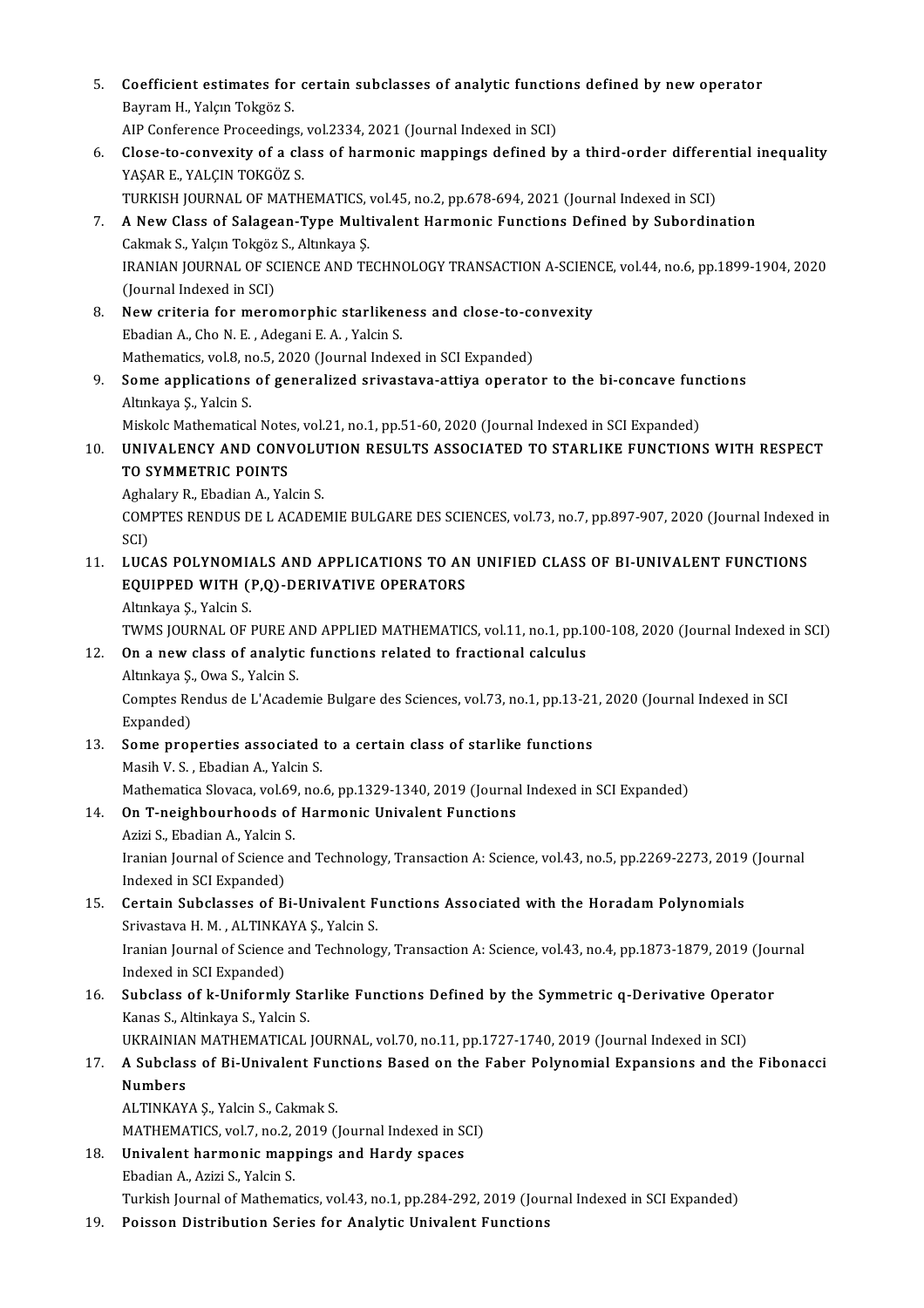- 5. Coefficient estimates for certain subclasses of analytic functions defined by new operator<br>Reyman H. Valen Telraës S **Coefficient estimates for<br>Bayram H., Yalçın Tokgöz S.<br>AIB Conferense Breseeding** Coefficient estimates for certain subclasses of analytic function<br>Bayram H., Yalçın Tokgöz S.<br>AIP Conference Proceedings, vol.2334, 2021 (Journal Indexed in SCI)<br>Slage to conveyity of a clage of harmonic mannings defined b Bayram H., Yalçın Tokgöz S.<br>AIP Conference Proceedings, vol.2334, 2021 (Journal Indexed in SCI)<br>6. Close-to-convexity of a class of harmonic mappings defined by a third-order differential inequality<br>24SAR E. VALCIN TOKCÖZ AIP Conference Proceedings,<br>Close-to-convexity of a cla<br>YAŞAR E., YALÇIN TOKGÖZ S.<br>TURKISH JOURNAL OF MATH Close-to-convexity of a class of harmonic mappings defined by a third-order differe<br>YAŞAR E., YALÇIN TOKGÖZ S.<br>TURKISH JOURNAL OF MATHEMATICS, vol.45, no.2, pp.678-694, 2021 (Journal Indexed in SCI)<br>A Now Class of Salagean YAŞAR E., YALÇIN TOKGÖZ S.<br>TURKISH JOURNAL OF MATHEMATICS, vol.45, no.2, pp.678-694, 2021 (Journal Indexed in SCI)<br>7. A New Class of Salagean-Type Multivalent Harmonic Functions Defined by Subordination<br>Celimely S. Vole TURKISH JOURNAL OF MATHEMATICS,<br>**A New Class of Salagean-Type Mult**<br>Cakmak S., Yalçın Tokgöz S., Altınkaya Ş.<br>IRANIAN JOURNAL OF SCIENCE AND TE A New Class of Salagean-Type Multivalent Harmonic Functions Defined by Subordination<br>Cakmak S., Yalçın Tokgöz S., Altınkaya Ş.<br>IRANIAN JOURNAL OF SCIENCE AND TECHNOLOGY TRANSACTION A-SCIENCE, vol.44, no.6, pp.1899-1904, 20 Cakmak S., Yalçın Tokgöz<br>IRANIAN JOURNAL OF SC<br>(Journal Indexed in SCI)<br>Now critoria for moro IRANIAN JOURNAL OF SCIENCE AND TECHNOLOGY TRANSACTION A-SCIEN<br>(Journal Indexed in SCI)<br>8. New criteria for meromorphic starlikeness and close-to-convexity<br>Ebadian A. Che N. E., Adegani E. A., Valgin S. (Journal Indexed in SCI)<br>New criteria for meromorphic starliken<br>Ebadian A., Cho N. E. , Adegani E. A. , Yalcin S.<br>Mathematics vol 8, no 5, 2020 (Journal Index New criteria for meromorphic starlikeness and close-to-contraction and A., Cho N. E. , Adegani E. A. , Yalcin S.<br>Mathematics, vol.8, no.5, 2020 (Journal Indexed in SCI Expanded)<br>Some annisations of generalized enjusctous a Ebadian A., Cho N. E. , Adegani E. A. , Yalcin S.<br>Mathematics, vol.8, no.5, 2020 (Journal Indexed in SCI Expanded)<br>9. Some applications of generalized srivastava-attiya operator to the bi-concave functions<br>Altyliaus S. Val Mathematics, vol.8, n<br>**Some applications**<br>Altınkaya Ş., Yalcin S.<br>Mielsele Mathematics Some applications of generalized srivastava-attiya operator to the bi-concave fun<br>Altınkaya Ş., Yalcin S.<br>Miskolc Mathematical Notes, vol.21, no.1, pp.51-60, 2020 (Journal Indexed in SCI Expanded)<br>UNIVALENCY AND CONVOLUTIO Altınkaya Ş., Yalcin S.<br>Miskolc Mathematical Notes, vol.21, no.1, pp.51-60, 2020 (Journal Indexed in SCI Expanded)<br>10. UNIVALENCY AND CONVOLUTION RESULTS ASSOCIATED TO STARLIKE FUNCTIONS WITH RESPECT<br>TO SYMMETRIC ROINTS Miskolc Mathematical Notes, vol.21, no.1, pp.51-60, 2020 (Journal Indexed in SCI Expanded)<br>UNIVALENCY AND CONVOLUTION RESULTS ASSOCIATED TO STARLIKE FUNCTION<br>TO SYMMETRIC POINTS<br>Aghalary R., Ebadian A., Yalcin S. UNIVALENCY AND CONVOLU<br>TO SYMMETRIC POINTS<br>Aghalary R., Ebadian A., Yalcin S.<br>COMPTES BENDUS DE LACADE! TO SYMMETRIC POINTS<br>Aghalary R., Ebadian A., Yalcin S.<br>COMPTES RENDUS DE L ACADEMIE BULGARE DES SCIENCES, vol.73, no.7, pp.897-907, 2020 (Journal Indexed in<br>SCD Agha<br>COM<br>SCI)<br>LUC COMPTES RENDUS DE L ACADEMIE BULGARE DES SCIENCES, vol.73, no.7, pp.897-907, 2020 (Journal Indexed<br>SCI)<br>11. LUCAS POLYNOMIALS AND APPLICATIONS TO AN UNIFIED CLASS OF BI-UNIVALENT FUNCTIONS<br>FOUIDBED WITH (R.O.) DEPIVATIVE O SCI)<br>LUCAS POLYNOMIALS AND APPLICATIONS TO AN<br>EQUIPPED WITH (P,Q)-DERIVATIVE OPERATORS<br>Altakaya S. Vakin S LUCAS POLYNOMIA<br>EQUIPPED WITH (1<br>Altınkaya Ş., Yalcin S.<br>TWMS JOUPNAL OF I EQUIPPED WITH (P,Q)-DERIVATIVE OPERATORS<br>Altınkaya Ş., Yalcin S.<br>TWMS JOURNAL OF PURE AND APPLIED MATHEMATICS, vol.11, no.1, pp.100-108, 2020 (Journal Indexed in SCI)<br>On a now class of analytis functions related to fractio Altınkaya Ş., Yalcin S.<br>12. TWMS JOURNAL OF PURE AND APPLIED MATHEMATICS, vol.11, no.1, pp.1<br>12. On a new class of analytic functions related to fractional calculus TWMS JOURNAL OF PURE A<br>**On a new class of analytic**<br>Altınkaya Ş., Owa S., Yalcin S.<br>Comptes Bondus da L'Asedo Comptes Rendus de L'Academie Bulgare des Sciences, vol.73, no.1, pp.13-21, 2020 (Journal Indexed in SCI<br>Expanded) Altınkaya S., Owa S., Yalcin S. Comptes Rendus de L'Academie Bulgare des Sciences, vol.73, no.1, pp.13-21<br>Expanded)<br>13. Some properties associated to a certain class of starlike functions<br>Masik V.S., Fhadian A. Valsin S. Expanded)<br>Some properties associated<br>Masih V. S. , Ebadian A., Yalcin S.<br>Mathematics Slevece vel 60, no. Some properties associated to a certain class of starlike functions<br>Masih V. S. , Ebadian A., Yalcin S.<br>Mathematica Slovaca, vol.69, no.6, pp.1329-1340, 2019 (Journal Indexed in SCI Expanded)<br>On T. neighbourboods of Harmon Masih V. S. , Ebadian A., Yalcin S.<br>Mathematica Slovaca, vol.69, no.6, pp.1329-1340, 2019 (Journa<br>14. On T-neighbourhoods of Harmonic Univalent Functions Mathematica Slovaca, vol.69<br>**On T-neighbourhoods of**<br>Azizi S., Ebadian A., Yalcin S.<br>Iranian Journal of Science of Iranian Journal of Science and Technology, Transaction A: Science, vol.43, no.5, pp.2269-2273, 2019 (Journal Indexed in SCI Expanded) Azizi S., Ebadian A., Yalcin S. 15. Certain Subclasses of Bi-Univalent Functions Associated with the Horadam Polynomials Indexed in SCI Expanded)<br>Certain Subclasses of Bi-Univalent F<br>Srivastava H. M. , ALTINKAYA Ş., Yalcin S.<br>Iranian Journal of Science and Technolog Iranian Journal of Science and Technology, Transaction A: Science, vol.43, no.4, pp.1873-1879, 2019 (Journal Indexed in SCI Expanded) Srivastava H. M. , ALTINKA<br>Iranian Journal of Science<br>Indexed in SCI Expanded)<br>Subelass of k Uniformly Iranian Journal of Science and Technology, Transaction A: Science, vol.43, no.4, pp.1873-1879, 2019 (Jou<br>Indexed in SCI Expanded)<br>16. Subclass of k-Uniformly Starlike Functions Defined by the Symmetric q-Derivative Operato Indexed in SCI Expanded)<br>Subclass of k-Uniformly St:<br>Kanas S., Altinkaya S., Yalcin S.<br>UKRAINIAN MATHEMATICAL Subclass of k-Uniformly Starlike Functions Defined by the Symmetric q-Derivative Opera<br>Kanas S., Altinkaya S., Yalcin S.<br>UKRAINIAN MATHEMATICAL JOURNAL, vol.70, no.11, pp.1727-1740, 2019 (Journal Indexed in SCI)<br>A Subclass Kanas S., Altinkaya S., Yalcin S.<br>UKRAINIAN MATHEMATICAL JOURNAL, vol.70, no.11, pp.1727-1740, 2019 (Journal Indexed in SCI)<br>17. A Subclass of Bi-Univalent Functions Based on the Faber Polynomial Expansions and the Fibo UKRAINIAN MATHEMATICAL JOURNAL, vol.70, no.11, pp.1727-1740, 2019 (Journal Indexed in SCI)<br>A Subclass of Bi-Univalent Functions Based on the Faber Polynomial Expansions and the<br>Numbers<br>ALTINKAYA Ș., Yalcin S., Cakmak S. A Subclass of Bi-Univalent Fun<br>Numbers<br>ALTINKAYA Ş., Yalcin S., Cakmak S.<br>MATUEMATICS .val 7, no 2, 2010 (1 MATHEMATICS, vol.7, no.2, 2019 (Journal Indexed in SCI) ALTINKAYA Ş., Yalcin S., Cakmak S.<br>MATHEMATICS, vol.7, no.2, 2019 (Journal Indexed in St<br>18. Univalent harmonic mappings and Hardy spaces<br>Fredian A. Agiri S. Valgin S. MATHEMATICS, vol.7, no.2, :<br><mark>Univalent harmonic map</mark><br>Ebadian A., Azizi S., Yalcin S.<br>Turkish Journal of Mathema Ebadian A., Azizi S., Yalcin S.<br>Turkish Journal of Mathematics, vol.43, no.1, pp.284-292, 2019 (Journal Indexed in SCI Expanded)
- 19. Poisson Distribution Series for Analytic Univalent Functions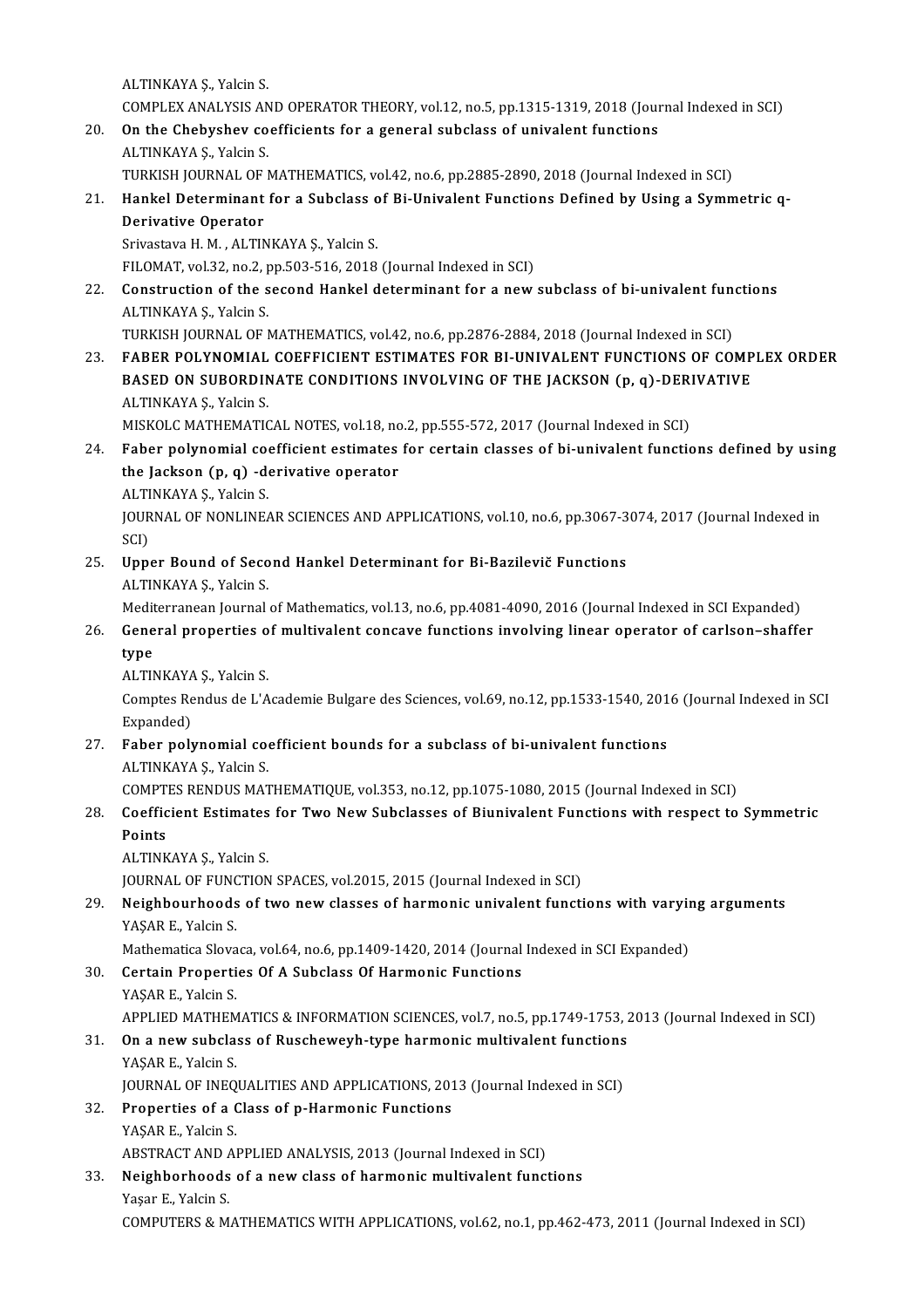ALTINKAYA Ş, Yalcin S. ALTINKAYA Ș., Yalcin S.<br>COMPLEX ANALYSIS AND OPERATOR THEORY, vol.12, no.5, pp.1315-1319, 2018 (Journal Indexed in SCI)<br>On the Chebyshov goefficients for a general subglass of univelant functions. ALTINKAYA \$., Yalcin S.<br>
COMPLEX ANALYSIS AND OPERATOR THEORY, vol.12, no.5, pp.1315-1319, 2018 (Journal 20.<br>
20. On the Chebyshev coefficients for a general subclass of univalent functions<br>
ALTINKAYA S. Volsin S.

- 20. On the Chebyshev coefficients for a general subclass of univalent functions<br>ALTINKAYA S., Yalcin S. On the Chebyshev coefficients for a general subclass of univalent functions<br>ALTINKAYA Ş., Yalcin S.<br>TURKISH JOURNAL OF MATHEMATICS, vol.42, no.6, pp.2885-2890, 2018 (Journal Indexed in SCI)<br>Hankel Determinant for a Subclas
- 21. ALTINKAYA Ș., Yalcin S.<br>21. Hankel JOURNAL OF MATHEMATICS, vol.42, no.6, pp.2885-2890, 2018 (Journal Indexed in SCI)<br>21. Hankel Determinant for a Subclass of Bi-Univalent Functions Defined by Using a Symmetric q-TURKISH JOURNAL OF<br>Hankel Determinant<br>Derivative Operator<br>Srivastava H M - ALTIN Hankel Determinant for a Subclass of<br>Derivative Operator<br>Srivastava H. M. , ALTINKAYA Ş., Yalcin S.<br>EU OMAT vol 32 no 2 np 503 516 2019 Derivative Operator<br>Srivastava H. M. , ALTINKAYA Ş., Yalcin S.<br>FILOMAT, vol.32, no.2, pp.503-516, 2018 (Journal Indexed in SCI)

Srivastava H. M., ALTINKAYA Ș., Yalcin S.<br>22. Construction of the second Hankel determinant for a new subclass of bi-univalent functions<br>22. Construction of the second Hankel determinant for a new subclass of bi-univalent FILOMAT, vol.32, no.2, p<br>**Construction of the s**<br>ALTINKAYA Ş., Yalcin S.<br>TURKISH JOURNAL OF L Construction of the second Hankel determinant for a new subclass of bi-univalent fun<br>ALTINKAYA Ş., Yalcin S.<br>TURKISH JOURNAL OF MATHEMATICS, vol.42, no.6, pp.2876-2884, 2018 (Journal Indexed in SCI)<br>FARER POLYNOMIAL COEFEI ALTINKAYA Ș., Yalcin S.<br>1931 TURKISH JOURNAL OF MATHEMATICS, vol.42, no.6, pp.2876-2884, 2018 (Journal Indexed in SCI)<br>23. FABER POLYNOMIAL COEFFICIENT ESTIMATES FOR BI-UNIVALENT FUNCTIONS OF COMPLEX ORDER

TURKISH JOURNAL OF MATHEMATICS, vol.42, no.6, pp.2876-2884, 2018 (Journal Indexed in SCI)<br>FABER POLYNOMIAL COEFFICIENT ESTIMATES FOR BI-UNIVALENT FUNCTIONS OF COMP<br>BASED ON SUBORDINATE CONDITIONS INVOLVING OF THE JACKSON ( FABER POLYNOMIAL<br>BASED ON SUBORDIN<br>ALTINKAYAŞ., Yalcin S.<br>MISKOLG MATHEMATIC BASED ON SUBORDINATE CONDITIONS INVOLVING OF THE JACKSON (p, q)-DERI<br>ALTINKAYA Ş., Yalcin S.<br>MISKOLC MATHEMATICAL NOTES, vol.18, no.2, pp.555-572, 2017 (Journal Indexed in SCI)<br>Eshar polynomial sosfficient estimates for se

ALTINKAYA Ș., Yalcin S.<br>MISKOLC MATHEMATICAL NOTES, vol.18, no.2, pp.555-572, 2017 (Journal Indexed in SCI)<br>24. Faber polynomial coefficient estimates for certain classes of bi-univalent functions defined by using<br>the Jack MISKOLC MATHEMATICAL NOTES, vol.18, no<br>Faber polynomial coefficient estimates<br>the Jackson (p, q) -derivative operator<br>ALTINKAYA S, Volsin S Faber polynomial coor<br>the Jackson (p, q) -do<br>ALTINKAYA Ş., Yalcin S.<br>JOUPNAL OF NONLINE

the Jackson (p, q) -derivative operator<br>ALTINKAYA Ş., Yalcin S.<br>JOURNAL OF NONLINEAR SCIENCES AND APPLICATIONS, vol.10, no.6, pp.3067-3074, 2017 (Journal Indexed in<br>SCD ALTINKAYA Ş., Yalcin S.<br>JOURNAL OF NONLINEA<br>SCI) 32. JOURNAL OF NONLINEAR SCIENCES AND APPLICATIONS, vol.10, no.6, pp.3067-3<br>25. Upper Bound of Second Hankel Determinant for Bi-Bazilevič Functions<br>25. Upper Bound of Second Hankel Determinant for Bi-Bazilevič Functions

25. Upper Bound of Second Hankel Determinant for Bi-Bazilevič Functions<br>ALTINKAYA S., Yalcin S. Upper Bound of Second Hankel Determinant for Bi-Bazilevič Functions<br>ALTINKAYA Ş., Yalcin S.<br>Mediterranean Journal of Mathematics, vol.13, no.6, pp.4081-4090, 2016 (Journal Indexed in SCI Expanded)<br>Conoral proporties of mul

26. ALTINKAYA Ș., Yalcin S.<br>Mediterranean Journal of Mathematics, vol.13, no.6, pp.4081-4090, 2016 (Journal Indexed in SCI Expanded)<br>26. General properties of multivalent concave functions involving linear operator of carl Medit<br>Gene<br>type<br>ALTIM 26. General properties of multivalent concave functions involving linear operator of carlson-shaffer<br>type<br>ALTINKAYA S., Yalcin S.

type<br>ALTINKAYA Ș., Yalcin S.<br>Comptes Rendus de L'Academie Bulgare des Sciences, vol.69, no.12, pp.1533-1540, 2016 (Journal Indexed in SCI ALTINKAYA<br>Comptes Re<br>Expanded)<br>Esber nol: Comptes Rendus de L'Academie Bulgare des Sciences, vol.69, no.12, pp.1533-1540, 201<br>Expanded)<br>27. Faber polynomial coefficient bounds for a subclass of bi-univalent functions<br>ALTINIAVA S. Volsin S.

Expanded)<br>F<mark>aber polynomial co</mark><br>ALTINKAYA Ş., Yalcin S.<br>COMPTES PENDUS MAT Faber polynomial coefficient bounds for a subclass of bi-univalent functions<br>ALTINKAYA Ş., Yalcin S.<br>COMPTES RENDUS MATHEMATIQUE, vol.353, no.12, pp.1075-1080, 2015 (Journal Indexed in SCI)<br>Coefficient Estimates for Tuyo N

ALTINKAYA Ș., Yalcin S.<br>28. COMPTES RENDUS MATHEMATIQUE, vol.353, no.12, pp.1075-1080, 2015 (Journal Indexed in SCI)<br>28. Coefficient Estimates for Two New Subclasses of Biunivalent Functions with respect to Symmetric COMPT<br>Coeffic<br>Points<br>ALTINE Coefficient Estimates<br>Points<br>ALTINKAYA Ş., Yalcin S.<br>JOUPMAL OF EUNCTION Points<br>ALTINKAYA Ș., Yalcin S.<br>JOURNAL OF FUNCTION SPACES, vol.2015, 2015 (Journal Indexed in SCI)<br>Naizhbourbeode of two now classes of bormanis univelant functi

### ALTINKAYA Ș., Yalcin S.<br>JOURNAL OF FUNCTION SPACES, vol.2015, 2015 (Journal Indexed in SCI)<br>29. Neighbourhoods of two new classes of harmonic univalent functions with varying arguments<br>29. Neighbourhoods of two new classes JOURNAL OF FUN<mark>C</mark><br>Neighbourhoods<br>YAŞAR E., Yalcin S.<br>Mathomatica Slova Neighbourhoods of two new classes of harmonic univalent functions with varyin<br>YAŞAR E., Yalcin S.<br>Mathematica Slovaca, vol.64, no.6, pp.1409-1420, 2014 (Journal Indexed in SCI Expanded)<br>Certain Properties Of A Subslass Of YAŞAR E., Yalcin S.<br>Mathematica Slovaca, vol.64, no.6, pp.1409-1420, 2014 (Journal<br>30. Certain Properties Of A Subclass Of Harmonic Functions<br>VASAR E Valcin S

Mathematica Slova<br>Certain Properti<br>YAŞAR E., Yalcin S.<br>APRLIED MATHEM

Certain Properties Of A Subclass Of Harmonic Functions<br>YAŞAR E., Yalcin S.<br>APPLIED MATHEMATICS & INFORMATION SCIENCES, vol.7, no.5, pp.1749-1753, 2013 (Journal Indexed in SCI)<br>On a now subclass of Buschoweyh type barmonic

YAŞAR E., Yalcin S.<br>APPLIED MATHEMATICS & INFORMATION SCIENCES, vol.7, no.5, pp.1749-1753, 2<br>31. On a new subclass of Ruscheweyh-type harmonic multivalent functions<br>VASAR E. Valcin S. APPLIED MATHEM<br>**On a new subcla:**<br>YAŞAR E., Yalcin S.<br>JOUPNAL OF INFO On a new subclass of Ruscheweyh-type harmonic multivalent functions<br>YAŞAR E., Yalcin S.<br>JOURNAL OF INEQUALITIES AND APPLICATIONS, 2013 (Journal Indexed in SCI)<br>Properties of a Class of a Harmonis Eunstians YAŞAR E., Yalcin S.<br>JOURNAL OF INEQUALITIES AND APPLICATIONS, 201<br>32. Properties of a Class of p-Harmonic Functions<br>YAŞAR E., Yalcin S.

JOURNAL OF INEQUALITIES AND APPLICATIONS, 2013 (Journal Indexed in SCI)

Properties of a Class of p-Harmonic Functions<br>YAŞAR E., Yalcin S.<br>ABSTRACT AND APPLIED ANALYSIS, 2013 (Journal Indexed in SCI)<br>Naishborhoods of a now class of barmonis multivelent funct

### YAŞAR E., Yalcin S.<br>ABSTRACT AND APPLIED ANALYSIS, 2013 (Journal Indexed in SCI)<br>33. Neighborhoods of a new class of harmonic multivalent functions<br>Nessa E. Valsin S. ABSTRACT AND A<br>Neighborhoods<br>Yaşar E., Yalcin S.<br>COMBUTERS & M 33. Neighborhoods of a new class of harmonic multivalent functions<br>Yaşar E., Yalcin S.<br>COMPUTERS & MATHEMATICS WITH APPLICATIONS, vol.62, no.1, pp.462-473, 2011 (Journal Indexed in SCI)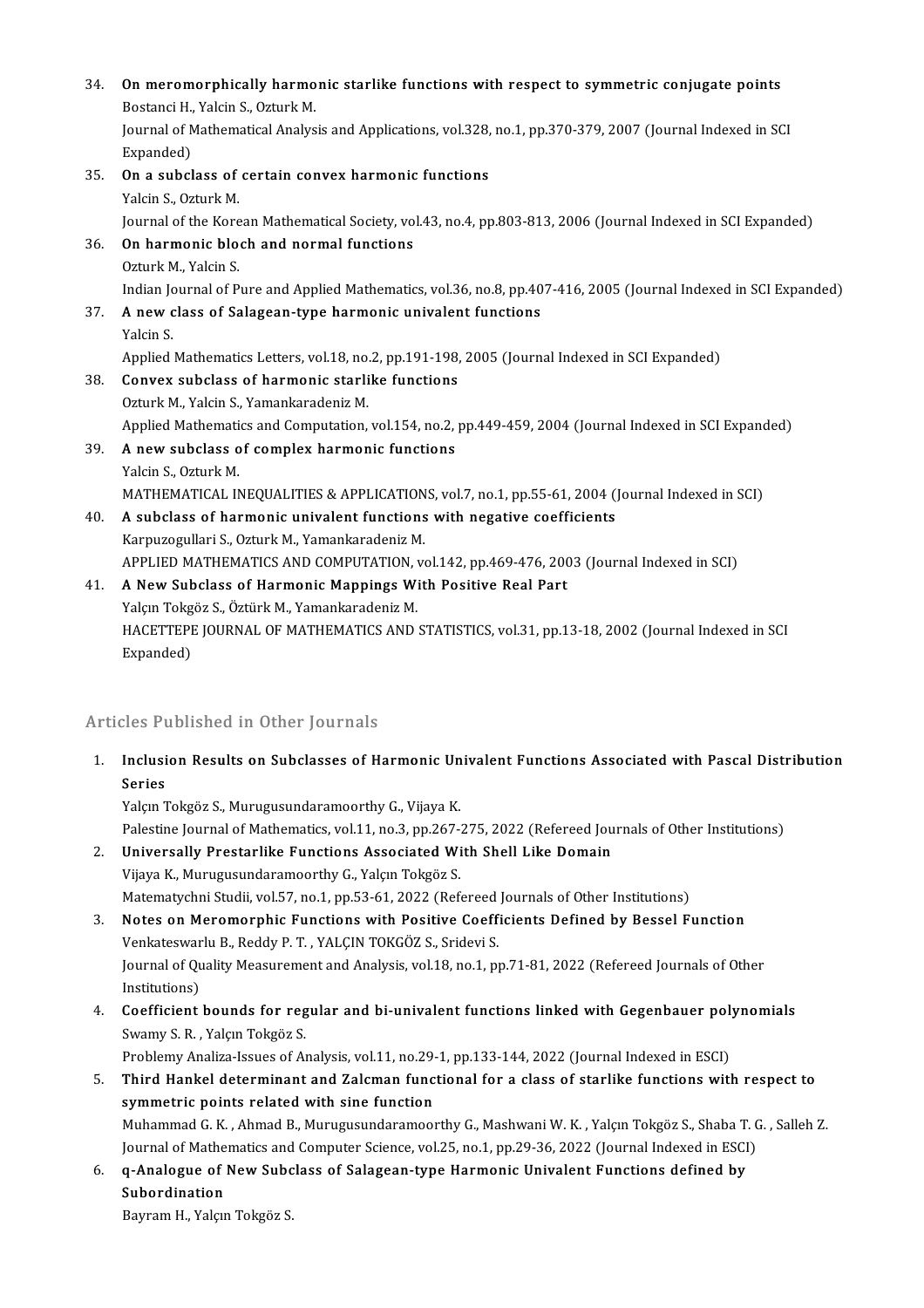| 34  | On meromorphically harmonic starlike functions with respect to symmetric conjugate points<br>Bostanci H., Yalcin S., Ozturk M. |
|-----|--------------------------------------------------------------------------------------------------------------------------------|
|     | Journal of Mathematical Analysis and Applications, vol.328, no.1, pp.370-379, 2007 (Journal Indexed in SCI<br>Expanded)        |
| 35  | On a subclass of certain convex harmonic functions                                                                             |
|     | Yalcin S., Ozturk M.                                                                                                           |
|     | Journal of the Korean Mathematical Society, vol.43, no.4, pp.803-813, 2006 (Journal Indexed in SCI Expanded)                   |
| 36. | On harmonic bloch and normal functions                                                                                         |
|     | Ozturk M., Yalcin S.                                                                                                           |
|     | Indian Journal of Pure and Applied Mathematics, vol.36, no.8, pp.407-416, 2005 (Journal Indexed in SCI Expanded)               |
| 37  | A new class of Salagean-type harmonic univalent functions                                                                      |
|     | Yalcin S.                                                                                                                      |
|     | Applied Mathematics Letters, vol.18, no.2, pp.191-198, 2005 (Journal Indexed in SCI Expanded)                                  |
| 38. | Convex subclass of harmonic starlike functions                                                                                 |
|     | Ozturk M., Yalcin S., Yamankaradeniz M.                                                                                        |
|     | Applied Mathematics and Computation, vol.154, no.2, pp.449-459, 2004 (Journal Indexed in SCI Expanded)                         |
| 39. | A new subclass of complex harmonic functions                                                                                   |
|     | Yalcin S., Ozturk M.                                                                                                           |
|     | MATHEMATICAL INEQUALITIES & APPLICATIONS, vol.7, no.1, pp.55-61, 2004 (Journal Indexed in SCI)                                 |
| 40. | A subclass of harmonic univalent functions with negative coefficients                                                          |
|     | Karpuzogullari S., Ozturk M., Yamankaradeniz M.                                                                                |
|     | APPLIED MATHEMATICS AND COMPUTATION, vol.142, pp.469-476, 2003 (Journal Indexed in SCI)                                        |
| 41  | A New Subclass of Harmonic Mappings With Positive Real Part                                                                    |
|     | Yalçın Tokgöz S., Öztürk M., Yamankaradeniz M.                                                                                 |
|     | HACETTEPE JOURNAL OF MATHEMATICS AND STATISTICS, vol.31, pp.13-18, 2002 (Journal Indexed in SCI                                |
|     | Expanded)                                                                                                                      |

### Articles Published in Other Journals

Irticles Published in Other Journals<br>1. Inclusion Results on Subclasses of Harmonic Univalent Functions Associated with Pascal Distribution<br>Series Series<br>Inclusi<br>Series<br><sup>Volgu</sub> 1</sup> Series<br>Yalçın Tokgöz S., Murugusundaramoorthy G., Vijaya K.

Palestine Journal of Mathematics, vol.11, no.3, pp.267-275, 2022 (Refereed Journals of Other Institutions)

2. Universally Prestarlike Functions Associated With Shell Like Domain Vijaya K., Murugusundaramoorthy G., Yalçın Tokgöz S. Matematychni Studii, vol.57, no.1, pp.53-61, 2022 (Refereed Journals of Other Institutions)

3. Notes on Meromorphic Functions with Positive Coefficients Defined by Bessel Function Matematychni Studii, vol.57, no.1, pp.53-61, 2022 (Refereed<br>Notes on Meromorphic Functions with Positive Coeff<br>Venkateswarlu B., Reddy P. T. , YALÇIN TOKGÖZ S., Sridevi S.<br>Journal of Quality Measurement and Analysis vol.18 Journal of Quality Measurement and Analysis, vol.18, no.1, pp.71-81, 2022 (Refereed Journals of Other Institutions) Venkateswar<br>Journal of Qu<br>Institutions)<br>Coofficient Journal of Quality Measurement and Analysis, vol.18, no.1, pp.71-81, 2022 (Refereed Journals of Other<br>Institutions)<br>4. Coefficient bounds for regular and bi-univalent functions linked with Gegenbauer polynomials<br>5. Supper

Institutions)<br>**Coefficient bounds for reg**<br>Swamy S. R. , Yalçın Tokgöz S.<br>Problemy Analira Jesues of A. Coefficient bounds for regular and bi-univalent functions linked with Gegenbauer poly<br>Swamy S. R. , Yalçın Tokgöz S.<br>Problemy Analiza-Issues of Analysis, vol.11, no.29-1, pp.133-144, 2022 (Journal Indexed in ESCI)<br>Third Ha

Swamy S. R. , Yalçın Tokgöz S.<br>Problemy Analiza-Issues of Analysis, vol.11, no.29-1, pp.133-144, 2022 (Journal Indexed in ESCI)<br>5. Third Hankel determinant and Zalcman functional for a class of starlike functions with r Problemy Analiza-Issues of Analysis, vol.11, no.29-1, pp.133-144, 2022 (Journal Indexed in ESCI)<br>Third Hankel determinant and Zalcman functional for a class of starlike functions with respect to<br>symmetric points related wi Third Hankel determinant and Zalcman functional for a class of starlike functions with respect to<br>symmetric points related with sine function<br>Muhammad G.K. , Ahmad B., Murugusundaramoorthy G., Mashwani W. K. , Yalçın Tokgö

symmetric points related with sine function<br>Muhammad G. K. , Ahmad B., Murugusundaramoorthy G., Mashwani W. K. , Yalçın Tokgöz S., Shaba T. (<br>Journal of Mathematics and Computer Science, vol.25, no.1, pp.29-36, 2022 (Journ Muhammad G. K. , Ahmad B., Murugusundaramoorthy G., Mashwani W. K. , Yalçın Tokgöz S., Shaba T.<br>Journal of Mathematics and Computer Science, vol.25, no.1, pp.29-36, 2022 (Journal Indexed in ESCI<br>6. **q-Analogue of New Subcl** 

Journal of Mathe<br>**q-Analogue of**<br>Subordination<br><sup>Roumam H. Volev</sup> q-Analogue of New Subc<br>Subordination<br>Bayram H., Yalçın Tokgöz S.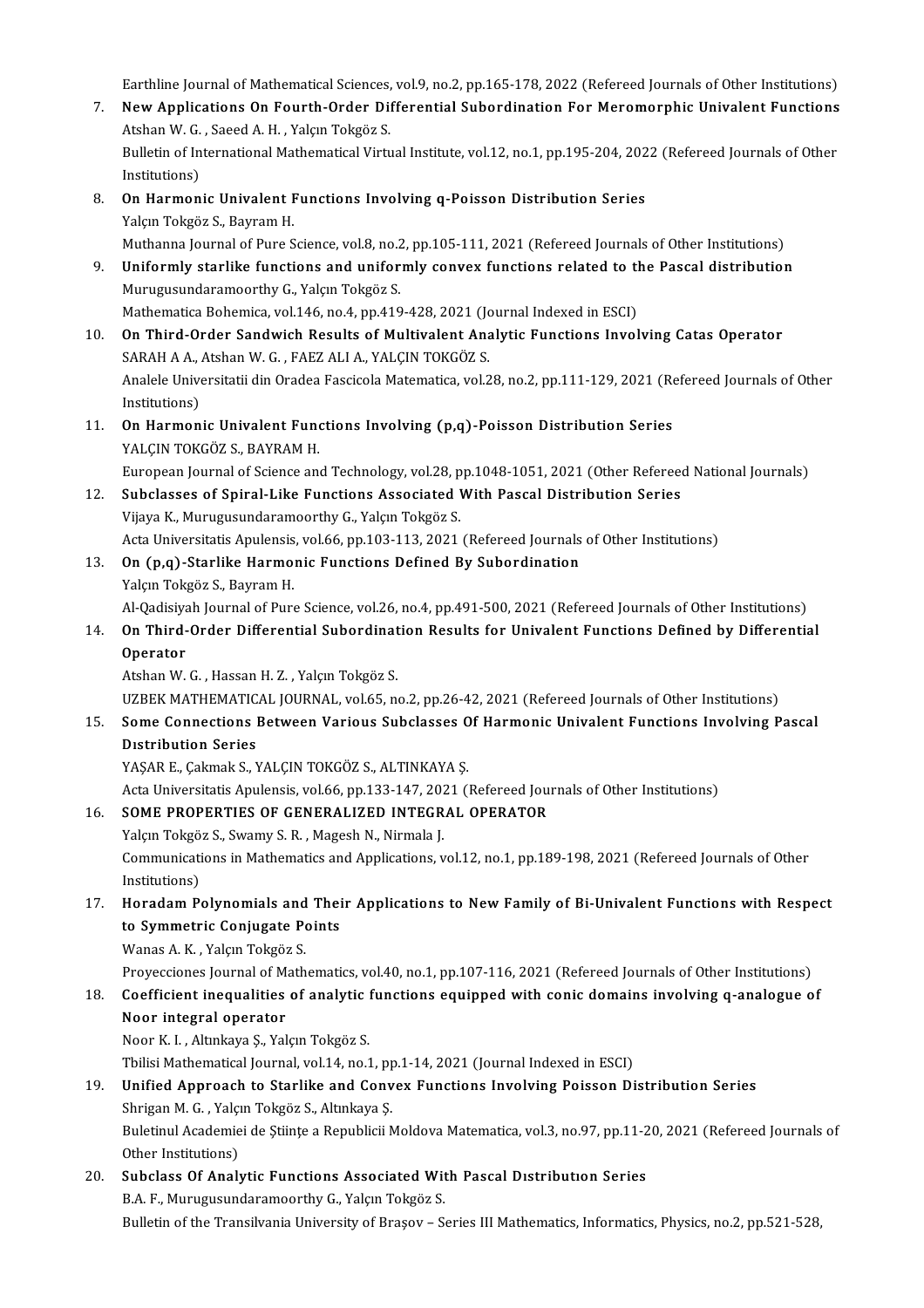Earthline Journal of Mathematical Sciences, vol.9, no.2, pp.165-178, 2022 (Refereed Journals of Other Institutions)<br>Navy Applications On Fourth Order Differential Subordination For Meromorphis Univolant Eungtions

- Earthline Journal of Mathematical Sciences, vol.9, no.2, pp.165-178, 2022 (Refereed Journals of Other Institutions)<br>7. New Applications On Fourth-Order Differential Subordination For Meromorphic Univalent Functions Earthline Journal of Mathematical Sciences,<br>New Applications On Fourth-Order Dif<br>Atshan W. G. , Saeed A. H. , Yalçın Tokgöz S.<br>Pulletin of International Mathematical Virti 7. New Applications On Fourth-Order Differential Subordination For Meromorphic Univalent Functions<br>Atshan W. G. , Saeed A. H. , Yalçın Tokgöz S.<br>Bulletin of International Mathematical Virtual Institute, vol.12, no.1, pp.19 Atshan W. G., Saeed A. H., Yalçın Tokgöz S. 8. Bulletin of International Mathematical Virtual Institute, vol.12, no.1, pp.195-204, 202<br>Institutions)<br>8. On Harmonic Univalent Functions Involving q-Poisson Distribution Series<br>Valem Teksër S. Bayram H
- Institutions)<br>**On Harmonic Univalent F**<br>Yalçın Tokgöz S., Bayram H.<br>Muthanna Journal of Bure S Yalçın Tokgöz S., Bayram H.<br>Muthanna Journal of Pure Science, vol.8, no.2, pp.105-111, 2021 (Refereed Journals of Other Institutions)
- Yalçın Tokgöz S., Bayram H.<br>Muthanna Journal of Pure Science, vol.8, no.2, pp.105-111, 2021 (Refereed Journals of Other Institutions)<br>9. Uniformly starlike functions and uniformly convex functions related to the Pascal dis Murugusundaramoorthy G., Yalçın Tokgöz S.<br>Mathematica Bohemica, vol.146, no.4, pp.419-428, 2021 (Journal Indexed in ESCI) Uniformly starlike functions and uniformly convex functions related to the<br>Murugusundaramoorthy G., Yalçın Tokgöz S.<br>Mathematica Bohemica, vol.146, no.4, pp.419-428, 2021 (Journal Indexed in ESCI)<br>On Third Order Sandwich B
- 10. On Third-Order Sandwich Results of Multivalent Analytic Functions Involving Catas Operator SARAH A A, Atshan W. G., FAEZ ALI A, YALÇIN TOKGÖZ S. On Third-Order Sandwich Results of Multivalent Analytic Functions Involving Catas Operator<br>SARAH A A., Atshan W. G. , FAEZ ALI A., YALÇIN TOKGÖZ S.<br>Analele Universitatii din Oradea Fascicola Matematica, vol.28, no.2, pp.11 SARAH A A., .<br>Analele Unive<br>Institutions)<br>On Harman Analele Universitatii din Oradea Fascicola Matematica, vol.28, no.2, pp.111-129, 2021 (Re<br>Institutions)<br>11. **On Harmonic Univalent Functions Involving (p,q)-Poisson Distribution Series**<br>VALGIN TOKGÖZ S. PAVRAM H
- Institutions)<br>11. On Harmonic Univalent Functions Involving (p,q)-Poisson Distribution Series<br>YALÇIN TOKGÖZ S., BAYRAM H. On Harmonic Univalent Functions Involving (p,q)-Poisson Distribution Series<br>YALÇIN TOKGÖZ S., BAYRAM H.<br>European Journal of Science and Technology, vol.28, pp.1048-1051, 2021 (Other Refereed National Journals)<br>Subalasses o YALÇIN TOKGÖZ S., BAYRAM H.<br>European Journal of Science and Technology, vol.28, pp.1048-1051, 2021 (Other Referee<br>12. Subclasses of Spiral-Like Functions Associated With Pascal Distribution Series<br>Wiews K. Munusuaundersmee

- European Journal of Science and Technology, vol.28, p<br>Subclasses of Spiral-Like Functions Associated V<br>Vijaya K., Murugusundaramoorthy G., Yalçın Tokgöz S.<br>Asta Universitatis Anulansis vol.66, nn 102,112, 2021 Subclasses of Spiral-Like Functions Associated With Pascal Distribution Series<br>Vijaya K., Murugusundaramoorthy G., Yalçın Tokgöz S.<br>Acta Universitatis Apulensis, vol.66, pp.103-113, 2021 (Refereed Journals of Other Institu Vijaya K., Murugusundaramoorthy G., Yalçın Tokgöz S.<br>Acta Universitatis Apulensis, vol.66, pp.103-113, 2021 (Refereed Journals of Other Institutions)<br>13. **On (p,q)-Starlike Harmonic Functions Defined By Subordination**
- Yalçın Tokgöz S., Bayram H. On (p,q)-Starlike Harmonic Functions Defined By Subordination<br>Yalçın Tokgöz S., Bayram H.<br>Al-Qadisiyah Journal of Pure Science, vol.26, no.4, pp.491-500, 2021 (Refereed Journals of Other Institutions)<br>On Third Order Differ
- 14. Yalçın Tokgöz S., Bayram H.<br>Al-Qadisiyah Journal of Pure Science, vol.26, no.4, pp.491-500, 2021 (Refereed Journals of Other Institutions)<br>On Third-Order Differential Subordination Results for Univalent Functions Defin Al-Qadisiya<br>**On Third-<br>Operator**<br>Atshan W On Third-Order Differential Subordinat<br>Operator<br>Atshan W. G. , Hassan H. Z. , Yalçın Tokgöz S.<br>UZPEK MATHEMATICAL JOUPNAL volé5. n

Operator<br>Atshan W. G. , Hassan H. Z. , Yalçın Tokgöz S.<br>UZBEK MATHEMATICAL JOURNAL, vol.65, no.2, pp.26-42, 2021 (Refereed Journals of Other Institutions)

### 15. Atshan W. G. , Hassan H. Z. , Yalçın Tokgöz S.<br>15. Some Connections Between Various Subclasses Of Harmonic Univalent Functions Involving Pascal<br>15. Some Connections Between Various Subclasses Of Harmonic Univalent Func UZBEK MATHEMATIC<br>Some Connections I<br>Distribution Series<br>VASAR E. Colmol: S. N Some Connections Between Various Subclasses O<br>Distribution Series<br>YAŞAR E., Çakmak S., YALÇIN TOKGÖZ S., ALTINKAYA Ş.<br>Asta Universitatis Apulansis vel 66 nm 122 147 2021 () Distribution Series<br>YAŞAR E., Çakmak S., YALÇIN TOKGÖZ S., ALTINKAYA Ş.<br>Acta Universitatis Apulensis, vol.66, pp.133-147, 2021 (Refereed Journals of Other Institutions)

### 16. SOME PROPERTIES OF GENERALIZED INTEGRAL OPERATOR

Yalçın Tokgöz S., Swamy S.R., Magesh N., Nirmala J. SOME PROPERTIES OF GENERALIZED INTEGRAL OPERATOR<br>Yalçın Tokgöz S., Swamy S. R. , Magesh N., Nirmala J.<br>Communications in Mathematics and Applications, vol.12, no.1, pp.189-198, 2021 (Refereed Journals of Other<br>Institutions Yalçın Tokgö<br>Communicati<br>Institutions)<br>Honodom B 17. Communications in Mathematics and Applications, vol.12, no.1, pp.189-198, 2021 (Refereed Journals of Other<br>17. Horadam Polynomials and Their Applications to New Family of Bi-Univalent Functions with Respect<br>17. Horadam

### Institutions)<br>Horadam Polynomials and Thei<br>to Symmetric Conjugate Points<br>Wanes A.K., Yolem Tokgör S Horadam Polynomials and<br>to Symmetric Conjugate Po<br>Wanas A. K. , Yalçın Tokgöz S.<br>Provessiones Journal of Math to Symmetric Conjugate Points<br>Wanas A. K. , Yalçın Tokgöz S.<br>Proyecciones Journal of Mathematics, vol.40, no.1, pp.107-116, 2021 (Refereed Journals of Other Institutions)<br>Coefficient inequalities of analytic functions equi

### Wanas A. K. , Yalçın Tokgöz S.<br>Proyecciones Journal of Mathematics, vol.40, no.1, pp.107-116, 2021 (Refereed Journals of Other Institutions)<br>18. Coefficient inequalities of analytic functions equipped with conic domains in Proyecciones Journal of M.<br>Coefficient inequalities<br>Noor integral operator<br>Noor K.L. Altuliave S. Val Coefficient inequalities of analytic !<br>Noor integral operator<br>Noor K. I. , Altınkaya Ş., Yalçın Tokgöz S.<br>Thilisi Mathematical Jeurnal vol 14 no 1 Noor i<mark>ntegral operator</mark><br>Noor K. I. , Altınkaya Ş., Yalçın Tokgöz S.<br>Tbilisi Mathematical Journal, vol.14, no.1, pp.1-14, 2021 (Journal Indexed in ESCI)<br>Unified Annreach to Starlike and Gonyey Eunstians Involving Poisson D

### 19. Noor K. I. , Altınkaya Ş., Yalçın Tokgöz S.<br>19. Tbilisi Mathematical Journal, vol.14, no.1, pp.1-14, 2021 (Journal Indexed in ESCI)<br>19. Unified Approach to Starlike and Convex Functions Involving Poisson Distributio Tbilisi Mathematical Journal, vol.14, no.1, pp<br>**Unified Approach to Starlike and Conv**<br>Shrigan M. G. , Yalçın Tokgöz S., Altınkaya Ş.<br>Bulatinul Asademiei de Stiinte e Benublisii M Buletinul Academiei de Științe a Republicii Moldova Matematica, vol.3, no.97, pp.11-20, 2021 (Refereed Journals of Other Institutions) Shrigan M. G., Yalçın Tokgöz S., Altınkaya Ş.

Buletinul Academiei de Științe a Republicii Moldova Matematica, vol.3, no.97, pp.11-2<br>Other Institutions)<br>20. Subclass Of Analytic Functions Associated With Pascal Distribution Series<br>RA E. Muruquandaremearthy C. Volen Tel Other Institutions)<br><mark>Subclass Of Analytic Functions Associated Wit</mark><br>B.A. F., Murugusundaramoorthy G., Yalçın Tokgöz S.<br>Bulletin of the Transilvania University of Brasey - S. B.A. F., Murugusundaramoorthy G., Yalçın Tokgöz S.<br>Bulletin of the Transilvania University of Braşov – Series III Mathematics, Informatics, Physics, no.2, pp.521-528,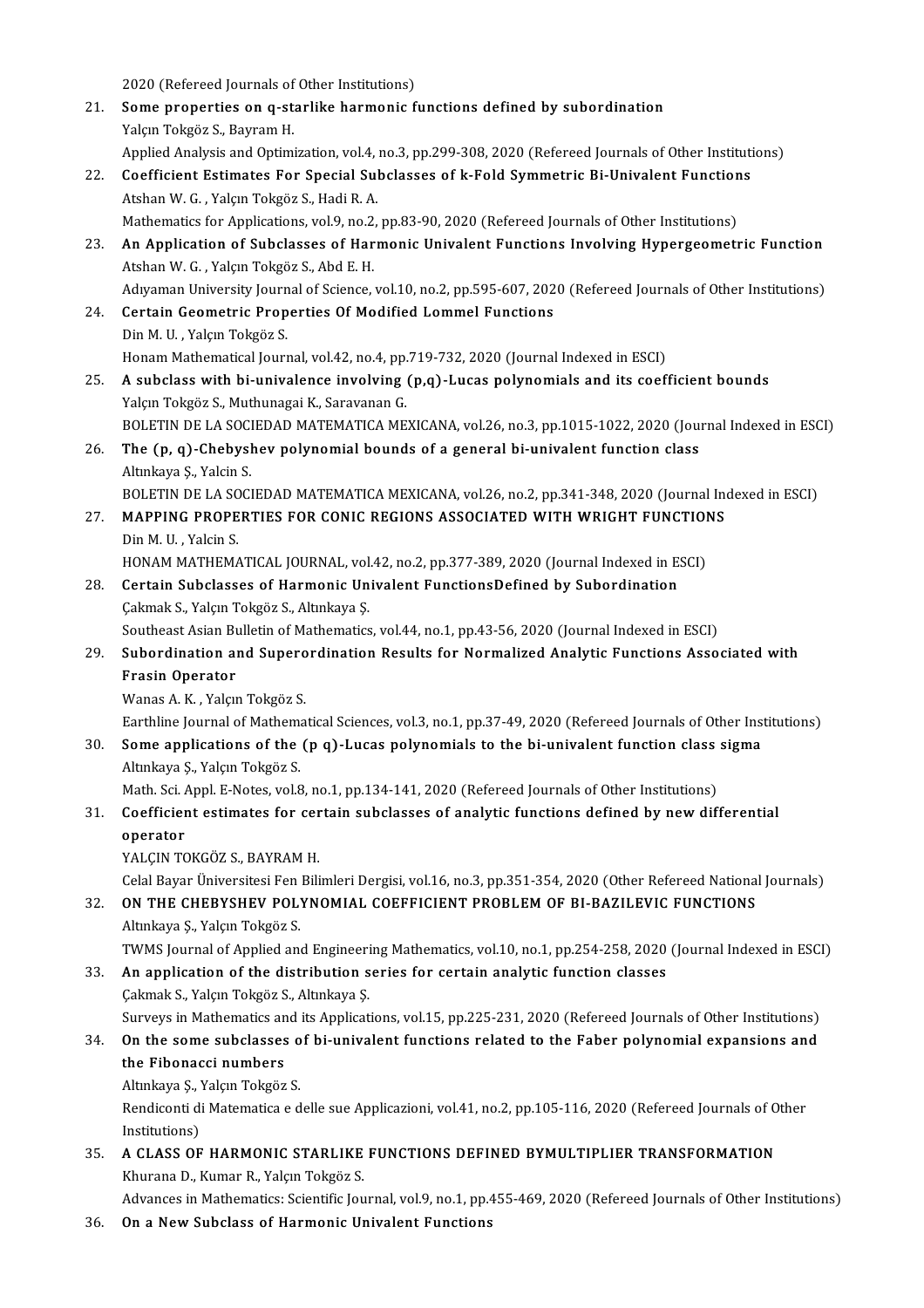2020 (Refereed Journals of Other Institutions)<br>Some proporties on a starlike bormonis f 21. Some properties on q-starlike harmonic functions defined by subordination 2020 (Refereed Journals of<br>**Some properties on q-st**:<br>Yalçın Tokgöz S., Bayram H.<br>Annlied Anelysis and Ontimi Some properties on q-starlike harmonic functions defined by subordination<br>Yalçın Tokgöz S., Bayram H.<br>Applied Analysis and Optimization, vol.4, no.3, pp.299-308, 2020 (Refereed Journals of Other Institutions)<br>Coefficient E Yalçın Tokgöz S., Bayram H.<br>Applied Analysis and Optimization, vol.4, no.3, pp.299-308, 2020 (Refereed Journals of Other Institutions<br>22. Coefficient Estimates For Special Subclasses of k-Fold Symmetric Bi-Univalent Functi Applied Analysis and Optimization, vol.4,<br>Coefficient Estimates For Special Sul<br>Atshan W. G. , Yalçın Tokgöz S., Hadi R. A.<br>Mathematics for Applications, vol.9, no.2, Coefficient Estimates For Special Subclasses of k-Fold Symmetric Bi-Univalent Function<br>Atshan W. G. , Yalçın Tokgöz S., Hadi R. A.<br>Mathematics for Applications, vol.9, no.2, pp.83-90, 2020 (Refereed Journals of Other Insti 23. An Applications, vol.9, no.2, pp.83-90, 2020 (Refereed Journals of Other Institutions)<br>23. An Application of Subclasses of Harmonic Univalent Functions Involving Hypergeometric Function<br>23. An Application of Subclasses Mathematics for Applications, vol.9, no.2, pp.83-90, 2020 (Refereed Journals of Other Institutions) An Application of Subclasses of Harmonic Univalent Functions Involving Hypergeometric Function<br>Atshan W. G. , Yalçın Tokgöz S., Abd E. H.<br>Adıyaman University Journal of Science, vol.10, no.2, pp.595-607, 2020 (Refereed Jou 24. Certain Geometric Properties Of Modified Lommel Functions<br>Din M. U., Yalçın Tokgöz S. Adıyaman University Journ<br>Certain Geometric Prop<br>Din M. U. , Yalçın Tokgöz S.<br>Hanam Mathamatical Journ Honam Mathematical Journal, vol.42, no.4, pp.719-732, 2020 (Journal Indexed in ESCI) Din M. U. , Yalçın Tokgöz S.<br>Honam Mathematical Journal, vol.42, no.4, pp.719-732, 2020 (Journal Indexed in ESCI)<br>25. A subclass with bi-univalence involving (p,q)-Lucas polynomials and its coefficient bounds<br>Volam Tokgöz Honam Mathematical Journal, vol.42, no.4, pp.<br>**A subclass with bi-univalence involving**<br>Yalçın Tokgöz S., Muthunagai K., Saravanan G.<br>POLETIN DE LA SOCIEDAD MATEMATICA ME A subclass with bi-univalence involving (p,q)-Lucas polynomials and its coefficient bounds<br>Yalçın Tokgöz S., Muthunagai K., Saravanan G.<br>BOLETIN DE LA SOCIEDAD MATEMATICA MEXICANA, vol.26, no.3, pp.1015-1022, 2020 (Journal Yalçın Tokgöz S., Muthunagai K., Saravanan G.<br>BOLETIN DE LA SOCIEDAD MATEMATICA MEXICANA, vol.26, no.3, pp.1015-1022, 2020 (Journal polynomial bounds of a general bi-univalent function class<br>Altyniaus S. Valsin S. BOLETIN DE LA SOCI<br>**The (p, q)-Chebysl**<br>Altınkaya Ş., Yalcin S.<br>BOLETIN DE LA SOCI Altınkaya Ş., Yalcin S.<br>BOLETIN DE LA SOCIEDAD MATEMATICA MEXICANA, vol.26, no.2, pp.341-348, 2020 (Journal Indexed in ESCI) Altınkaya Ş., Yalcin S.<br>27. MAPPING PROPERTIES FOR CONIC REGIONS ASSOCIATED WITH WRIGHT FUNCTIONS<br>27. MAPPING PROPERTIES FOR CONIC REGIONS ASSOCIATED WITH WRIGHT FUNCTIONS BOLETIN DE LA SC<br>**MAPPING PROPE**<br>Din M. U. , Yalcin S.<br>HONAM MATHEMA MAPPING PROPERTIES FOR CONIC REGIONS ASSOCIATED WITH WRIGHT FUNCTION<br>Din M. U., Yalcin S.<br>HONAM MATHEMATICAL JOURNAL, vol.42, no.2, pp.377-389, 2020 (Journal Indexed in ESCI)<br>Certain Subelasses of Harmonic Univelant Euncti 28. Din M. U., Yalcin S.<br>28. Certain Subclasses of Harmonic Univalent FunctionsDefined by Subordination<br>28. Certain Subclasses of Harmonic Univalent FunctionsDefined by Subordination HONAM MATHEMATICAL JOURNAL, vol.<br>Certain Subclasses of Harmonic Un<br>Çakmak S., Yalçın Tokgöz S., Altınkaya Ş.<br>Soutbeet Asian Bulletin of Mathematics Certain Subclasses of Harmonic Univalent FunctionsDefined by Subordination<br>Cakmak S., Yalçın Tokgöz S., Altınkaya Ş.<br>Southeast Asian Bulletin of Mathematics, vol.44, no.1, pp.43-56, 2020 (Journal Indexed in ESCI)<br>Subordina Cakmak S., Yalçın Tokgöz S., Altınkaya Ş.<br>29. Southeast Asian Bulletin of Mathematics, vol.44, no.1, pp.43-56, 2020 (Journal Indexed in ESCI)<br>29. Subordination and Superordination Results for Normalized Analytic Functions Southeast Asian Bulletin of Mathematics, vol.44, no.1, pp.43-56, 2020 (Journal Indexed in ESCI) Wanas A.K., Yalçın Tokgöz S. Frasin Operator<br>Wanas A. K. , Yalçın Tokgöz S.<br>Earthline Journal of Mathematical Sciences, vol.3, no.1, pp.37-49, 2020 (Refereed Journals of Other Institutions)<br>Some annligations of the (n.g.), Lugas nolunomials to the bi-30. Some applications of the (p q)-Lucas polynomials to the bi-univalent function class sigma<br>Altınkaya Ş., Yalçın Tokgöz S. Earthline Journal of Mathem<br>**Some applications of the**<br>Altınkaya Ş., Yalçın Tokgöz S.<br>Math Sai Appl E Natas val S Some applications of the (p q)-Lucas polynomials to the bi-univalent function class<br>Altınkaya Ş., Yalçın Tokgöz S.<br>Math. Sci. Appl. E-Notes, vol.8, no.1, pp.134-141, 2020 (Refereed Journals of Other Institutions)<br>Coefficie 31. Coefficient estimates for certain subclasses of analytic functions defined by new differential operator Math. Sci. 7<br>Coefficier<br>operator<br>VALCIN TC YALÇIN TOKGÖZ S., BAYRAM H. Celal Bayar Üniversitesi Fen Bilimleri Dergisi, vol.16, no.3, pp.351-354, 2020 (Other Refereed National Journals) 32. ON THE CHEBYSHEV POLYNOMIAL COEFFICIENT PROBLEMOF BI-BAZILEVIC FUNCTIONS Altınkaya Ş., Yalçın Tokgöz S. ON THE CHEBYSHEV POLYNOMIAL COEFFICIENT PROBLEM OF BI-BAZILEVIC FUNCTIONS<br>Altınkaya Ş., Yalçın Tokgöz S.<br>TWMS Journal of Applied and Engineering Mathematics, vol.10, no.1, pp.254-258, 2020 (Journal Indexed in ESCI)<br>An appl 33. An application of the distribution series for certain analytic function classes Cakmak S., Yalçın Tokgöz S., Altınkaya Ş. TWMS Journal of Applied and Engineeri<br>**An application of the distribution s**<br>Çakmak S., Yalçın Tokgöz S., Altınkaya Ş.<br>Surveys in Mathematics and its Applicat An application of the distribution series for certain analytic function classes<br>Cakmak S., Yalçın Tokgöz S., Altınkaya Ş.<br>Surveys in Mathematics and its Applications, vol.15, pp.225-231, 2020 (Refereed Journals of Other In

### Cakmak S., Yalçın Tokgöz S., Altınkaya Ş.<br>Surveys in Mathematics and its Applications, vol.15, pp.225-231, 2020 (Refereed Journals of Other Institutions)<br>34. On the some subclasses of bi-univalent functions related to the Surveys in Mathematics an<br>On the some subclasses<br>the Fibonacci numbers<br>Attakaya S. Valem Takgär **On the some subclasses of**<br>**the Fibonacci numbers**<br>Altınkaya Ş., Yalçın Tokgöz S.<br>Rondisonti di Matematica e d

Altınkaya Ş., Yalçın Tokgöz S.

the Fibonacci numbers<br>Altınkaya Ş., Yalçın Tokgöz S.<br>Rendiconti di Matematica e delle sue Applicazioni, vol.41, no.2, pp.105-116, 2020 (Refereed Journals of Other<br>Institutions) Rendiconti di Matematica e delle sue Applicazioni, vol.41, no.2, pp.105-116, 2020 (Refereed Journals of O<br>Institutions)<br>35. A CLASS OF HARMONIC STARLIKE FUNCTIONS DEFINED BYMULTIPLIER TRANSFORMATION

Institutions)<br>**A CLASS OF HARMONIC STARLIKE**<br>Khurana D., Kumar R., Yalçın Tokgöz S.<br>Advanass in Mathamatiss: Ssiantifia Jau Khurana D., Kumar R., Yalçın Tokgöz S.<br>Advances in Mathematics: Scientific Journal, vol.9, no.1, pp.455-469, 2020 (Refereed Journals of Other Institutions)

36. On a NewSubclass of Harmonic Univalent Functions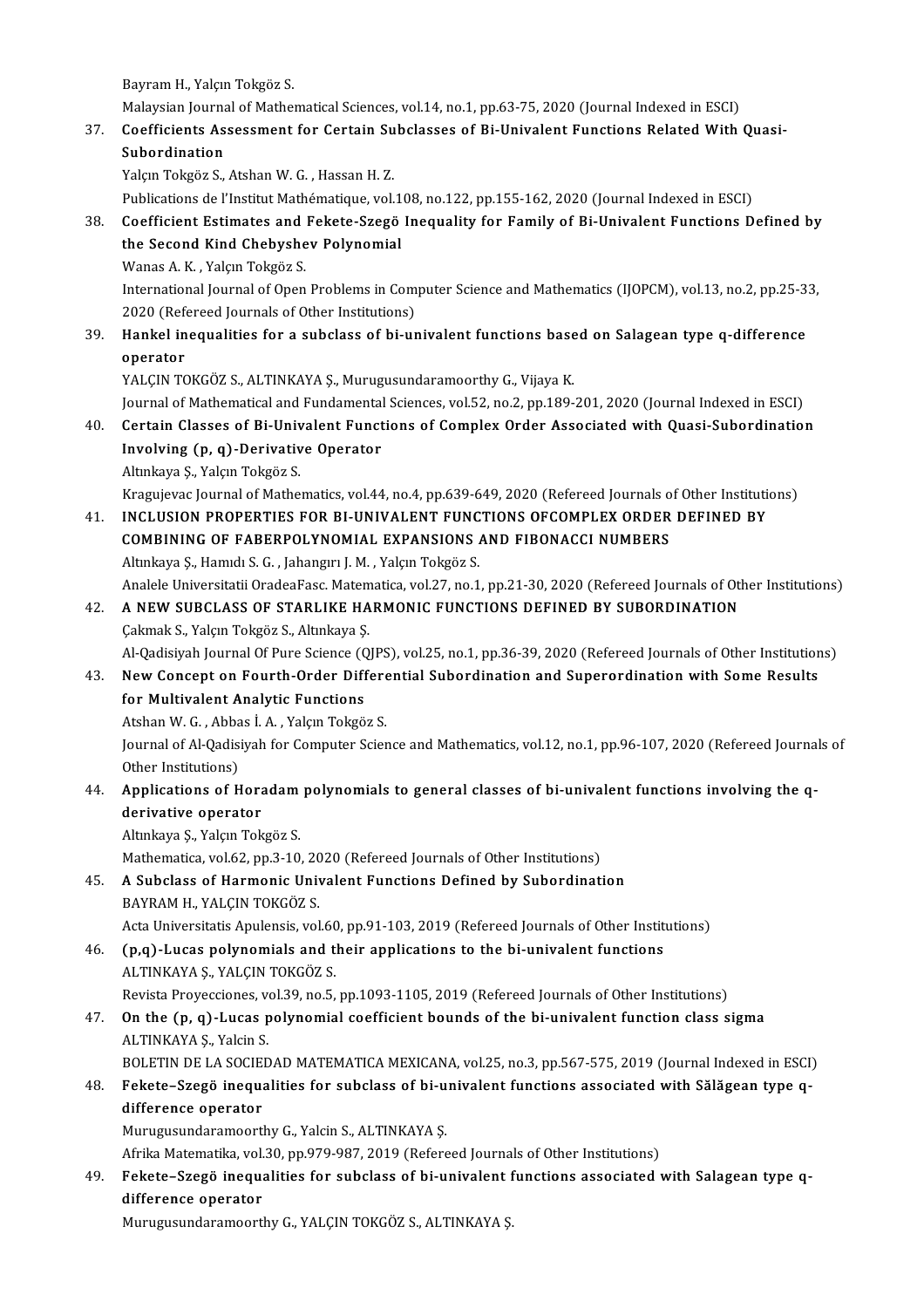Bayram H., Yalçın Tokgöz S.

Bayram H., Yalçın Tokgöz S.<br>Malaysian Journal of Mathematical Sciences, vol.14, no.1, pp.63-75, 2020 (Journal Indexed in ESCI)<br>Coefficients Assessment for Centain Subelasses of Bi Univelant Eunstians Belated With

### 37. Coefficients Assessment for Certain Subclasses of Bi-Univalent Functions Related With Quasi-<br>Subordination Malaysian Journa<br><mark>Coefficients As</mark><br>Subordination<br><sup>Volem Toksës S</sup>

Yalçın Tokgöz S., Atshan W. G., Hassan H. Z.

Publications de l'Institut Mathématique, vol.108, no.122, pp.155-162, 2020 (Journal Indexed in ESCI)

Yalçın Tokgöz S., Atshan W. G. , Hassan H. Z.<br>Publications de l'Institut Mathématique, vol.108, no.122, pp.155-162, 2020 (Journal Indexed in ESCI)<br>38. Coefficient Estimates and Fekete-Szegö Inequality for Family of Bi-Univ Publications de l'Institut Mathématique, vol.1<br>Coefficient Estimates and Fekete-Szegö<br>the Second Kind Chebyshev Polynomial<br>Wanas A.K., Valan Teksäs S Coefficient Estimates and<br>the Second Kind Chebyshe<br>Wanas A.K., Yalçın Tokgöz S.<br>International Journal of Open

the Second Kind Chebyshev Polynomial<br>Wanas A. K. , Yalçın Tokgöz S.<br>International Journal of Open Problems in Computer Science and Mathematics (IJOPCM), vol.13, no.2, pp.25-33,<br>2020 (Pefereed Journals of Other Institutione Wanas A. K. , Yalçın Tokgöz S.<br>International Journal of Open Problems in Com<br>2020 (Refereed Journals of Other Institutions)<br>Hankel inequalities for a subelass of bi ur 2020 (Refereed Journals of Other Institutions)

### 39. Hankel inequalities for a subclass of bi-univalent functions based on Salagean type q-difference

YALÇIN TOKGÖZ S., ALTINKAYA Ş., Murugusundaramoorthy G., Vijaya K. operator<br>YALÇIN TOKGÖZ S., ALTINKAYA Ş., Murugusundaramoorthy G., Vijaya K.<br>Journal of Mathematical and Fundamental Sciences, vol.52, no.2, pp.189-201, 2020 (Journal Indexed in ESCI)<br>Certain Classes of Bi Univelant Eunstia YALÇIN TOKGÖZ S., ALTINKAYA Ş., Murugusundaramoorthy G., Vijaya K.<br>Journal of Mathematical and Fundamental Sciences, vol.52, no.2, pp.189-201, 2020 (Journal Indexed in ESCI)<br>40. Certain Classes of Bi-Univalent Functions of

### Journal of Mathematical and Fundamental<br>Certain Classes of Bi-Univalent Funct<br>Involving (p, q)-Derivative Operator<br>Altalawe S. Volen Teksës S. Certain Classes of Bi-Univ<br>Involving (p, q)-Derivativ<br>Altınkaya Ş., Yalçın Tokgöz S.<br>Kragviayas Journal of Matho I<mark>nvolving (p, q)-Derivative Operator</mark><br>Altınkaya Ş., Yalçın Tokgöz S.<br>Kragujevac Journal of Mathematics, vol.44, no.4, pp.639-649, 2020 (Refereed Journals of Other Institutions)<br>INCLUSION PROPERTIES FOR BLUNUVALENT FUNCTIO

### Altınkaya Ş., Yalçın Tokgöz S.<br>Kragujevac Journal of Mathematics, vol.44, no.4, pp.639-649, 2020 (Refereed Journals of Other Institutional<br>41. INCLUSION PROPERTIES FOR BI-UNIVALENT FUNCTIONS OFCOMPLEX ORDER DEFINED BY Kragujevac Journal of Mathematics, vol.44, no.4, pp.639-649, 2020 (Refereed Journals of NGLUSION PROPERTIES FOR BI-UNIVALENT FUNCTIONS OFCOMPLEX ORDER<br>COMBINING OF FABERPOLYNOMIAL EXPANSIONS AND FIBONACCI NUMBERS<br>Altakaya 41. INCLUSION PROPERTIES FOR BI-UNIVALENT FUNCTIONS OFCOMPLEX ORDER DEFINED BY<br>COMBINING OF FABERPOLYNOMIAL EXPANSIONS AND FIBONACCI NUMBERS<br>Altınkaya Ş., Hamıdı S. G. , Jahangırı J. M. , Yalçın Tokgöz S. COMBINING OF FABERPOLYNOMIAL EXPANSIONS AND FIBONACCI NUMBERS<br>Altınkaya Ş., Hamıdı S. G. , Jahangırı J. M. , Yalçın Tokgöz S.<br>Analele Universitatii OradeaFasc. Matematica, vol.27, no.1, pp.21-30, 2020 (Refereed Journals of

### Altınkaya Ş., Hamıdı S. G. , Jahangırı J. M. , Yalçın Tokgöz S.<br>Analele Universitatii OradeaFasc. Matematica, vol.27, no.1, pp.21-30, 2020 (Refereed Journals of Otl<br>42. A NEW SUBCLASS OF STARLIKE HARMONIC FUNCTIONS DEFINED Analele Universitatii OradeaFasc. Matem<br>A NEW SUBCLASS OF STARLIKE HA<br>Çakmak S., Yalçın Tokgöz S., Altınkaya Ş.<br>Al Qadisiyah Journal Of Bure Science (Q A NEW SUBCLASS OF STARLIKE HARMONIC FUNCTIONS DEFINED BY SUBORDINATION<br>Çakmak S., Yalçın Tokgöz S., Altınkaya Ş.<br>Al-Qadisiyah Journal Of Pure Science (QJPS), vol.25, no.1, pp.36-39, 2020 (Refereed Journals of Other Institu

### Cakmak S., Yalçın Tokgöz S., Altınkaya Ş.<br>Al-Qadisiyah Journal Of Pure Science (QJPS), vol.25, no.1, pp.36-39, 2020 (Refereed Journals of Other Institution<br>43. New Concept on Fourth-Order Differential Subordination and Sup Al-Qadisiyah Journal Of Pure Science (C)<br>New Concept on Fourth-Order Diff<br>for Multivalent Analytic Functions New Concept on Fourth-Order Differe<br>for Multivalent Analytic Functions<br>Atshan W. G. , Abbas İ. A. , Yalçın Tokgöz S.<br>Journal of Al Oddisiyab for Computer Scien

Atshan W. G., Abbas İ. A., Yalçın Tokgöz S.

for Multivalent Analytic Functions<br>Atshan W. G. , Abbas İ. A. , Yalçın Tokgöz S.<br>Journal of Al-Qadisiyah for Computer Science and Mathematics, vol.12, no.1, pp.96-107, 2020 (Refereed Journals of<br>Other Institutions) Journal of Al-Qadisiyah for Computer Science and Mathematics, vol.12, no.1, pp.96-107, 2020 (Refereed Journa<br>Other Institutions)<br>44. Applications of Horadam polynomials to general classes of bi-univalent functions involvin

### Other Institutions)<br>Applications of Hora<br>derivative operator<br>Altulaya S. Valan Tak Applications of Horadam<br>derivative operator<br>Altınkaya Ş., Yalçın Tokgöz S.<br>Mathamatica val 62 nn 2 10 derivative operator<br>Altınkaya Ş., Yalçın Tokgöz S.<br>Mathematica, vol.62, pp.3-10, 2020 (Refereed Journals of Other Institutions)<br>A Subeless of Hormonia Univelant Eunstians Defined by Subendinati

### Altınkaya Ş., Yalçın Tokgöz S.<br>Mathematica, vol.62, pp.3-10, 2020 (Refereed Journals of Other Institutions)<br>45. A Subclass of Harmonic Univalent Functions Defined by Subordination<br>BAYRAM H., YALÇIN TOKGÖZ S. Mathematica, vol.62, pp.3-10, 20<br>A Subclass of Harmonic University<br>BAYRAM H., YALÇIN TOKGÖZ S. A Subclass of Harmonic Univalent Functions Defined by Subordination<br>BAYRAM H., YALÇIN TOKGÖZ S.<br>Acta Universitatis Apulensis, vol.60, pp.91-103, 2019 (Refereed Journals of Other Institutions)<br>(p.2) Juses polynomials and th

### BAYRAM H., YALÇIN TOKGÖZ S.<br>Acta Universitatis Apulensis, vol.60, pp.91-103, 2019 (Refereed Journals of Other Instituted.<br>46. (p,q)-Lucas polynomials and their applications to the bi-univalent functions<br>41 TINKAYA S. VALGI Acta Universitatis Apulensis, vol.60<br>(p,q)-Lucas polynomials and t<br>ALTINKAYA Ş., YALÇIN TOKGÖZ S.<br>Povista Provessiones, vol.29, no.5 (p,q)-Lucas polynomials and their applications to the bi-univalent functions<br>ALTINKAYA Ş., YALÇIN TOKGÖZ S.<br>Revista Proyecciones, vol.39, no.5, pp.1093-1105, 2019 (Refereed Journals of Other Institutions)<br>On the (n, g), Lu

### ALTINKAYA Ş., YALÇIN TOKGÖZ S.<br>Revista Proyecciones, vol.39, no.5, pp.1093-1105, 2019 (Refereed Journals of Other Institutions)<br>47. On the (p, q)-Lucas polynomial coefficient bounds of the bi-univalent function class sigma Revista Proyecciones, ve<br>**On the (p, q)-Lucas p**<br>ALTINKAYA Ş., Yalcin S.<br>POLETIN DE LA SOCIED On the (p, q)-Lucas polynomial coefficient bounds of the bi-univalent function class sigma<br>ALTINKAYA Ş., Yalcin S.<br>BOLETIN DE LA SOCIEDAD MATEMATICA MEXICANA, vol.25, no.3, pp.567-575, 2019 (Journal Indexed in ESCI)<br>Esksta

### 48. ALTINKAYA Ș., Yalcin S.<br>BOLETIN DE LA SOCIEDAD MATEMATICA MEXICANA, vol.25, no.3, pp.567-575, 2019 (Journal Indexed in ESCI<br>48. Fekete–Szegö inequalities for subclass of bi-univalent functions associated with Sălăge BOLETIN DE LA SOCIE<br>Fekete–Szegö inequa<br>difference operator<br>Munusunderemeert Fekete–Szegö inequalities for subclass of bi-u<br>difference operator<br>Murugusundaramoorthy G., Yalcin S., ALTINKAYA Ş.<br>Afrika Matematika val 20. np.979.997.2019 (Refere difference operator<br>Murugusundaramoorthy G., Yalcin S., ALTINKAYA Ş.<br>Afrika Matematika, vol.30, pp.979-987, 2019 (Refereed Journals of Other Institutions)<br>Fekste, Szegő insevalities for subslass of bi univelant functions a

### Murugusundaramoorthy G., Yalcin S., ALTINKAYA Ş.<br>Afrika Matematika, vol.30, pp.979-987, 2019 (Refereed Journals of Other Institutions)<br>Fekete–Szegö inequalities for subclass of bi-univalent functions associated with Salage Afrika Matematika, vol.<br>Fekete–Szegö inequa<br>difference operator<br>Munusunderemeert

Murugusundaramoorthy G., YALÇIN TOKGÖZ S., ALTINKAYA Ş.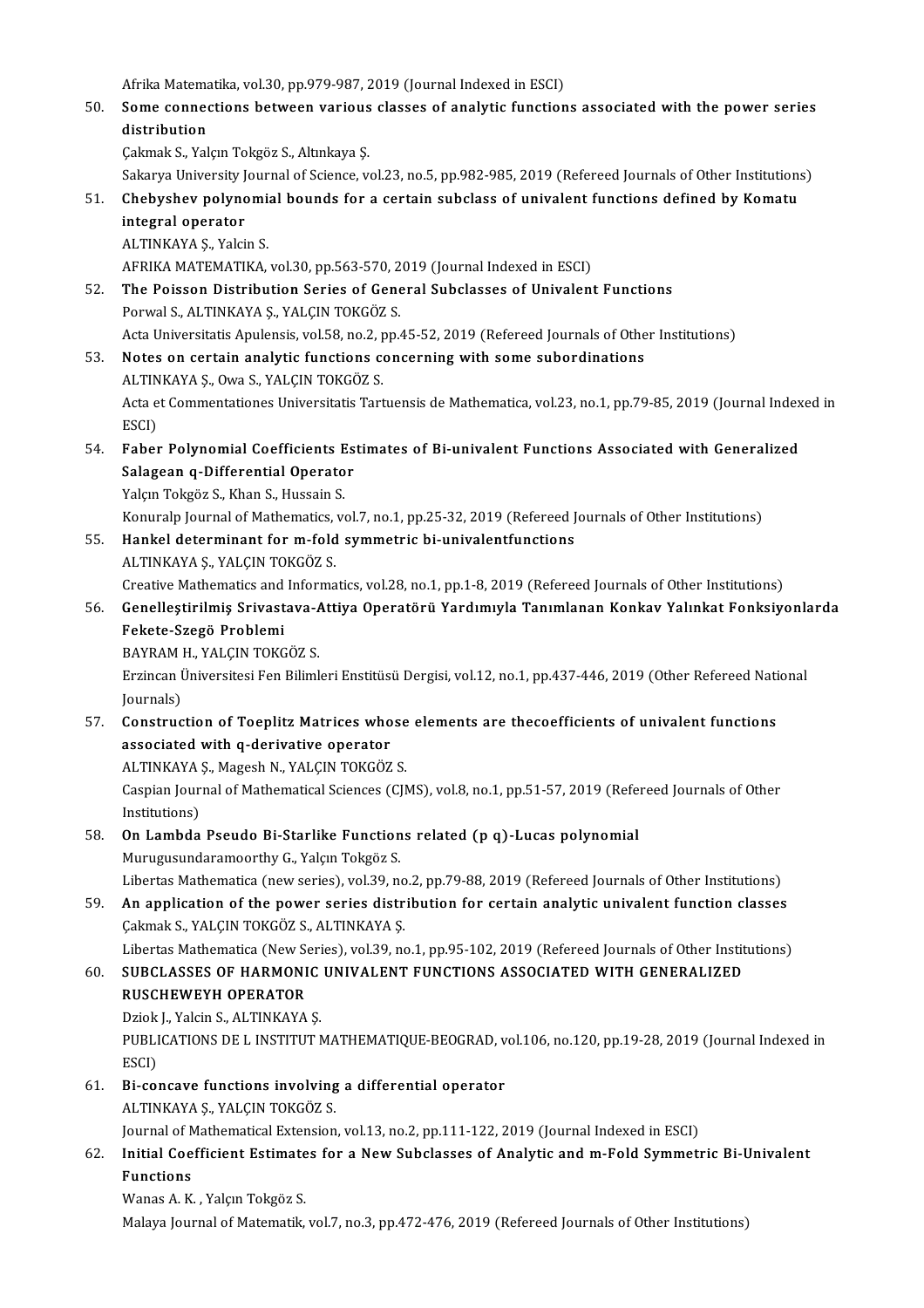Afrika Matematika, vol.30, pp.979-987, 2019 (Journal Indexed in ESCI)<br>Some connections between various slasses of analytic function

Afrika Matematika, vol.30, pp.979-987, 2019 (Journal Indexed in ESCI)<br>50. Some connections between various classes of analytic functions associated with the power series Afrika Matema<br>Some conned<br>distribution<br>Colmak S. Val Some connections between various<br>distribution<br>Çakmak S., Yalçın Tokgöz S., Altınkaya Ş.<br>Salmun University Jaumal of Ssiance v. <mark>distribution</mark><br>Çakmak S., Yalçın Tokgöz S., Altınkaya Ş.<br>Sakarya University Journal of Science, vol.23, no.5, pp.982-985, 2019 (Refereed Journals of Other Institutions)<br>Chebyshov nolynomial bounds for a sertain subslass of

- 51. Cakmak S., Yalçın Tokgöz S., Altınkaya Ş.<br>Sakarya University Journal of Science, vol.23, no.5, pp.982-985, 2019 (Refereed Journals of Other Institutions<br>51. Chebyshev polynomial bounds for a certain subclass of univale Sakarya University J<br>Chebyshev polync<br>integral operator<br>ALTINKAYA S. Vaki 51. Chebyshev polynomial bounds for a certain subclass of univalent functions defined by Komatu integral operator<br>ALTINKAYA S., Yalcin S. i<mark>ntegral operator</mark><br>ALTINKAYA Ş., Yalcin S.<br>AFRIKA MATEMATIKA, vol.30, pp.563-570, 2019 (Journal Indexed in ESCI)<br>The Beissen Distribution Series of Ceneral Subelasses of Univelant
- 52. The Poisson Distribution Series of General Subclasses of Univalent Functions AFRIKA MATEMATIKA, vol.30, pp.563-570, 2<br>The Poisson Distribution Series of Gene<br>Porwal S., ALTINKAYA Ş., YALÇIN TOKGÖZ S. Acta Universitatis Apulensis, vol.58, no.2, pp.45-52, 2019 (Refereed Journals of Other Institutions)
- 53. Notes on certain analytic functions concerning with some subordinations Acta Universitatis Apulensis, vol.58, no.2, p<br>Notes on certain analytic functions contains and the set of Commentations Indiansellations and the set of  $\alpha$ Acta et Commentationes Universitatis Tartuensis de Mathematica, vol.23, no.1, pp.79-85, 2019 (Journal Indexed in ESCI) ALTIN<br>Acta e<br>ESCI)<br>Esbat
- 54. Faber Polynomial Coefficients Estimates of Bi-univalent Functions Associated with Generalized ESCI)<br>Faber Polynomial Coefficients Es<br>Salagean q-Differential Operator<br>Yakın Tokgöz S. Khan S. Hussain S. Faber Polynomial Coefficients E<br>Salagean q-Differential Operato<br>Yalçın Tokgöz S., Khan S., Hussain S.<br>Kanunala Jaumal of Mathematics v Salagean q-Differential Operator<br>Yalçın Tokgöz S., Khan S., Hussain S.<br>Konuralp Journal of Mathematics, vol.7, no.1, pp.25-32, 2019 (Refereed Journals of Other Institutions)<br>Hankel determinant for m fold summetrie bi unive

Yalçın Tokgöz S., Khan S., Hussain S.<br>Konuralp Journal of Mathematics, vol.7, no.1, pp.25-32, 2019 (Refereed J<br>55. Hankel determinant for m-fold symmetric bi-univalentfunctions<br>ALTINKAYA S. VALGIN TOKGÖZ S. Konuralp Journal of Mathematics,<br>Hankel determinant for m-fold<br>ALTINKAYA Ş., YALÇIN TOKGÖZ S.<br>Creative Mathematics and Informa Hankel determinant for m-fold symmetric bi-univalentfunctions<br>ALTINKAYA Ș., YALÇIN TOKGÖZ S.<br>Creative Mathematics and Informatics, vol.28, no.1, pp.1-8, 2019 (Refereed Journals of Other Institutions)<br>Canellestirilmis Srive ALTINKAYA Ş., YALÇIN TOKGÖZ S.<br>Creative Mathematics and Informatics, vol.28, no.1, pp.1-8, 2019 (Refereed Journals of Other Institutions)<br>56. Genelleştirilmiş Srivastava-Attiya Operatörü Yardımıyla Tanımlanan Konkav Yalınk

# Creative Mathematics and<br>Genelleştirilmiş Srivast<br>Fekete-Szegö Problemi<br>PAVPAM H- VALCIN TOVC Genelleştirilmiş Srivastava-A<br>Fekete-Szegö Problemi<br>BAYRAM H., YALÇIN TOKGÖZ S.<br>Ergincon Üniversitesi Fen Biliml

Fekete-Szegö Problemi<br>BAYRAM H., YALÇIN TOKGÖZ S.<br>Erzincan Üniversitesi Fen Bilimleri Enstitüsü Dergisi, vol.12, no.1, pp.437-446, 2019 (Other Refereed National BAYRAM<br>Erzincan l<br>Journals)<br>Construs Erzincan Üniversitesi Fen Bilimleri Enstitüsü Dergisi, vol.12, no.1, pp.437-446, 2019 (Other Refereed Nation Journals)<br>57. Construction of Toeplitz Matrices whose elements are thecoefficients of univalent functions<br>57. Con

# Journals)<br>Construction of Toeplitz Matrices who<br>associated with q-derivative operator<br>ALTINKAYA S. Magash N. YALCIN TOKGÖZ Construction of Toeplitz Matrices whose<br>associated with q-derivative operator<br>ALTINKAYA Ş., Magesh N., YALÇIN TOKGÖZ S.<br>Cespian Journal of Mathematical Sciences (CU)

associated with q-derivative operator<br>ALTINKAYA Ș., Magesh N., YALÇIN TOKGÖZ S.<br>Caspian Journal of Mathematical Sciences (CJMS), vol.8, no.1, pp.51-57, 2019 (Refereed Journals of Other<br>Institutione) ALTINKAYA<br>Caspian Jour<br>Institutions)<br>On Lambda Caspian Journal of Mathematical Sciences (CJMS), vol.8, no.1, pp.51-57, 2019 (Refermations)<br>58. **On Lambda Pseudo Bi-Starlike Functions related (p q)-Lucas polynomial**<br>Municipal Municipal Municipal Control of Mathematical

# Institutions)<br>58. On Lambda Pseudo Bi-Starlike Functions related (p q)-Lucas polynomial<br>Murugusundaramoorthy G., Yalçın Tokgöz S.

Libertas Mathematica (new series), vol.39, no.2, pp.79-88, 2019 (Refereed Journals of Other Institutions)

59. An application of the power series distribution for certain analytic univalent function classes Çakmak S., YALÇIN TOKGÖZ S., ALTINKAYA Ş. An application of the power series distribution for certain analytic univalent function classes<br>Cakmak S., YALCIN TOKGÖZ S., ALTINKAYA Ş.<br>Libertas Mathematica (New Series), vol.39, no.1, pp.95-102, 2019 (Refereed Journals Cakmak S., YALÇIN TOKGÖZ S., ALTINKAYA Ş.<br>Libertas Mathematica (New Series), vol.39, no.1, pp.95-102, 2019 (Refereed Journals of Other Instit<br>60. SUBCLASSES OF HARMONIC UNIVALENT FUNCTIONS ASSOCIATED WITH GENERALIZED<br>RIJSC

### Libertas Mathematica (New Se<br>SUBCLASSES OF HARMONI<br>RUSCHEWEYH OPERATOR<br>Priek L Velsin S - ALTINKAVA 60. SUBCLASSES OF HARMONIC UNIVALENT FUNCTIONS ASSOCIATED WITH GENERALIZED<br>RUSCHEWEYH OPERATOR

Dziok J, Yalcin S, ALTINKAYA S.

PUBLICATIONS DE L INSTITUT MATHEMATIQUE-BEOGRAD, vol.106, no.120, pp.19-28, 2019 (Journal Indexed in<br>ESCI) PUBLICATIONS DE L INSTITUT MATHEMATIQUE-BEOGRAD, v<br>ESCI)<br>61. Bi-concave functions involving a differential operator<br>ALTINEAVA S, VALGIN TOEGÖZ S

# ESCI)<br>Bi-concave functions involving<br>ALTINKAYA Ş., YALÇIN TOKGÖZ S.<br>Journal of Mathematical Eutensian

ALTINKAYA Ș., YALÇIN TOKGÖZ S.<br>Journal of Mathematical Extension, vol.13, no.2, pp.111-122, 2019 (Journal Indexed in ESCI)

### ALTINKAYA Ș., YALÇIN TOKGÖZ S.<br>Journal of Mathematical Extension, vol.13, no.2, pp.111-122, 2019 (Journal Indexed in ESCI)<br>62. Initial Coefficient Estimates for a New Subclasses of Analytic and m-Fold Symmetric Bi-Univa Journal of N<br><mark>Initial Coe</mark><br>Functions<br>Wanes A *V* I<mark>nitial Coefficient Estimate</mark><br>Functions<br>Wanas A. K. , Yalçın Tokgöz S.<br>Malaya Journal of Matamatik **Functions**<br>Wanas A. K. , Yalçın Tokgöz S.<br>Malaya Journal of Matematik, vol.7, no.3, pp.472-476, 2019 (Refereed Journals of Other Institutions)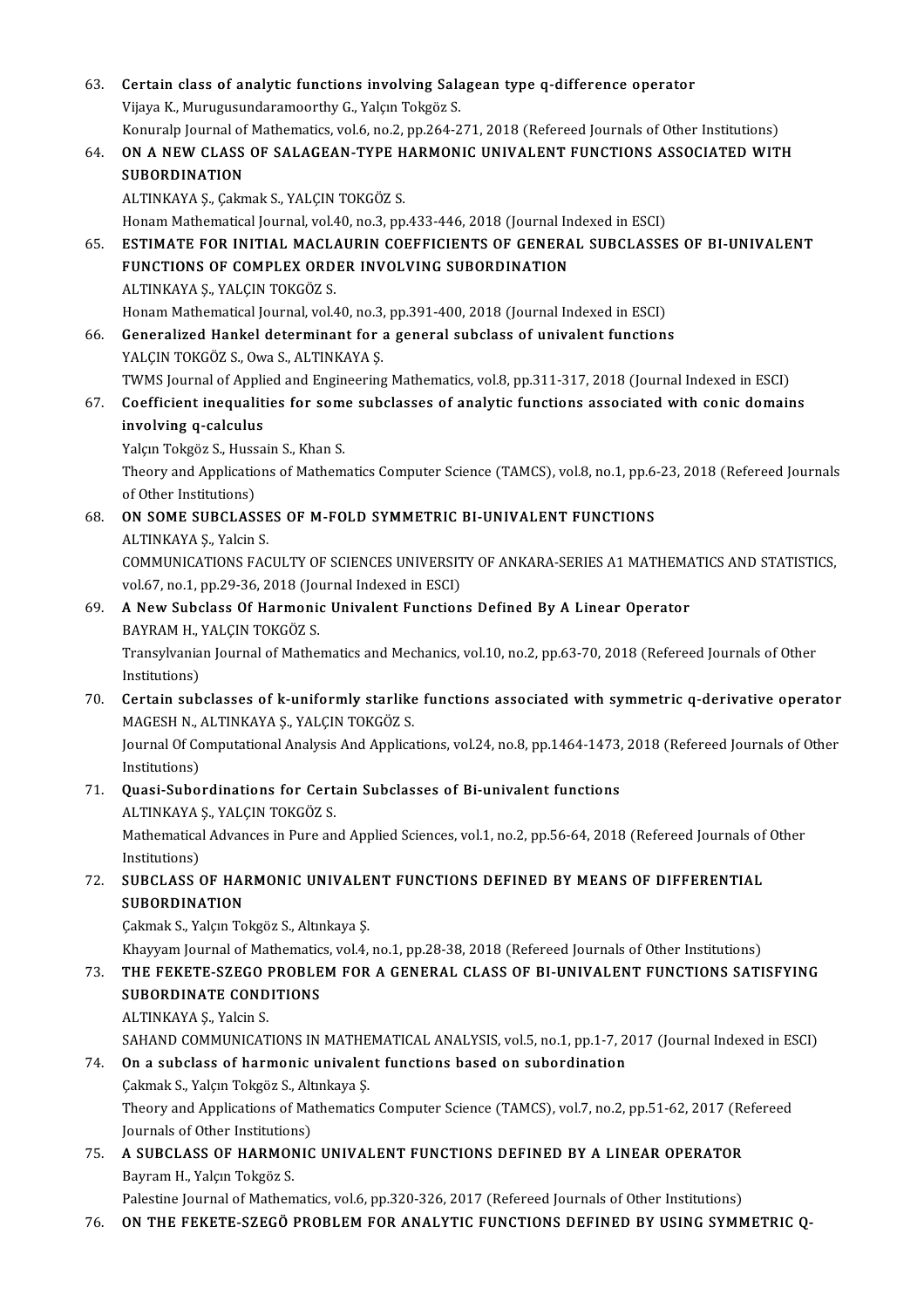| 63. | Certain class of analytic functions involving Salagean type q-difference operator                                                             |
|-----|-----------------------------------------------------------------------------------------------------------------------------------------------|
|     | Vijaya K., Murugusundaramoorthy G., Yalçın Tokgöz S.                                                                                          |
|     | Konuralp Journal of Mathematics, vol.6, no.2, pp.264-271, 2018 (Refereed Journals of Other Institutions)                                      |
| 64. | ON A NEW CLASS OF SALAGEAN-TYPE HARMONIC UNIVALENT FUNCTIONS ASSOCIATED WITH                                                                  |
|     | <b>SUBORDINATION</b>                                                                                                                          |
|     | ALTINKAYA Ş., Çakmak S., YALÇIN TOKGÖZ S.                                                                                                     |
|     | Honam Mathematical Journal, vol.40, no.3, pp.433-446, 2018 (Journal Indexed in ESCI)                                                          |
| 65. | ESTIMATE FOR INITIAL MACLAURIN COEFFICIENTS OF GENERAL SUBCLASSES OF BI-UNIVALENT                                                             |
|     | FUNCTIONS OF COMPLEX ORDER INVOLVING SUBORDINATION                                                                                            |
|     | ALTINKAYA Ş., YALÇIN TOKGÖZ S.                                                                                                                |
|     | Honam Mathematical Journal, vol.40, no.3, pp.391-400, 2018 (Journal Indexed in ESCI)                                                          |
| 66. | Generalized Hankel determinant for a general subclass of univalent functions                                                                  |
|     | YALÇIN TOKGÖZ S., Owa S., ALTINKAYA Ş.                                                                                                        |
|     | TWMS Journal of Applied and Engineering Mathematics, vol.8, pp.311-317, 2018 (Journal Indexed in ESCI)                                        |
| 67. | Coefficient inequalities for some subclasses of analytic functions associated with conic domains                                              |
|     | involving q-calculus                                                                                                                          |
|     | Yalçın Tokgöz S., Hussain S., Khan S.                                                                                                         |
|     | Theory and Applications of Mathematics Computer Science (TAMCS), vol.8, no.1, pp.6-23, 2018 (Refereed Journals                                |
|     | of Other Institutions)                                                                                                                        |
| 68. | ON SOME SUBCLASSES OF M-FOLD SYMMETRIC BI-UNIVALENT FUNCTIONS                                                                                 |
|     | ALTINKAYA Ş., Yalcin S.                                                                                                                       |
|     | COMMUNICATIONS FACULTY OF SCIENCES UNIVERSITY OF ANKARA-SERIES A1 MATHEMATICS AND STATISTICS,                                                 |
|     | vol.67, no.1, pp.29-36, 2018 (Journal Indexed in ESCI)                                                                                        |
| 69. | A New Subclass Of Harmonic Univalent Functions Defined By A Linear Operator                                                                   |
|     | BAYRAM H., YALÇIN TOKGÖZ S.                                                                                                                   |
|     | Transylvanian Journal of Mathematics and Mechanics, vol.10, no.2, pp.63-70, 2018 (Refereed Journals of Other                                  |
|     | Institutions)                                                                                                                                 |
| 70. | Certain subclasses of k-uniformly starlike functions associated with symmetric q-derivative operator                                          |
|     | MAGESH N, ALTINKAYA Ş, YALÇIN TOKGÖZ S.                                                                                                       |
|     | Journal Of Computational Analysis And Applications, vol.24, no.8, pp.1464-1473, 2018 (Refereed Journals of Other                              |
|     | Institutions)                                                                                                                                 |
| 71. | Quasi-Subordinations for Certain Subclasses of Bi-univalent functions                                                                         |
|     | ALTINKAYA Ş., YALÇIN TOKGÖZ S.<br>Mathematical Advances in Pure and Applied Sciences, vol.1, no.2, pp.56-64, 2018 (Refereed Journals of Other |
|     |                                                                                                                                               |
|     | Institutions)<br>SUBCLASS OF HARMONIC UNIVALENT FUNCTIONS DEFINED BY MEANS OF DIFFERENTIAL                                                    |
| 72. | <b>SUBORDINATION</b>                                                                                                                          |
|     | Çakmak S., Yalçın Tokgöz S., Altınkaya Ş.                                                                                                     |
|     | Khayyam Journal of Mathematics, vol.4, no.1, pp.28-38, 2018 (Refereed Journals of Other Institutions)                                         |
| 73. | THE FEKETE-SZEGO PROBLEM FOR A GENERAL CLASS OF BI-UNIVALENT FUNCTIONS SATISFYING                                                             |
|     | SUBORDINATE CONDITIONS                                                                                                                        |
|     | ALTINKAYA Ş., Yalcin S.                                                                                                                       |
|     | SAHAND COMMUNICATIONS IN MATHEMATICAL ANALYSIS, vol.5, no.1, pp.1-7, 2017 (Journal Indexed in ESCI)                                           |
| 74. | On a subclass of harmonic univalent functions based on subordination                                                                          |
|     | Çakmak S., Yalçın Tokgöz S., Altınkaya Ş.                                                                                                     |
|     | Theory and Applications of Mathematics Computer Science (TAMCS), vol.7, no.2, pp.51-62, 2017 (Refereed                                        |
|     | Journals of Other Institutions)                                                                                                               |
| 75. | A SUBCLASS OF HARMONIC UNIVALENT FUNCTIONS DEFINED BY A LINEAR OPERATOR                                                                       |
|     | Bayram H., Yalçın Tokgöz S.                                                                                                                   |
|     | Palestine Journal of Mathematics, vol.6, pp.320-326, 2017 (Refereed Journals of Other Institutions)                                           |
| 76. | ON THE FEKETE-SZEGÖ PROBLEM FOR ANALYTIC FUNCTIONS DEFINED BY USING SYMMETRIC Q-                                                              |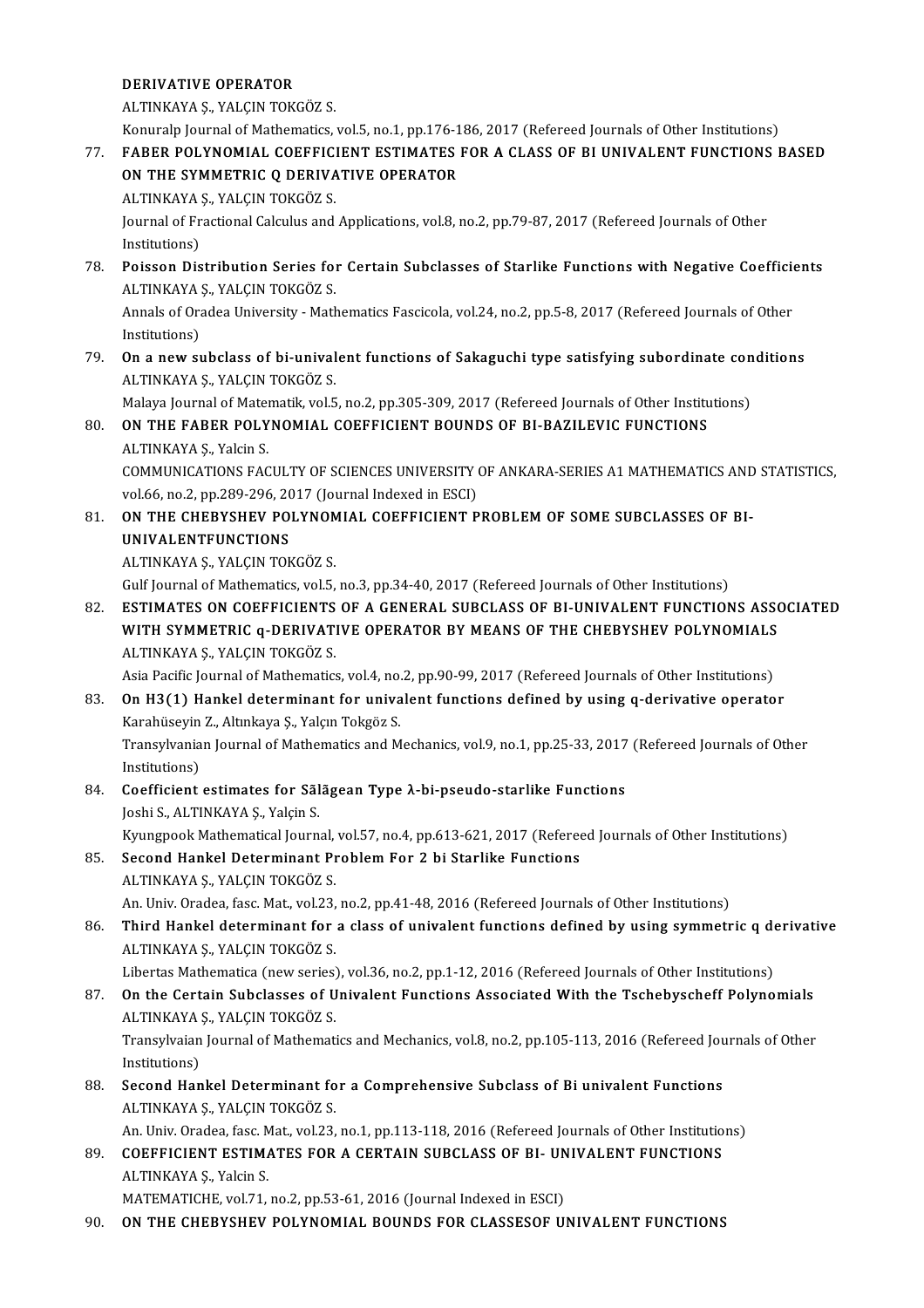### DERIVATIVE OPERATOR

ALTINKAYAŞ.,YALÇINTOKGÖZ S.

DERIVATIVE OPERATOR<br>ALTINKAYA Ș., YALÇIN TOKGÖZ S.<br>Konuralp Journal of Mathematics, vol.5, no.1, pp.176-186, 2017 (Refereed Journals of Other Institutions)<br>EARER POLYNOMIAL COEFEICIENT ESTIMATES EOR A CLASS OF PLUNIVALENT

ALTINKAYA Ș., YALÇIN TOKGÖZ S.<br>Konuralp Journal of Mathematics, vol.5, no.1, pp.176-186, 2017 (Refereed Journals of Other Institutions)<br>77. FABER POLYNOMIAL COEFFICIENT ESTIMATES FOR A CLASS OF BI UNIVALENT FUNCTIONS BA Konuralp Journal of Mathematics, vol.5, no.1, pp.176-1<br>FABER POLYNOMIAL COEFFICIENT ESTIMATES<br>ON THE SYMMETRIC Q DERIVATIVE OPERATOR<br>ALTINKAYA S, VALCIN TOKCÖZ S FABER POLYNOMIAL COEFFIC<br>ON THE SYMMETRIC Q DERIVA<br>ALTINKAYA Ş., YALÇIN TOKGÖZ S.<br>Journal of Erectional Calculus and

ON THE SYMMETRIC Q DERIVATIVE OPERATOR<br>ALTINKAYA Ş., YALÇIN TOKGÖZ S.<br>Journal of Fractional Calculus and Applications, vol.8, no.2, pp.79-87, 2017 (Refereed Journals of Other<br>Institutions) ALTINKAYA :<br>Journal of Fr<br>Institutions)<br>Poisson Dis

78. Poisson Distribution Series for Certain Subclasses of Starlike Functions with Negative Coefficients ALTINKAYAŞ.,YALÇINTOKGÖZ S. Poisson Distribution Series for Certain Subclasses of Starlike Functions with Negative Coefficie<br>ALTINKAYA Ș., YALÇIN TOKGÖZ S.<br>Annals of Oradea University - Mathematics Fascicola, vol.24, no.2, pp.5-8, 2017 (Refereed Jour

ALTINKAYA :<br>Annals of Ora<br>Institutions)<br>On a new sy Annals of Oradea University - Mathematics Fascicola, vol.24, no.2, pp.5-8, 2017 (Refereed Journals of Other<br>Institutions)<br>**On a new subclass of bi-univalent functions of Sakaguchi type satisfying subordinate conditions**<br>AL

Institutions)<br> **On a new subclass of bi-univalent functions of Sakaguchi type satisfying subordinate con**<br>
ALTINKAYA Ş., YALÇIN TOKGÖZ S.<br>
Malaya Journal of Matematik, vol.5, no.2, pp.305-309, 2017 (Refereed Journals of Ot 79. On a new subclass of bi-univalent functions of Sakaguchi type satisfying subordinate conditions

### ALTINKAYA Ș., YALÇIN TOKGÖZ S.<br>Malaya Journal of Matematik, vol.5, no.2, pp.305-309, 2017 (Refereed Journals of Other Institu<br>80. **ON THE FABER POLYNOMIAL COEFFICIENT BOUNDS OF BI-BAZILEVIC FUNCTIONS** Malaya Journal of Mater<br>**ON THE FABER POLY**<br>ALTINKAYA Ş., Yalcin S.<br>COMMUNICATIONS FAC ON THE FABER POLYNOMIAL COEFFICIENT BOUNDS OF BI-BAZILEVIC FUNCTIONS<br>ALTINKAYA Ş., Yalcin S.<br>COMMUNICATIONS FACULTY OF SCIENCES UNIVERSITY OF ANKARA-SERIES A1 MATHEMATICS AND STATISTICS,

ALTINKAYA Ș., Yalcin S.<br>COMMUNICATIONS FACULTY OF SCIENCES UNIVERSITY (<br>vol.66, no.2, pp.289-296, 2017 (Journal Indexed in ESCI)<br>ON THE CHERVSHEV POLYNOMIAL COEEEICLENT P COMMUNICATIONS FACULTY OF SCIENCES UNIVERSITY OF ANKARA-SERIES A1 MATHEMATICS AND vol.66, no.2, pp.289-296, 2017 (Journal Indexed in ESCI)<br>81. **ON THE CHEBYSHEV POLYNOMIAL COEFFICIENT PROBLEM OF SOME SUBCLASSES OF BI-**

vol.66, no.2, pp.289-296, 2017 (Journal Indexed in ESCI)<br>ON THE CHEBYSHEV POLYNOMIAL COEFFICIENT P<br>UNIVALENTFUNCTIONS<br>ALTINKAYA \$., YALÇIN TOKGÖZ \$. ON THE CHEBYSHEV POLYNOM<br>UNIVALENTFUNCTIONS<br>ALTINKAYA Ş., YALÇIN TOKGÖZ S.<br>Culf Journal of Mathematics vol 5

Gulf Journal of Mathematics, vol.5, no.3, pp.34-40, 2017 (Refereed Journals of Other Institutions)

82. ESTIMATES ON COEFFICIENTS OF A GENERAL SUBCLASS OF BI-UNIVALENT FUNCTIONS ASSOCIATED Gulf Journal of Mathematics, vol.5, no.3, pp.34-40, 2017 (Refereed Journals of Other Institutions)<br>ESTIMATES ON COEFFICIENTS OF A GENERAL SUBCLASS OF BI-UNIVALENT FUNCTIONS ASS(<br>WITH SYMMETRIC q-DERIVATIVE OPERATOR BY MEAN ESTIMATES ON COEFFICIENTS<br>WITH SYMMETRIC q-DERIVATI<br>ALTINKAYA Ş., YALÇIN TOKGÖZ S.<br>Asia Basifis Journal of Mathomatics WITH SYMMETRIC q-DERIVATIVE OPERATOR BY MEANS OF THE CHEBYSHEV POLYNOMIALS<br>ALTINKAYA Ş., YALÇIN TOKGÖZ S.<br>Asia Pacific Journal of Mathematics, vol.4, no.2, pp.90-99, 2017 (Refereed Journals of Other Institutions)<br>On H2(1) 83. ALTINKAYA Ş., YALÇIN TOKGÖZ S.<br>Asia Pacific Journal of Mathematics, vol.4, no.2, pp.90-99, 2017 (Refereed Journals of Other Institutions)<br>83. On H3(1) Hankel determinant for univalent functions defined by using q-deriv

- Asia Pacific Journal of Mathematics, vol.4, no.<br>**On H3(1) Hankel determinant for univa**<br>Karahüseyin Z., Altınkaya Ş., Yalçın Tokgöz S.<br>Transulyanian Journal of Mathematics and M Transylvanian Journal of Mathematics and Mechanics, vol.9, no.1, pp.25-33, 2017 (Refereed Journals of Other Institutions) Karahüseyin<br>Transylvania<br>Institutions)<br>Coofficiont Transylvanian Journal of Mathematics and Mechanics, vol.9, no.1, pp.25-33, 2017<br>Institutions)<br>84. Coefficient estimates for Sãlãgean Type λ-bi-pseudo-starlike Functions<br>Jeshi S. ALTINKAVA S. Volsin S.
- Institutions)<br><mark>Coefficient estimates for Sãl</mark><br>Joshi S., ALTINKAYA Ş., Yalçin S.<br>Kuungpook Methematical Jeurn Joshi S., ALTINKAYA Ș., Yalçin S.<br>Kyungpook Mathematical Journal, vol.57, no.4, pp.613-621, 2017 (Refereed Journals of Other Institutions)
- Joshi S., ALTINKAYA Ş., Yalçin S.<br>Kyungpook Mathematical Journal, vol.57, no.4, pp.613-621, 2017 (Referee<br>85. Second Hankel Determinant Problem For 2 bi Starlike Functions<br>ALTINKAYA S. VALGIN TOKGÖZ S. Kyungpook Mathematical Journal,<br>Second Hankel Determinant Pr<br>ALTINKAYA Ş., YALÇIN TOKGÖZ S.<br>An Univ Oradea fasa Mat. val 33 ALTINKAYA Ș., YALÇIN TOKGÖZ S.<br>An. Univ. Oradea, fasc. Mat., vol.23, no.2, pp.41-48, 2016 (Refereed Journals of Other Institutions)

ALTINKAYA Ș., YALÇIN TOKGÖZ S.<br>An. Univ. Oradea, fasc. Mat., vol.23, no.2, pp.41-48, 2016 (Refereed Journals of Other Institutions)<br>86. Third Hankel determinant for a class of univalent functions defined by using symme An. Univ. Oradea, fasc. Mat., vol.23,<br><mark>Third Hankel determinant for</mark><br>ALTINKAYA Ş., YALÇIN TOKGÖZ S.<br>Libertes Mathematica (new series) Third Hankel determinant for a class of univalent functions defined by using symmetric q de<br>ALTINKAYA Ş., YALÇIN TOKGÖZ S.<br>Libertas Mathematica (new series), vol.36, no.2, pp.1-12, 2016 (Refereed Journals of Other Institut

ALTINKAYA Ș., YALÇIN TOKGÖZ S.<br>Libertas Mathematica (new series), vol.36, no.2, pp.1-12, 2016 (Refereed Journals of Other Institutions)<br>87. On the Certain Subclasses of Univalent Functions Associated With the Tschebyscheff Libertas Mathematica (new series)<br>**On the Certain Subclasses of U**<br>ALTINKAYA Ş., YALÇIN TOKGÖZ S.<br>Transulyaian Journal of Mathemati On the Certain Subclasses of Univalent Functions Associated With the Tschebyscheff Polynomials<br>ALTINKAYA Ș., YALÇIN TOKGÖZ S.<br>Transylvaian Journal of Mathematics and Mechanics, vol.8, no.2, pp.105-113, 2016 (Refereed Journ

ALTINKAYA<br>Transylvaian<br>Institutions)<br>Second Han Transylvaian Journal of Mathematics and Mechanics, vol.8, no.2, pp.105-113, 2016 (Refereed Journal Institutions)<br>88. Second Hankel Determinant for a Comprehensive Subclass of Bi univalent Functions<br>ALTINKAVA S. VALGIN TOKG

Institutions)<br>88. Second Hankel Determinant for a Comprehensive Subclass of Bi univalent Functions<br>ALTINKAYA S., YALCIN TOKGÖZ S.

An. Univ. Oradea, fasc. Mat., vol.23, no.1, pp.113-118, 2016 (Refereed Journals of Other Institutions)

ALTINKAYA Ș., YALÇIN TOKGÖZ S.<br>An. Univ. Oradea, fasc. Mat., vol.23, no.1, pp.113-118, 2016 (Refereed Journals of Other Institutio<br>89. COEFFICIENT ESTIMATES FOR A CERTAIN SUBCLASS OF BI- UNIVALENT FUNCTIONS<br>ALTINKAYA S. Vo An. Univ. Oradea, fasc. M<br>COEFFICIENT ESTIMA<br>ALTINKAYA Ş., Yalcin S.<br>MATEMATICUE. vol 71 COEFFICIENT ESTIMATES FOR A CERTAIN SUBCLASS OF BI- UN<br>ALTINKAYA Ş., Yalcin S.<br>MATEMATICHE, vol.71, no.2, pp.53-61, 2016 (Journal Indexed in ESCI)<br>ON THE CHERVSHEV POLYNOMIAL ROUNDS FOR CLASSESOE U ALTINKAYA Ş., Yalcin S.<br>MATEMATICHE, vol.71, no.2, pp.53-61, 2016 (Journal Indexed in ESCI)<br>90. ON THE CHEBYSHEV POLYNOMIAL BOUNDS FOR CLASSESOF UNIVALENT FUNCTIONS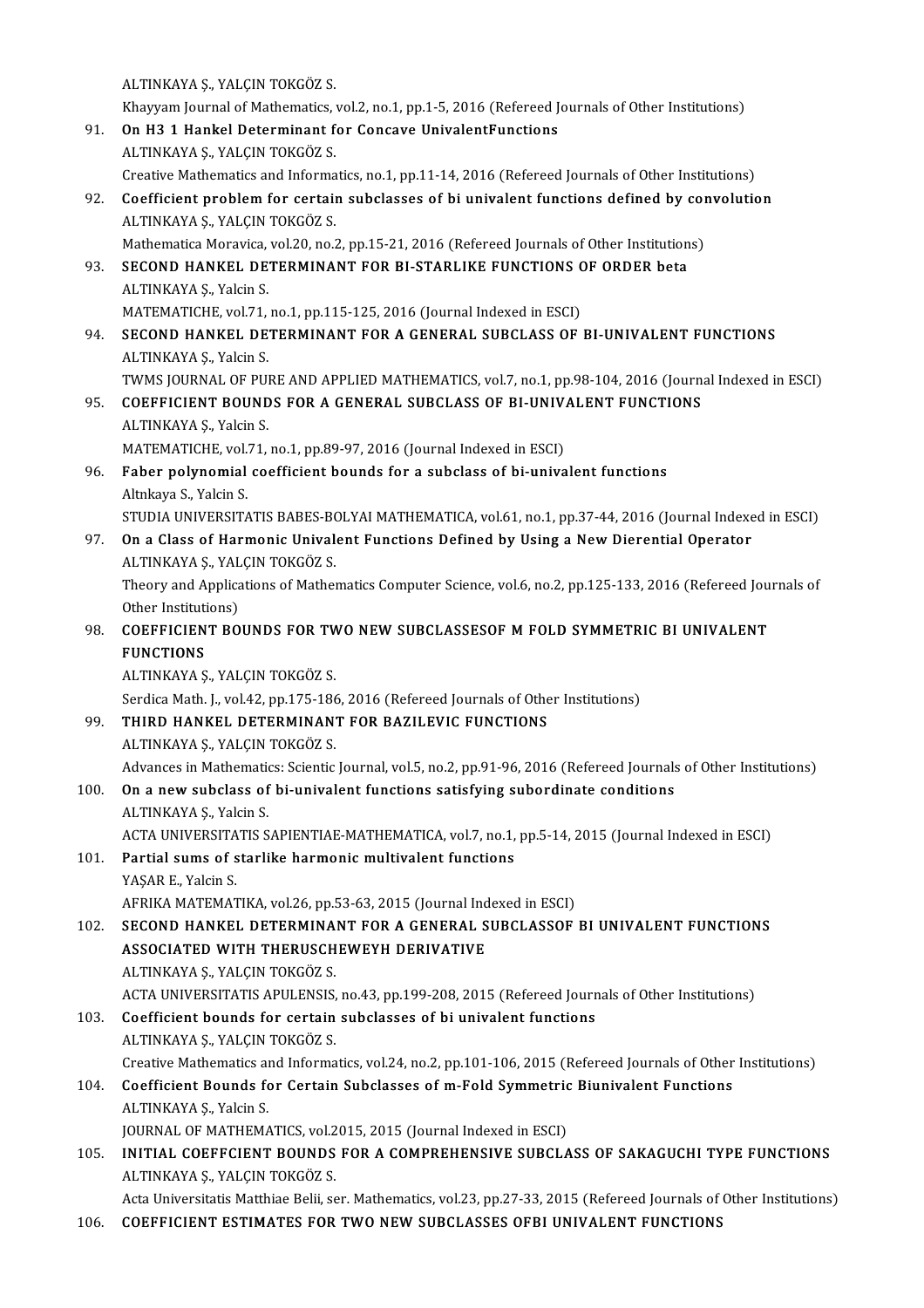ALTINKAYA Ş., YALÇIN TOKGÖZ S.

Khayyam Journal of Mathematics, vol.2, no.1, pp.1-5, 2016 (Refereed Journals of Other Institutions)

- ALTINKAYA Ş., YALÇIN TOKGÖZ S.<br>Khayyam Journal of Mathematics, vol.2, no.1, pp.1-5, 2016 (Refereed J<br>91. On H3 1 Hankel Determinant for Concave UnivalentFunctions<br>ALTINKAYA S. VALGIN TOKGÖZ S. Khayyam Journal of Mathematics,<br>**On H3 1 Hankel Determinant f**<br>ALTINKAYA Ş., YALÇIN TOKGÖZ S.<br>Creative Mathematics and Informa ALTINKAYA Ș., YALÇIN TOKGÖZ S.<br>Creative Mathematics and Informatics, no.1, pp.11-14, 2016 (Refereed Journals of Other Institutions) ALTINKAYA Ș., YALÇIN TOKGÖZ S.<br>Creative Mathematics and Informatics, no.1, pp.11-14, 2016 (Refereed Journals of Other Institutions)<br>92. Coefficient problem for certain subclasses of bi univalent functions defined by convol
- ALTINKAYA Ş., YALÇIN TOKGÖZ S.<br>Mathematica Moravica, vol.20, no.2, pp.15-21, 2016 (Refereed Journals of Other Institutions) Coefficient problem for certain subclasses of bi univalent functions defined by cor<br>ALTINKAYA Ş., YALÇIN TOKGÖZ S.<br>Mathematica Moravica, vol.20, no.2, pp.15-21, 2016 (Refereed Journals of Other Institutions)<br>SECOND HANKEL
- ALTINKAYA Ş., YALÇIN TOKGÖZ S.<br>Mathematica Moravica, vol.20, no.2, pp.15-21, 2016 (Refereed Journals of Other Institution<br>93. SECOND HANKEL DETERMINANT FOR BI-STARLIKE FUNCTIONS OF ORDER beta<br>ALTINKAYA S. Valsin S. SECOND HANKEL DETERMINANT FOR BI-STARLIKE FUNCTIONS ON ALTINKAYA Ş., Yalcin S.<br>MATEMATICHE, vol.71, no.1, pp.115-125, 2016 (Journal Indexed in ESCI)<br>SECOND HANKEL DETERMINANT FOR A CENERAL SURCLASS OF

ALTINKAYA Ş., Yalcin S.<br>MATEMATICHE, vol.71, no.1, pp.115-125, 2016 (Journal Indexed in ESCI)

- ALTINKAYA Ș., Yalcin S.<br>MATEMATICHE, vol.71, no.1, pp.115-125, 2016 (Journal Indexed in ESCI)<br>94. SECOND HANKEL DETERMINANT FOR A GENERAL SUBCLASS OF BI-UNIVALENT FUNCTIONS<br>ALTINKAYA S. Valcin S. MATEMATICHE, vol.71,<br>SECOND HANKEL DE<br>ALTINKAYA Ş., Yalcin S.<br>TWAS JOUPNAL OF PU SECOND HANKEL DETERMINANT FOR A GENERAL SUBCLASS OF BI-UNIVALENT FUNCTIONS<br>ALTINKAYA Ș., Yalcin S.<br>TWMS JOURNAL OF PURE AND APPLIED MATHEMATICS, vol.7, no.1, pp.98-104, 2016 (Journal Indexed in ESCI)<br>COEEEICIENT POUNDS EOR
- ALTINKAYA Ș., Yalcin S.<br>TWMS JOURNAL OF PURE AND APPLIED MATHEMATICS, vol.7, no.1, pp.98-104, 2016 (Journa<br>95. COEFFICIENT BOUNDS FOR A GENERAL SUBCLASS OF BI-UNIVALENT FUNCTIONS<br>ALTINKAYA S. Volsin S. TWMS JOURNAL OF PURE AND APPLIED MATHEMATICS, vol.7, no.1, pp.98-104, 2016 (Journal Indexed in ESCI) COEFFICIENT BOUNDS FOR A GENERAL SUBCLASS OF BI-UNIVALENT FUNCTIONS ALTINKAYA Ș., Yalcin S.
	- COEFFICIENT BOUNDS FOR A GENERAL SUBCLASS OF BI-UNIV.<br>ALTINKAYA Ş., Yalcin S.<br>MATEMATICHE, vol.71, no.1, pp.89-97, 2016 (Journal Indexed in ESCI)<br>Eshar polynomial socfficient bounds for a subslass of bi-unive MATEMATICHE, vol.71, no.1, pp.89-97, 2016 (Journal Indexed in ESCI)
- 96. Faber polynomial coefficient bounds for a subclass of bi-univalent functions
	-

Faber polynomial coefficient bounds for a subclass of bi-univalent functions<br>Altnkaya S., Yalcin S.<br>STUDIA UNIVERSITATIS BABES-BOLYAI MATHEMATICA, vol.61, no.1, pp.37-44, 2016 (Journal Indexed in ESCI)<br>On a Glass of Hormon

Altnkaya S., Yalcin S.<br>STUDIA UNIVERSITATIS BABES-BOLYAI MATHEMATICA, vol.61, no.1, pp.37-44, 2016 (Journal Indexe<br>97. On a Class of Harmonic Univalent Functions Defined by Using a New Dierential Operator<br>ALTINKAYA S. VALG STUDIA UNIVERSITATIS BABES-BO<br>On a Class of Harmonic Unival<br>ALTINKAYA Ş., YALÇIN TOKGÖZ S.<br>Theory and Annligations of Mathel On a Class of Harmonic Univalent Functions Defined by Using a New Dierential Operator<br>ALTINKAYA Ş., YALÇIN TOKGÖZ S.<br>Theory and Applications of Mathematics Computer Science, vol.6, no.2, pp.125-133, 2016 (Refereed Journals

ALTINKAYA Ş., YAL<br>Theory and Applica<br>Other Institutions)<br>COEEELCIENT BO Theory and Applications of Mathematics Computer Science, vol.6, no.2, pp.125-133, 2016 (Refereed Jou<br>Other Institutions)<br>98. COEFFICIENT BOUNDS FOR TWO NEW SUBCLASSESOF M FOLD SYMMETRIC BI UNIVALENT<br>EUNCTIONS

# Other Instituti<br>COEFFICIEN<br>FUNCTIONS COEFFICIENT BOUNDS FOR TW<br>FUNCTIONS<br>ALTINKAYA Ş., YALÇIN TOKGÖZ S.<br>Serdice Math L. vol.42, np.175,196

FUNCTIONS<br>ALTINKAYA Ş., YALÇIN TOKGÖZ S.<br>Serdica Math. J., vol.42, pp.175-186, 2016 (Refereed Journals of Other Institutions)

# ALTINKAYA Ş., YALÇIN TOKGÖZ S.<br>Serdica Math. J., vol.42, pp.175-186, 2016 (Refereed Journals of Othe<br>99. THIRD HANKEL DETERMINANT FOR BAZILEVIC FUNCTIONS<br>ALTINKAYA S. VALGIN TOKGÖZ S. Serdica Math. J., vol.42, pp.175-186<br>THIRD HANKEL DETERMINAN<br>ALTINKAYA Ş., YALÇIN TOKGÖZ S.<br>Advances in Mathematics: Scientic

ALTINKAYA Ș., YALÇIN TOKGÖZ S.<br>Advances in Mathematics: Scientic Journal, vol.5, no.2, pp.91-96, 2016 (Refereed Journals of Other Institutions)

ALTINKAYA Ș., YALÇIN TOKGÖZ S.<br>Advances in Mathematics: Scientic Journal, vol.5, no.2, pp.91-96, 2016 (Refereed Journals<br>100. On a new subclass of bi-univalent functions satisfying subordinate conditions<br>ALTINKAYA S. Volsi Advances in Mathemation<br>**On a new subclass of**<br>ALTINKAYA Ş., Yalcin S.<br>ACTA UNIVERSITATIS S On a new subclass of bi-univalent functions satisfying subordinate conditions<br>ALTINKAYA Ș., Yalcin S.<br>ACTA UNIVERSITATIS SAPIENTIAE-MATHEMATICA, vol.7, no.1, pp.5-14, 2015 (Journal Indexed in ESCI)<br>Partial sume of starlike

### ALTINKAYA Ș., Yalcin S.<br>ACTA UNIVERSITATIS SAPIENTIAE-MATHEMATICA, vol.7, no.1,<br>101. Partial sums of starlike harmonic multivalent functions<br>VASAR E. Valsin S. ACTA UNIVERSITA<br>Partial sums of s<br>YAŞAR E., Yalcin S.<br>AERIKA MATEMAT 101. Partial sums of starlike harmonic multivalent functions<br>YAŞAR E., Yalcin S.<br>AFRIKA MATEMATIKA, vol.26, pp.53-63, 2015 (Journal Indexed in ESCI)

### YAŞAR E., Yalcin S.<br>AFRIKA MATEMATIKA, vol.26, pp.53-63, 2015 (Journal Indexed in ESCI)<br>102. SECOND HANKEL DETERMINANT FOR A GENERAL SUBCLASSOF BI UNIVALENT FUNCTIONS<br>ASSOCIATED WITH THERIISCHEWEVH DERIVATIVE AFRIKA MATEMATIKA, vol.26, pp.53-63, 2015 (Journal Ind<br>SECOND HANKEL DETERMINANT FOR A GENERAL S<br>ASSOCIATED WITH THERUSCHEWEYH DERIVATIVE<br>ALTINKAYA S, VALCIN TOKGÖZ S SECOND HANKEL DETERMINA<br>ASSOCIATED WITH THERUSCH<br>ALTINKAYA Ş., YALÇIN TOKGÖZ S.<br>ACTA UNIVERSITATIS ADULENSIS ASSOCIATED WITH THERUSCHEWEYH DERIVATIVE<br>ALTINKAYA Ș., YALÇIN TOKGÖZ S.<br>ACTA UNIVERSITATIS APULENSIS, no.43, pp.199-208, 2015 (Refereed Journals of Other Institutions)<br>Coefficient bounds for sertain subelesses of bi univel

ALTINKAYA Ș., YALÇIN TOKGÖZ S.<br>ACTA UNIVERSITATIS APULENSIS, no.43, pp.199-208, 2015 (Refereed Journ<br>103. Coefficient bounds for certain subclasses of bi univalent functions<br>ALTINKAYA Ș., YALÇIN TOKGÖZ S. ACTA UNIVERSITATIS APULENSIS,<br>Coefficient bounds for certain<br>ALTINKAYA Ş., YALÇIN TOKGÖZ S.<br>Creative Mathematics and Informa Coefficient bounds for certain subclasses of bi univalent functions<br>ALTINKAYA Ș., YALÇIN TOKGÖZ S.<br>Creative Mathematics and Informatics, vol.24, no.2, pp.101-106, 2015 (Refereed Journals of Other Institutions)

### 104. Coefficient Bounds for Certain Subclasses of m-Fold Symmetric Biunivalent Functions<br>ALTINKAYA S., Yalcin S. Creative Mathematics an<br>Coefficient Bounds fo<br>ALTINKAYA Ş., Yalcin S.<br>JOUPNAL OF MATHEMA Coefficient Bounds for Certain Subclasses of m-Fold Symmetric<br>ALTINKAYA Ș., Yalcin S.<br>JOURNAL OF MATHEMATICS, vol.2015, 2015 (Journal Indexed in ESCI)<br>INITIAL COEFECIENT POUNDS FOR A COMPREUENSIVE SUPCLA

ALTINKAYA Ș., Yalcin S.<br>105. INITIAL OF MATHEMATICS, vol.2015, 2015 (Journal Indexed in ESCI)<br>105. INITIAL COEFFCIENT BOUNDS FOR A COMPREHENSIVE SUBCLASS OF SAKAGUCHI TYPE FUNCTIONS JOURNAL OF MATHEMATICS, vol.2<br>INITIAL COEFFCIENT BOUNDS<br>ALTINKAYA Ş., YALÇIN TOKGÖZ S.<br>Asta Universitatic Matthiae Belii, se INITIAL COEFFCIENT BOUNDS FOR A COMPREHENSIVE SUBCLASS OF SAKAGUCHI TYPE FUNCTIONS<br>ALTINKAYA Ș., YALÇIN TOKGÖZ S.<br>Acta Universitatis Matthiae Belii, ser. Mathematics, vol.23, pp.27-33, 2015 (Refereed Journals of Other Inst

ALTINKAYA \$., YALÇIN TOKGÖZ S.<br>106. Acta Universitatis Matthiae Belii, ser. Mathematics, vol.23, pp.27-33, 2015 (Refereed Journals of Other Institutions)<br>106. COEFFICIENT ESTIMATES FOR TWO NEW SUBCLASSES OFBI UNIVALE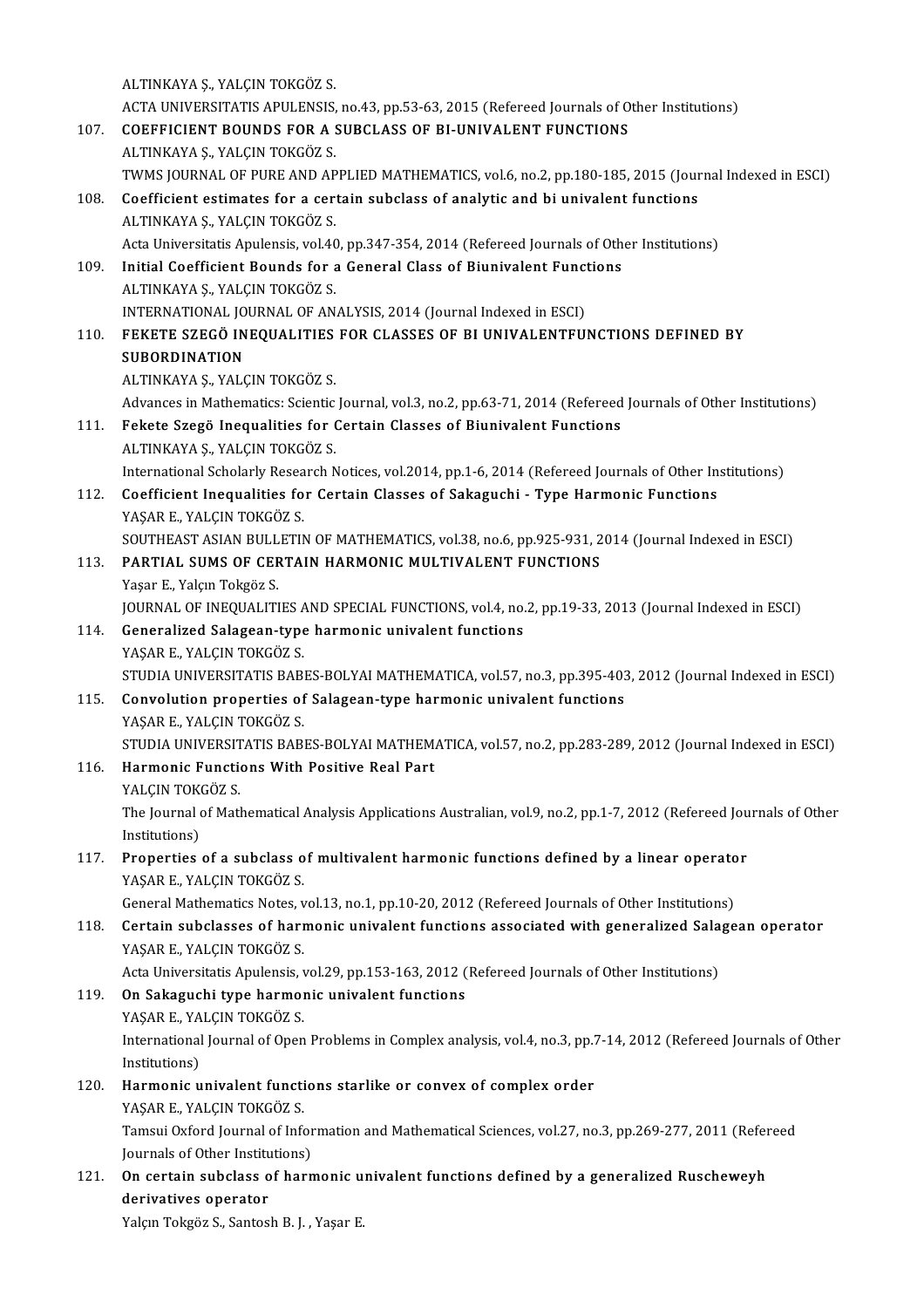ALTINKAYA Ş., YALÇIN TOKGÖZ S. ALTINKAYA Ș., YALÇIN TOKGÖZ S.<br>ACTA UNIVERSITATIS APULENSIS, no.43, pp.53-63, 2015 (Refereed Journals of Other Institutions)<br>COEEEICIENT POUNDS FOR A SUPCLASS OF PLUNUVALENT FUNCTIONS ALTINKAYA Ș., YALÇIN TOKGÖZ S.<br>ACTA UNIVERSITATIS APULENSIS, no.43, pp.53-63, 2015 (Refereed Journals of O<br>107. COEFFICIENT BOUNDS FOR A SUBCLASS OF BI-UNIVALENT FUNCTIONS<br>ALTINKAYA S. VALCIN TOKGÖZ S. ACTA UNIVERSITATIS APULENSIS,<br><mark>COEFFICIENT BOUNDS FOR A :</mark><br>ALTINKAYA Ş., YALÇIN TOKGÖZ S.<br>TWMS JOUPNAL OF PUPE AND AP TO THE COLORGICITY COURD AND A SUBILISS OF BI-UNIVALENT FUNCTIONS<br>ALTINKAYA S., YALÇIN TOKGÖZ S.<br>TWMS JOURNAL OF PURE AND APPLIED MATHEMATICS, vol.6, no.2, pp.180-185, 2015 (Journal Indexed in ESCI) 108. Coefficient estimates for a certain subclass of analytic and bi univalent functions ALTINKAYA Ş., YALÇIN TOKGÖZ S. Acta Universitatis Apulensis, vol.40, pp.347-354, 2014 (Refereed Journals of Other Institutions) ALTINKAYA Ș., YALÇIN TOKGÖZ S.<br>Acta Universitatis Apulensis, vol.40, pp.347-354, 2014 (Refereed Journals of Oth<br>109. Initial Coefficient Bounds for a General Class of Biunivalent Functions<br>ALTINKAYA S. VALCIN TOKCÖZ S. ALTINKAYAŞ.,YALÇINTOKGÖZ S. Initial Coefficient Bounds for a General Class of Biunivalent Funct<br>ALTINKAYA Ș., YALÇIN TOKGÖZ S.<br>INTERNATIONAL JOURNAL OF ANALYSIS, 2014 (Journal Indexed in ESCI)<br>EEKETE SZECÖ INFOUALITIES FOR CLASSES OF PLUNIVALENTEIU 110. FEKETE SZEGÖ INEQUALITIES FOR CLASSES OF BI UNIVALENTFUNCTIONS DEFINED BY INTERNATIONAL JOURNAL OF ANALYSIS, 2014 (Journal Indexed in ESCI) ALTINKAYAŞ.,YALÇINTOKGÖZ S. SUBORDINATION<br>ALTINKAYA Ș., YALÇIN TOKGÖZ S.<br>Advances in Mathematics: Scientic Journal, vol.3, no.2, pp.63-71, 2014 (Refereed Journals of Other Institutions)<br>Eskste Szegö Inequalities for Certain Classes of Biunivalent Eun 111. Fekete Szegö Inequalities for Certain Classes of Biunivalent Functions Advances in Mathematics: Scientic<br>Fekete Szegö Inequalities for (<br>ALTINKAYA Ş., YALÇIN TOKGÖZ S.<br>International Sabelarky Bessensh A Fekete Szegö Inequalities for Certain Classes of Biunivalent Functions<br>ALTINKAYA Ș., YALÇIN TOKGÖZ S.<br>International Scholarly Research Notices, vol.2014, pp.1-6, 2014 (Refereed Journals of Other Institutions)<br>Coefficient I 112. Coefficient Inequalities for Certain Classes of Sakaguchi - Type Harmonic Functions International Scholarly Resea<br>Coefficient Inequalities fo<br>YAŞAR E., YALÇIN TOKGÖZ S.<br>SOUTUEAST ASIAN BULLETIN SOUTHEAST ASIAN BULLETIN OF MATHEMATICS, vol.38, no.6, pp.925-931, 2014 (Journal Indexed in ESCI) YAŞAR E., YALÇIN TOKGÖZ S.<br>SOUTHEAST ASIAN BULLETIN OF MATHEMATICS, vol.38, no.6, pp.925-931, 2<br>113. PARTIAL SUMS OF CERTAIN HARMONIC MULTIVALENT FUNCTIONS<br>Vasar E. Valam Takgöz S SOUTHEAST ASIAN BULL<br>PARTIAL SUMS OF CEF<br>Yaşar E., Yalçın Tokgöz S.<br>JOUPNAL OF INFOUALITI PARTIAL SUMS OF CERTAIN HARMONIC MULTIVALENT FUNCTIONS<br>Yaşar E., Yalçın Tokgöz S.<br>JOURNAL OF INEQUALITIES AND SPECIAL FUNCTIONS, vol.4, no.2, pp.19-33, 2013 (Journal Indexed in ESCI)<br>Conoralized Salagean tune harmonis univ Yaşar E., Yalçın Tokgöz S.<br>JOURNAL OF INEQUALITIES AND SPECIAL FUNCTIONS, vol.4, no.<br>114. Generalized Salagean-type harmonic univalent functions<br>YAŞAR E., YALÇIN TOKGÖZ S. **JOURNAL OF INEQUALITIES A<br>Generalized Salagean-type<br>YAŞAR E., YALÇIN TOKGÖZ S.<br>STUDIA UNIVERSITATIS BAR** STUDIA UNIVERSITATIS BABES-BOLYAI MATHEMATICA, vol.57, no.3, pp.395-403, 2012 (Journal Indexed in ESCI) 115. Convolution properties of Salagean-type harmonic univalent functions YAŞAR E., YALÇIN TOKGÖZ S. Convolution properties of Salagean-type harmonic univalent functions<br>YAŞAR E., YALÇIN TOKGÖZ S.<br>STUDIA UNIVERSITATIS BABES-BOLYAI MATHEMATICA, vol.57, no.2, pp.283-289, 2012 (Journal Indexed in ESCI)<br>Harmonis Eungtions Wit YAŞAR E., YALÇIN TOKGÖZ S.<br>STUDIA UNIVERSITATIS BABES-BOLYAI MATHEM.<br>116. Harmonic Functions With Positive Real Part<br>VALCIN TOKGÖZ S. STUDIA UNIVERSIT<br><mark>Harmonic Functi</mark><br>YALÇIN TOKGÖZ S.<br>The Journal of Matl Harmonic Functions With Positive Real Part<br>YALÇIN TOKGÖZ S.<br>The Journal of Mathematical Analysis Applications Australian, vol.9, no.2, pp.1-7, 2012 (Refereed Journals of Other YALÇIN TOKO<br>The Journal of<br>Institutions) The Journal of Mathematical Analysis Applications Australian, vol.9, no.2, pp.1-7, 2012 (Refereed Jou<br>Institutions)<br>117. Properties of a subclass of multivalent harmonic functions defined by a linear operator<br>NASAR E VALCI Institutions)<br>117. Properties of a subclass of multivalent harmonic functions defined by a linear operator<br>YAŞAR E., YALÇIN TOKGÖZ S. Properties of a subclass of multivalent harmonic functions defined by a linear operato<br>YAŞAR E., YALÇIN TOKGÖZ S.<br>General Mathematics Notes, vol.13, no.1, pp.10-20, 2012 (Refereed Journals of Other Institutions)<br>Certain su 118. YAŞAR E., YALÇIN TOKGÖZ S.<br>General Mathematics Notes, vol.13, no.1, pp.10-20, 2012 (Refereed Journals of Other Institutions)<br>118. Certain subclasses of harmonic univalent functions associated with generalized Salagean General Mathematics Notes, v<br>Certain subclasses of harr<br>YAŞAR E., YALÇIN TOKGÖZ S.<br>Acta Universitatic Anulonsis J Certain subclasses of harmonic univalent functions associated with generalized Sala<br>YAŞAR E., YALÇIN TOKGÖZ S.<br>Acta Universitatis Apulensis, vol.29, pp.153-163, 2012 (Refereed Journals of Other Institutions)<br>On Sakagushi t YAŞAR E., YALÇIN TOKGÖZ S.<br>Acta Universitatis Apulensis, vol.29, pp.153-163, 2012 (<br>119. **On Sakaguchi type harmonic univalent functions**<br>NASAR E. VALCIN TOKGÖZ S. Acta Universitatis Apulensis, v<br><mark>On Sakaguchi type harmo:</mark><br>YAŞAR E., YALÇIN TOKGÖZ S.<br>International Journal of Open On Sakaguchi type harmonic univalent functions<br>YAŞAR E., YALÇIN TOKGÖZ S.<br>International Journal of Open Problems in Complex analysis, vol.4, no.3, pp.7-14, 2012 (Refereed Journals of Other YAŞAR E., YA<br>International<br>Institutions)<br>Harmania u International Journal of Open Problems in Complex analysis, vol.4, no.3, pp.7<br>Institutions)<br>120. Harmonic univalent functions starlike or convex of complex order<br>VASAR F. VALCIN TOKCÖZ S Institutions)<br>Harmonic univalent functions starlike or convex of complex order<br>YAŞAR E., YALÇIN TOKGÖZ S. Harmonic univalent functions starlike or convex of complex order<br>YAŞAR E., YALÇIN TOKGÖZ S.<br>Tamsui Oxford Journal of Information and Mathematical Sciences, vol.27, no.3, pp.269-277, 2011 (Refereed<br>Journals of Other Institu YAŞAR E., YALÇIN TOKGÖZ S.<br>Tamsui Oxford Journal of Infor<br>Journals of Other Institutions)<br>On cortain subeless of born Tamsui Oxford Journal of Information and Mathematical Sciences, vol.27, no.3, pp.269-277, 2011 (Refer<br>Journals of Other Institutions)<br>121. On certain subclass of harmonic univalent functions defined by a generalized Rusche Journals of Other Institu<br>On certain subclass o<br>derivatives operator<br>Velen Tolmän S. Santos derivatives operator<br>Yalçın Tokgöz S., Santosh B. J. , Yaşar E.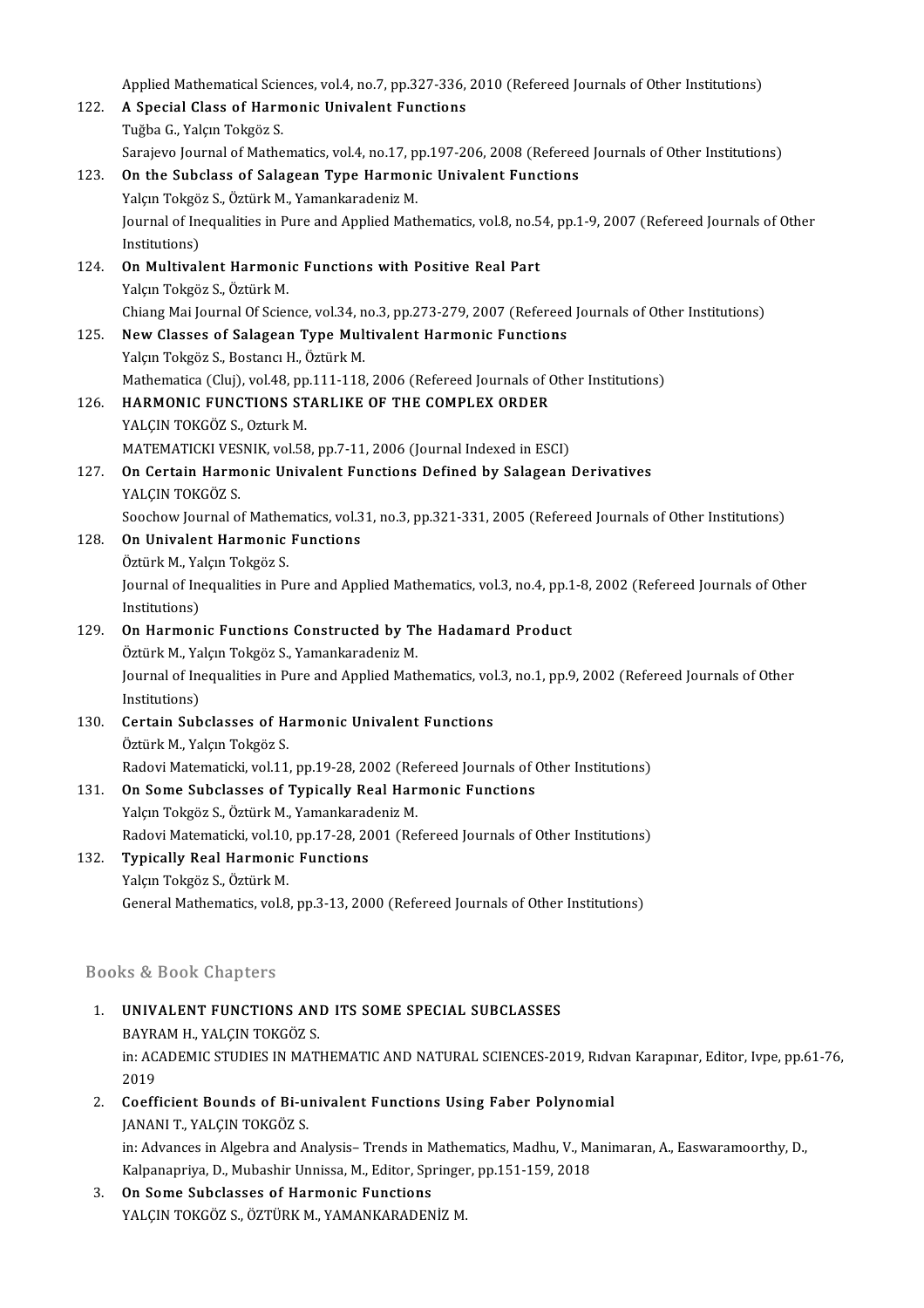Applied Mathematical Sciences, vol.4, no.7, pp.327-336, 2010 (Refereed Journals of Other Institutions) Applied Mathematical Sciences, vol.4, no.7, pp.327-336,<br>122. A Special Class of Harmonic Univalent Functions Applied Mathematical Scie<br>**A Special Class of Harn<br>Tuğba G., Yalçın Tokgöz S.**<br>Sansiava Jaumal of Mathe Tuğba G., Yalçın Tokgöz S.<br>Sarajevo Journal of Mathematics, vol.4, no.17, pp.197-206, 2008 (Refereed Journals of Other Institutions) Tuğba G., Yalçın Tokgöz S.<br>Sarajevo Journal of Mathematics, vol.4, no.17, pp.197-206, 2008 (Referee<br>123. On the Subclass of Salagean Type Harmonic Univalent Functions<br>Nalson Tokgöz S. Öztürk M. Vamankaradəniz M. Sarajevo Journal of Mathematics, vol.4, no.17, p.<br>**On the Subclass of Salagean Type Harmon**<br>Yalçın Tokgöz S., Öztürk M., Yamankaradeniz M.<br>Journal of Incouslities in Bure and Annlied Matl On the Subclass of Salagean Type Harmonic Univalent Functions<br>Yalçın Tokgöz S., Öztürk M., Yamankaradeniz M.<br>Journal of Inequalities in Pure and Applied Mathematics, vol.8, no.54, pp.1-9, 2007 (Refereed Journals of Other<br>I Yalçın Tokgö<br>Journal of In<br>Institutions)<br>On Multival Institutions)<br>124. On Multivalent Harmonic Functions with Positive Real Part Yalçın Tokgöz S., Öztürk M. On Multivalent Harmonic Functions with Positive Real Part<br>Yalçın Tokgöz S., Öztürk M.<br>Chiang Mai Journal Of Science, vol.34, no.3, pp.273-279, 2007 (Refereed Journals of Other Institutions)<br>Naw Classes of Salagean Tyne Mul Yalçın Tokgöz S., Öztürk M.<br>Chiang Mai Journal Of Science, vol.34, no.3, pp.273-279, 2007 (Refereed<br>125. New Classes of Salagean Type Multivalent Harmonic Functions<br>Valem Tokgöz S. Bostane: H. Östürk M. Chiang Mai Journal Of Science, vol.34, n<br>New Classes of Salagean Type Mul<br>Yalçın Tokgöz S., Bostancı H., Öztürk M.<br>Mathamatica (Clui), vol.49, np.111, 119 New Classes of Salagean Type Multivalent Harmonic Functions<br>Yalçın Tokgöz S., Bostancı H., Öztürk M.<br>Mathematica (Cluj), vol.48, pp.111-118, 2006 (Refereed Journals of Other Institutions)<br>HARMONIC EUNCTIONS STARLIKE OF THE Yalçın Tokgöz S., Bostancı H., Öztürk M.<br>Mathematica (Cluj), vol.48, pp.111-118, 2006 (Refereed Journals of C<br>126. HARMONIC FUNCTIONS STARLIKE OF THE COMPLEX ORDER<br>VALCIN TOKGÖZ S. Ozturk M. Mathematica (Cluj), vol.48, pp<br>HARMONIC FUNCTIONS ST<br>YALÇIN TOKGÖZ S., Ozturk M.<br>MATEMATICKI VESNIK, vol.59 HARMONIC FUNCTIONS STARLIKE OF THE COMPLEX ORDER<br>YALÇIN TOKGÖZ S., Ozturk M.<br>MATEMATICKI VESNIK, vol.58, pp.7-11, 2006 (Journal Indexed in ESCI)<br>On Certain Harmonis Univelant Eunstians Defined by Salassan . YALÇIN TOKGÖZ S., Ozturk M.<br>MATEMATICKI VESNIK, vol.58, pp.7-11, 2006 (Journal Indexed in ESCI)<br>127. **On Certain Harmonic Univalent Functions Defined by Salagean Derivatives**<br>VALGIN TOKGÖZ S MATEMATICKI VES<br><mark>On Certain Harm</mark><br>YALÇIN TOKGÖZ S.<br>Sessbaw Jaurnal o On Certain Harmonic Univalent Functions Defined by Salagean Derivatives<br>YALÇIN TOKGÖZ S.<br>Soochow Journal of Mathematics, vol.31, no.3, pp.321-331, 2005 (Refereed Journals of Other Institutions)<br>On Univelant Harmonic Eunsti YALÇIN TOKGÖZ S.<br>Soochow Journal of Mathematics, vol.3<br>128. **On Univalent Harmonic Functions**<br>Öztürk M., Yalçın Tokgöz S. Soochow Journal of Mather<br>**On Univalent Harmonic**<br>Öztürk M., Yalçın Tokgöz S.<br>Journal of Inoqualities in P On Univalent Harmonic Functions<br>Öztürk M., Yalçın Tokgöz S.<br>Journal of Inequalities in Pure and Applied Mathematics, vol.3, no.4, pp.1-8, 2002 (Refereed Journals of Other<br>Institutions) Öztürk M., Ya<br>Journal of In<br>Institutions)<br>On Harman Sultanual of Inequalities in Pure and Applied Mathematics, vol.3, no.4, pp.1<br>Institutions)<br>129. On Harmonic Functions Constructed by The Hadamard Product<br>
Catürk M. Yokun Toksöz S. Vamankandanis M. Institutions)<br>
On Harmonic Functions Constructed by The Hadamard Product Journal of Inequalities in Pure and Applied Mathematics, vol.3, no.1, pp.9, 2002 (Refereed Journals of Other<br>Institutions) Öztürk M., Yalçın Tokgöz S., Yamankaradeniz M. Journal of Inequalities in Pure and Applied Mathematics, vol<br>Institutions)<br>130. Certain Subclasses of Harmonic Univalent Functions<br> $\ddot{\text{O}}$ rtivk M. Volgy Tokgáz S Institutions)<br><mark>Certain Subclasses of H</mark><br>Öztürk M., Yalçın Tokgöz S.<br>Radovi Matematiski vel 11 Öztürk M., Yalçın Tokgöz S.<br>Radovi Matematicki, vol.11, pp.19-28, 2002 (Refereed Journals of Other Institutions) Öztürk M., Yalçın Tokgöz S.<br>Radovi Matematicki, vol.11, pp.19-28, 2002 (Refereed Journals of Companism Companism Companism M.<br>Nalsın Tokgöz S. Öztürli M. Vamanismedaniz M. Radovi Matematicki, vol.11, pp.19-28, 2002 (Res<br>**On Some Subclasses of Typically Real Har**<br>Yalçın Tokgöz S., Öztürk M., Yamankaradeniz M.<br>Redovi Matematicki vol.10, pp.17-28-2001 (Re Radovi Matematicki, vol.10, pp.17-28, 2001 (Refereed Journals of Other Institutions) Yalçın Tokgöz S., Öztürk M., Yamankaradeniz M.<br>Radovi Matematicki, vol.10, pp.17-28, 2001 (Rei<br>132. **Typically Real Harmonic Functions**<br>Yalçın Tokgöz S., Öztürk M. Typically Real Harmonic Functions General Mathematics, vol.8, pp.3-13, 2000 (Refereed Journals of Other Institutions)

### Books&Book Chapters

- Rooks & Book Chapters<br>1. UNIVALENT FUNCTIONS AND ITS SOME SPECIAL SUBCLASSES<br>RAVRAM H. VALCIN TOKCÖZ S **BAYRAMH, YALÇINTONS AN<br>BAYRAM H., YALÇIN TOKGÖZ S.<br>in: ACADEMIC STUDIES IN MAT.** UNIVALENT FUNCTIONS AND ITS SOME SPECIAL SUBCLASSES<br>BAYRAM H., YALÇIN TOKGÖZ S.<br>in: ACADEMIC STUDIES IN MATHEMATIC AND NATURAL SCIENCES-2019, Rıdvan Karapınar, Editor, Ivpe, pp.61-76,<br>2019 BAYR<br>in: AC<br>2019<br>Cooff in: ACADEMIC STUDIES IN MATHEMATIC AND NATURAL SCIENCES-2019, Ridv<br>2019<br>2. Coefficient Bounds of Bi-univalent Functions Using Faber Polynomial<br>14NANLT VALGN TOVCÔZ S
- 2019<br><mark>Coefficient Bounds of Bi-u</mark><br>JANANI T., YALÇIN TOKGÖZ S.<br>in: Advances in Alsahra and A. JANANI T., YALÇIN TOKGÖZ S.<br>in: Advances in Algebra and Analysis– Trends in Mathematics, Madhu, V., Manimaran, A., Easwaramoorthy, D., JANANI T., YALÇIN TOKGÖZ S.<br>in: Advances in Algebra and Analysis– Trends in Mathematics, Madhu, V., M.<br>Kalpanapriya, D., Mubashir Unnissa, M., Editor, Springer, pp.151-159, 2018<br>On Same Subalageas of Harmania Eunstians in: Advances in Algebra and Analysis– Trends in M<br>Kalpanapriya, D., Mubashir Unnissa, M., Editor, Sp<br>3. **On Some Subclasses of Harmonic Functions**<br>NALGIN TOKCÖZ S. ÖZTÜDK M. VAMANKARADEN
- Kalpanapriya, D., Mubashir Unnissa, M., Editor, Springel<br><mark>On Some Subclasses of Harmonic Functions</mark><br>YALÇIN TOKGÖZ S., ÖZTÜRK M., YAMANKARADENİZ M.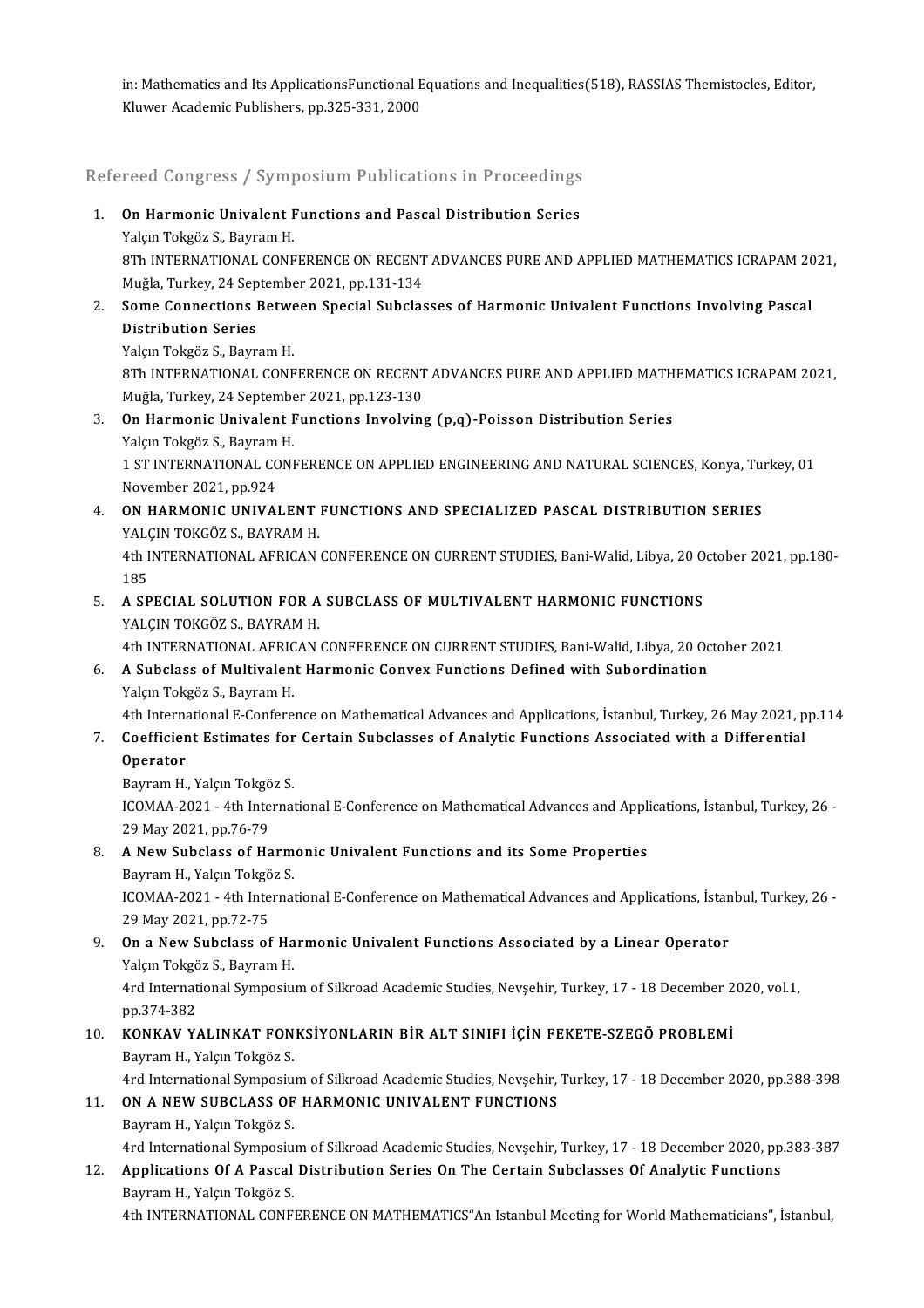in: Mathematics and Its ApplicationsFunctional Equations and Inequalities(518), RASSIAS Themistocles, Editor,<br>Kluver Agadamis Publishars, pp.225, 221, 2000. in: Mathematics and Its ApplicationsFunctional E<br>Kluwer Academic Publishers, pp.325-331, 2000

# kluwer Academic Publishers, pp.325-331, 2000<br>Refereed Congress / Symposium Publications in Proceedings

- Refereed Congress / Symposium Publications in Proceedings<br>1. On Harmonic Univalent Functions and Pascal Distribution Series<br>Nalon Teksër S. Bayram H 1. On Harmonic Univalent Functions and Pascal Distribution Series<br>Yalçın Tokgöz S., Bayram H. On Harmonic Univalent Functions and Pascal Distribution Series<br>Yalçın Tokgöz S., Bayram H.<br>8Th INTERNATIONAL CONFERENCE ON RECENT ADVANCES PURE AND APPLIED MATHEMATICS ICRAPAM 2021,<br>Muğla Turkay, 24 Santambar 2021, nn 131 Yalçın Tokgöz S., Bayram H.<br>8Th INTERNATIONAL CONFERENCE ON RECENT<br>Muğla, Turkey, 24 September 2021, pp.131-134<br>Sama Cannastiana Batwaan Snasial Subalas 8Th INTERNATIONAL CONFERENCE ON RECENT ADVANCES PURE AND APPLIED MATHEMATICS ICRAPAM 20<br>Muğla, Turkey, 24 September 2021, pp.131-134<br>2. Some Connections Between Special Subclasses of Harmonic Univalent Functions Involving
- Muğla, Turkey, 24 Sep<br><mark>Some Connections I</mark><br>Distribution Series<br><sup>Volem Tokgög S. Bour</sup> **Some Connections Betwe<br>Distribution Series<br>Yalçın Tokgöz S., Bayram H.<br>9Th INTERNATIONAL CONE** 
	-

Distribution Series<br>Yalçın Tokgöz S., Bayram H.<br>8Th INTERNATIONAL CONFERENCE ON RECENT ADVANCES PURE AND APPLIED MATHEMATICS ICRAPAM 2021,<br>Muğla Turkay, 24 Santambar 2021, nn 122,120. Yalçın Tokgöz S., Bayram H.<br>8Th INTERNATIONAL CONFERENCE ON RECENT<br>Muğla, Turkey, 24 September 2021, pp.123-130<br>On Harmonis Univelant Eunstiens Invelvins

- 3. On Harmonic Univalent Functions Involving (p,q)-Poisson Distribution Series Yalçın Tokgöz S., Bayram H. On Harmonic Univalent Functions Involving (p,q)-Poisson Distribution Series<br>Yalçın Tokgöz S., Bayram H.<br>1 ST INTERNATIONAL CONFERENCE ON APPLIED ENGINEERING AND NATURAL SCIENCES, Konya, Turkey, 01<br>Navamber 2021 pp.924 Yalçın Tokgöz S., Bayram<br>1 ST INTERNATIONAL CC<br>November 2021, pp.924<br>ON HABMONIC UNIVAL
- 1 ST INTERNATIONAL CONFERENCE ON APPLIED ENGINEERING AND NATURAL SCIENCES, Konya, Turktown 1997-1994<br>A. ON HARMONIC UNIVALENT FUNCTIONS AND SPECIALIZED PASCAL DISTRIBUTION SERIES<br>VALCIN TOKCÖZ S. PAYPAM H November 2021, pp.924<br>4. ON HARMONIC UNIVALENT FUNCTIONS AND SPECIALIZED PASCAL DISTRIBUTION SERIES<br>YALÇIN TOKGÖZ S., BAYRAM H. ON HARMONIC UNIVALENT FUNCTIONS AND SPECIALIZED PASCAL DISTRIBUTION SERIES<br>YALÇIN TOKGÖZ S., BAYRAM H.<br>4th INTERNATIONAL AFRICAN CONFERENCE ON CURRENT STUDIES, Bani-Walid, Libya, 20 October 2021, pp.180-<br>195

**YAL**<br>4th I<br>185<br>A SB 4th INTERNATIONAL AFRICAN CONFERENCE ON CURRENT STUDIES, Bani-Walid, Libya, 20 0<br>185. A SPECIAL SOLUTION FOR A SUBCLASS OF MULTIVALENT HARMONIC FUNCTIONS<br>VALCIN TOKCÖZ S. PANRAM H

185<br>**A SPECIAL SOLUTION FOR A**<br>YALÇIN TOKGÖZ S., BAYRAM H.<br>4th INTERNATIONAL AERICAN YALÇIN TOKGÖZ S., BAYRAM H.<br>4th INTERNATIONAL AFRICAN CONFERENCE ON CURRENT STUDIES, Bani-Walid, Libya, 20 October 2021

# YALÇIN TOKGÖZ S., BAYRAM H.<br>4th INTERNATIONAL AFRICAN CONFERENCE ON CURRENT STUDIES, Bani-Walid, Libya, 20 Oc<br>6. A Subclass of Multivalent Harmonic Convex Functions Defined with Subordination<br>Valan Takağa S. Bayram H 4th INTERNATIONAL AFRIC<br>**A Subclass of Multivalen**<br>Yalçın Tokgöz S., Bayram H.<br>4th International E Confore

Yalçın Tokgöz S., Bayram H.<br>4th International E-Conference on Mathematical Advances and Applications, İstanbul, Turkey, 26 May 2021, pp.114

# Yalçın Tokgöz S., Bayram H.<br>4th International E-Conference on Mathematical Advances and Applications, İstanbul, Turkey, 26 May 2021, p<br>7. Coefficient Estimates for Certain Subclasses of Analytic Functions Associated with

Operator

Coefficient Estimates for<br>Operator<br>Bayram H., Yalçın Tokgöz S.<br>ICOMAA 2021, 4th Internat ICOMAA-2021 - 4th International E-Conference on Mathematical Advances and Applications, İstanbul, Turkey, 26 -<br>29 May 2021, pp.76-79 Bayram H., Yalçın Tokgöz S. ICOMAA-2021 - 4th International E-Conference on Mathematical Advances and Appl:<br>29 May 2021, pp.76-79<br>8. A New Subclass of Harmonic Univalent Functions and its Some Properties<br>Peymam H. Velam Teksäs S 29 May 2021, pp.76-79<br>**A New Subclass of Harm**<br>Bayram H., Yalçın Tokgöz S.<br>JCOMAA 2021, 4th Internat

Bayram H., Yalçın Tokgöz S.

ICOMAA-2021 - 4th International E-Conference on Mathematical Advances and Applications, İstanbul, Turkey, 26 -<br>29 May 2021, pp.72-75 9. ICOMAA-2021 - 4th International E-Conference on Mathematical Advances and Applications, İstan<br>29 May 2021, pp.72-75<br>9. On a New Subclass of Harmonic Univalent Functions Associated by a Linear Operator<br>Valem Tekners Bayr

# 29 May 2021, pp.72-75<br>**On a New Subclass of Ha**<br>Yalçın Tokgöz S., Bayram H.<br>Ard International Sumnasiu. On a New Subclass of Harmonic Univalent Functions Associated by a Linear Operator<br>Yalçın Tokgöz S., Bayram H.<br>4rd International Symposium of Silkroad Academic Studies, Nevşehir, Turkey, 17 - 18 December 2020, vol.1,<br>nn <sup>27</sup>

Yalçın Tokgö<br>4rd Internat<br>pp.374-382<br>KONKAV Y 110. 4rd International Symposium of Silkroad Academic Studies, Nevşehir, Turkey, 17 - 18 December 2<br>10. KONKAV YALINKAT FONKSİYONLARIN BİR ALT SINIFI İÇİN FEKETE-SZEGÖ PROBLEMİ<br>10. KONKAV YALINKAT FONKSİYONLARIN BİR ALT SI

### pp.374-382<br>**KONKAV YALINKAT FON**<br>Bayram H., Yalçın Tokgöz S.<br>Ard International Sumnesiy. KONKAV YALINKAT FONKSİYONLARIN BİR ALT SINIFI İÇİN FEKETE-SZEGÖ PROBLEMİ<br>Bayram H., Yalçın Tokgöz S.<br>4rd International Symposium of Silkroad Academic Studies, Nevşehir, Turkey, 17 - 18 December 2020, pp.388-398<br>ON A NEW SU Bayram H., Yalçın Tokgöz S.<br>4rd International Symposium of Silkroad Academic Studies, Nevşehir,<br>11. **ON A NEW SUBCLASS OF HARMONIC UNIVALENT FUNCTIONS**

# 4rd International Symposiu<br>**ON A NEW SUBCLASS OF**<br>Bayram H., Yalçın Tokgöz S.<br>Ard International Symposiu

11. ON A NEW SUBCLASS OF HARMONIC UNIVALENT FUNCTIONS<br>Bayram H., Yalçın Tokgöz S.<br>4rd International Symposium of Silkroad Academic Studies, Nevşehir, Turkey, 17 - 18 December 2020, pp.383-387

# Bayram H., Yalçın Tokgöz S.<br>4rd International Symposium of Silkroad Academic Studies, Nevşehir, Turkey, 17 - 18 December 2020, pp<br>12. Applications Of A Pascal Distribution Series On The Certain Subclasses Of Analytic Funct 4rd International Symposiu:<br>**Applications Of A Pascal**<br>Bayram H., Yalçın Tokgöz S.<br>4th INTERNATIONAL CONE

Bayram H., Yalçın Tokgöz S.<br>4th INTERNATIONAL CONFERENCE ON MATHEMATICS"An Istanbul Meeting for World Mathematicians", İstanbul,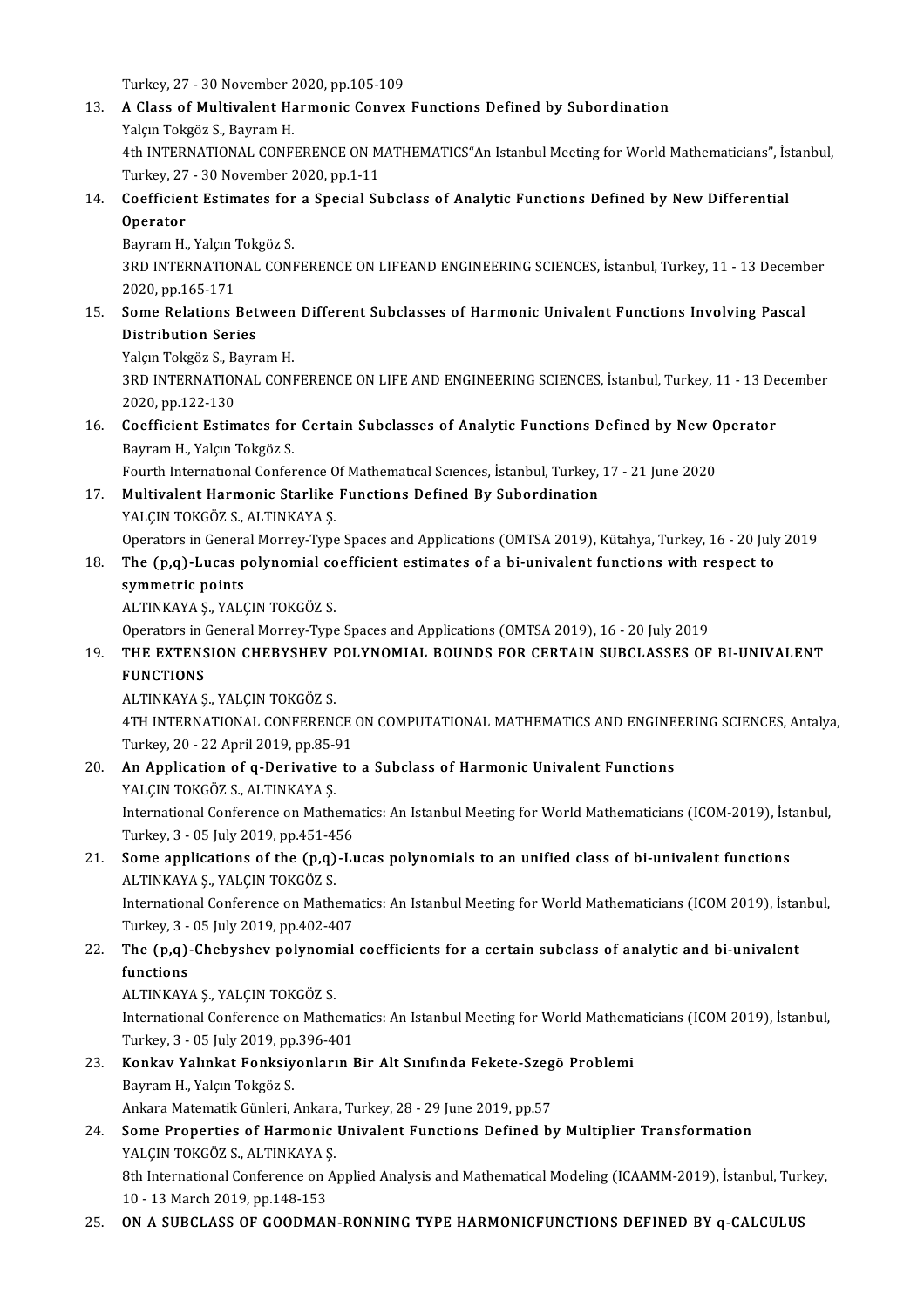Turkey, 27 - 30 November 2020, pp.105-109<br>A Glass of Multivelent Harmonis Convey

- 13. A Class of Multivalent Harmonic Convex Functions Defined by Subordination Yalcın Tokgöz S., Bayram H. Turkey, 27 - 30 November 2<br>**A Class of Multivalent Ha**<br>Yalçın Tokgöz S., Bayram H.<br>4th INTERNATIONAL CONE A Class of Multivalent Harmonic Convex Functions Defined by Subordination<br>Yalçın Tokgöz S., Bayram H.<br>4th INTERNATIONAL CONFERENCE ON MATHEMATICS"An Istanbul Meeting for World Mathematicians", İstanbul,<br>Turkay 27 - 20 Nove Yalçın Tokgöz S., Bayram H.<br>4th INTERNATIONAL CONFERENCE ON M<br>Turkey, 27 - 30 November 2020, pp.1-11<br>Coefficient Estimates for a Special Su 4th INTERNATIONAL CONFERENCE ON MATHEMATICS"An Istanbul Meeting for World Mathematicians", İs<br>Turkey, 27 - 30 November 2020, pp.1-11<br>14. Coefficient Estimates for a Special Subclass of Analytic Functions Defined by New Dif
- Turkey, 27 30 November 2020, pp.1-11<br>Coefficient Estimates for a Special Su<br>Operator<br>Bayram H., Yalçın Tokgöz S. **Coefficient Estimates for<br>Operator<br>Bayram H., Yalçın Tokgöz S.<br>2PD INTERNATIONAL CONE**

Operator<br>Bayram H., Yalçın Tokgöz S.<br>3RD INTERNATIONAL CONFERENCE ON LIFEAND ENGINEERING SCIENCES, İstanbul, Turkey, 11 - 13 December<br>2020 pp.165-171 1920 Bayram H., Yalçın<br>1880 INTERNATION<br>2020, pp.165-171<br>Sama Balations 3RD INTERNATIONAL CONFERENCE ON LIFEAND ENGINEERING SCIENCES, İstanbul, Turkey, 11 - 13 Decembrer 2020, pp.165-171<br>15. Some Relations Between Different Subclasses of Harmonic Univalent Functions Involving Pascal<br>Distributi

# 2020, pp.165-171<br>Some Relations Bet<br>Distribution Series<br>Valen Takgäg S. Bour **Some Relations Between<br>Distribution Series<br>Yalçın Tokgöz S., Bayram H.<br>2PD INTERNATIONAL CONE**

Distribution Series<br>Yalçın Tokgöz S., Bayram H.<br>3RD INTERNATIONAL CONFERENCE ON LIFE AND ENGINEERING SCIENCES, İstanbul, Turkey, 11 - 13 December<br>2020 pp.122-120 Yalçın Tokgöz S., B.<br>3RD INTERNATION<br>2020, pp.122-130<br>Coefficiant Estim 3RD INTERNATIONAL CONFERENCE ON LIFE AND ENGINEERING SCIENCES, İstanbul, Turkey, 11 - 13 De<br>2020, pp.122-130<br>16. Coefficient Estimates for Certain Subclasses of Analytic Functions Defined by New Operator<br>Boyram H. Valan Ta

2020, pp.122-130<br>**Coefficient Estimates for**<br>Bayram H., Yalçın Tokgöz S.<br>Fourth International Confor Coefficient Estimates for Certain Subclasses of Analytic Functions Defined by New O<br>Bayram H., Yalçın Tokgöz S.<br>Fourth International Conference Of Mathematical Sciences, İstanbul, Turkey, 17 - 21 June 2020<br>Multivelert Herm

Bayram H., Yalçın Tokgöz S.<br>17. Fourth International Conference Of Mathematical Sciences, İstanbul, Turkey, 17 - 21 June 2020<br>17. Multivalent Harmonic Starlike Functions Defined By Subordination

YALÇIN TOKGÖZ S., ALTINKAYA Ş.

Multivalent Harmonic Starlike Functions Defined By Subordination<br>YALÇIN TOKGÖZ S., ALTINKAYA Ş.<br>Operators in General Morrey-Type Spaces and Applications (OMTSA 2019), Kütahya, Turkey, 16 - 20 July 2019<br>The (n.g.) Juses pol

### YALÇIN TOKGÖZ S., ALTINKAYA Ș.<br>Operators in General Morrey-Type Spaces and Applications (OMTSA 2019), Kütahya, Turkey, 16 - 20 July<br>18. The (p,q)-Lucas polynomial coefficient estimates of a bi-univalent functions with resp The  $(p,q)$ -Lucas polynomial coefficient estimates of a bi-univalent functions with respect to symmetric points

ALTINKAYAŞ.,YALÇINTOKGÖZ S.

Operators in General Morrey-Type Spaces and Applications (OMTSA 2019), 16 - 20 July 2019

### ALTINKAYA Ș., YALÇIN TOKGÖZ S.<br>Operators in General Morrey-Type Spaces and Applications (OMTSA 2019), 16 - 20 July 2019<br>19. THE EXTENSION CHEBYSHEV POLYNOMIAL BOUNDS FOR CERTAIN SUBCLASSES OF BI-UNIVALENT<br>EUNCTIONS Operators in <mark>()</mark><br>THE EXTENS<br>FUNCTIONS THE EXTENSION CHEBYSHEV I<br>FUNCTIONS<br>ALTINKAYA Ş., YALÇIN TOKGÖZ S.<br>4TH INTERNATIONAL CONEERENA

FUNCTIONS<br>ALTINKAYA Ș., YALÇIN TOKGÖZ S.<br>4TH INTERNATIONAL CONFERENCE ON COMPUTATIONAL MATHEMATICS AND ENGINEERING SCIENCES, Antalya,<br>Turkay, 20,, 22 Anril 2019, np.95, 91 ALTINKAYA Ș., YALÇIN TOKGÖZ S.<br>4TH INTERNATIONAL CONFERENCE<br>Turkey, 20 - 22 April 2019, pp.85-91<br>An Application of a Dorivative to 4TH INTERNATIONAL CONFERENCE ON COMPUTATIONAL MATHEMATICS AND ENGINE<br>Turkey, 20 - 22 April 2019, pp.85-91<br>20. An Application of q-Derivative to a Subclass of Harmonic Univalent Functions<br>VALGIN TOKCÖZ S. ALTINKAVA S.

# Turkey, 20 - 22 April 2019, pp.85-91<br>20. An Application of q-Derivative to a Subclass of Harmonic Univalent Functions<br>YALÇIN TOKGÖZ S., ALTINKAYA Ş.

An Application of q-Derivative to a Subclass of Harmonic Univalent Functions<br>YALÇIN TOKGÖZ S., ALTINKAYA Ş.<br>International Conference on Mathematics: An Istanbul Meeting for World Mathematicians (ICOM-2019), İstanbul,<br>Turka YALÇIN TOKGÖZ S., ALTINKAYA Ş.<br>International Conference on Mathema<br>Turkey, 3 - 05 July 2019, pp.451-456<br>Sama applications of the (p.g.) J. International Conference on Mathematics: An Istanbul Meeting for World Mathematicians (ICOM-2019), İst<br>Turkey, 3 - 05 July 2019, pp.451-456<br>21. Some applications of the (p,q)-Lucas polynomials to an unified class of bi-uni

# Turkey, 3 - 05 July 2019, pp.451-456<br>21. Some applications of the (p,q)-Lucas polynomials to an unified class of bi-univalent functions<br>ALTINKAYA S., YALÇIN TOKGÖZ S.

International Conference on Mathematics: An Istanbul Meeting for World Mathematicians (ICOM 2019), İstanbul, ALTINKAYA Ș., YALÇIN TOKGÖZ S.<br>International Conference on Mathema<br>Turkey, 3 - 05 July 2019, pp.402-407<br>The (n.a), Chebyshey, nelynemial

### 22. The  $(p,q)$ -Chebyshev polynomial coefficients for a certain subclass of analytic and bi-univalent functions Turkey, 3<br>The (p,q)<br>functions<br>ALTINKAV

### ALTINKAYAŞ, YALÇIN TOKGÖZ S.

functions<br>ALTINKAYA Ș., YALÇIN TOKGÖZ S.<br>International Conference on Mathematics: An Istanbul Meeting for World Mathematicians (ICOM 2019), İstanbul,<br>Turkay 2, .05 July 2019, pp.206.401. ALTINKAYA Ş., YALÇIN TOKGÖZ S.<br>International Conference on Mathema<br>Turkey, 3 - 05 July 2019, pp.396-401<br>Konkey Valunkat Fonksiyonların k International Conference on Mathematics: An Istanbul Meeting for World Mathem<br>Turkey, 3 - 05 July 2019, pp.396-401<br>23. Konkav Yalınkat Fonksiyonların Bir Alt Sınıfında Fekete-Szegö Problemi<br>Peyram H. Valan Takağa S

- Turkey, 3 05 July 2019, pp<br>**Konkav Yalınkat Fonksiy**<br>Bayram H., Yalçın Tokgöz S.<br>Ankara Matamatik Günleri Konkav Yalınkat Fonksiyonların Bir Alt Sınıfında Fekete-Szeg<br>Bayram H., Yalçın Tokgöz S.<br>Ankara Matematik Günleri, Ankara, Turkey, 28 - 29 June 2019, pp.57<br>Seme Prenerties of Hermenie Univelent Eunstiens Defined bı Ankara Matematik Günleri, Ankara, Turkey, 28 - 29 June 2019, pp.57
- Bayram H., Yalçın Tokgöz S.<br>Ankara Matematik Günleri, Ankara, Turkey, 28 29 June 2019, pp.57<br>24. Some Properties of Harmonic Univalent Functions Defined by Multiplier Transformation<br>YALCIN TOKGÖZ S., ALTINKAYA S.

8th International Conference on Applied Analysis and Mathematical Modeling (ICAAMM-2019), İstanbul, Turkey, 10-13March2019,pp.148-153

### 25. ON A SUBCLASS OF GOODMAN-RONNING TYPE HARMONICFUNCTIONS DEFINED BY q-CALCULUS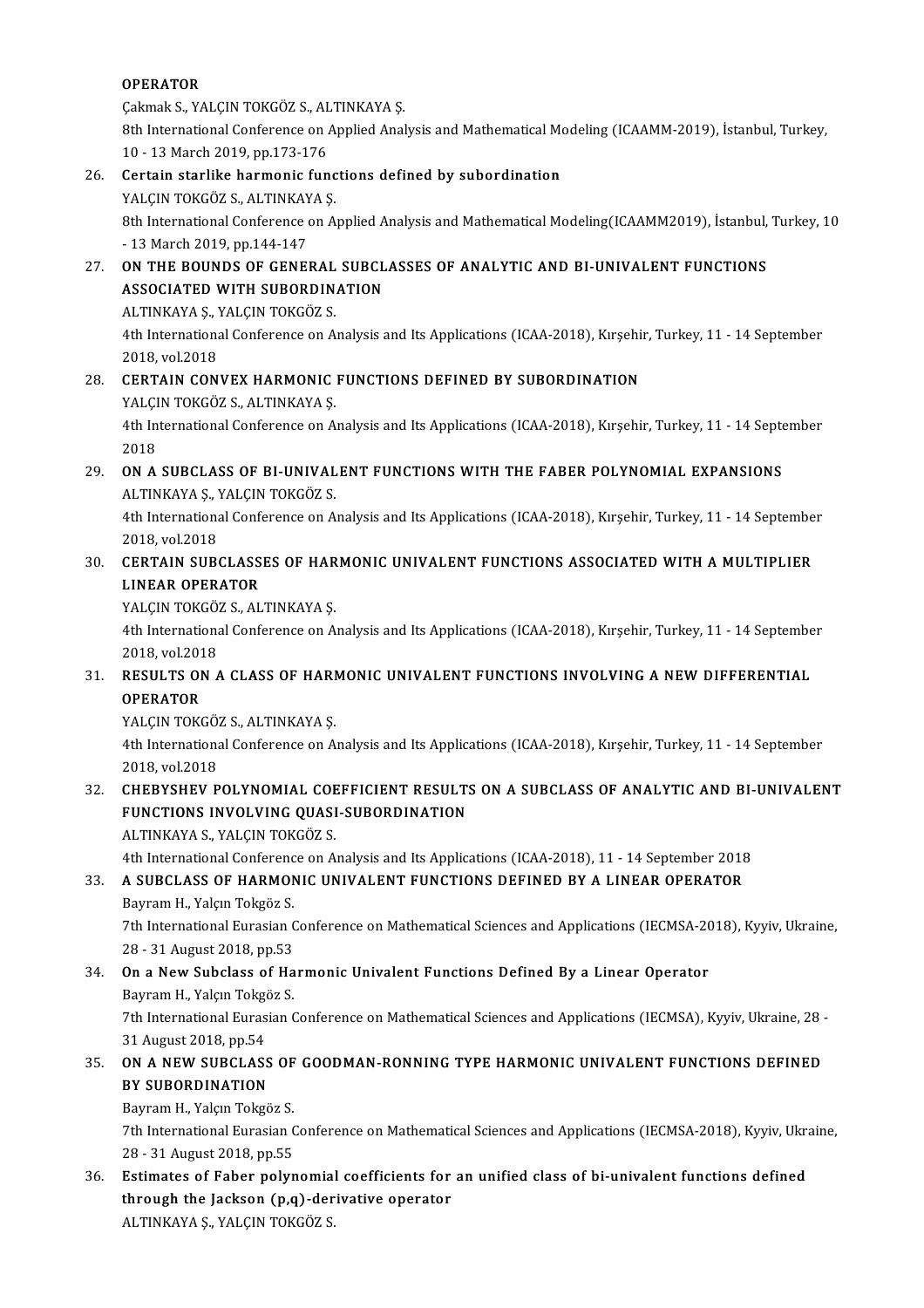### OPERATOR

**OPERATOR<br>Çakmak S., YALÇIN TOKGÖZ S., ALTINKAYA Ş.<br><sup>9th</sup> International Conference en Annlied Anel** 

8th International Conference on Applied Analysis and Mathematical Modeling (ICAAMM-2019), İstanbul, Turkey, 10 - 13 March 2019. pp.173-176 Cakmak S., YALCIN TOKGÖZ S., AL<br>8th International Conference on 1<br>10 - 13 March 2019, pp.173-176 26. 8th International Conference on Applied Analysis and Mathematical Mood 10 - 13 March 2019, pp.173-176<br>26. Certain starlike harmonic functions defined by subordination<br>26. Certain starlike harmonic functions defined by

- 10 13 March 2019, pp.173-176<br>Certain starlike harmonic func<br>YALÇIN TOKGÖZ S., ALTINKAYA Ş.<br><sup>9th International Conference on A.</sup> 0 Certain starlike harmonic functions defined by subordination<br>YALÇIN TOKGÖZ S., ALTINKAYA Ş.<br>8th International Conference on Applied Analysis and Mathematical Modeling(ICAAMM2019), İstanbul, Turkey, 10<br>12 March 2019, pp.1 YALÇIN TOKGÖZ S., ALTINKAY<br>8th International Conference<br>- 13 March 2019, pp.144-147<br>ON THE POUNDS OF CENEI 8th International Conference on Applied Analysis and Mathematical Modeling(ICAAMM2019), İstanbul,<br>27. ON THE BOUNDS OF GENERAL SUBCLASSES OF ANALYTIC AND BI-UNIVALENT FUNCTIONS<br>28. ASSOCIATED WITH SUBORDINATION
- 13 March 2019, pp.144-147<br>27. ON THE BOUNDS OF GENERAL SUBCLASSES OF ANALYTIC AND BI-UNIVALENT FUNCTIONS<br>ASSOCIATED WITH SUBORDINATION ON THE BOUNDS OF GENERAL<br>ASSOCIATED WITH SUBORDIN.<br>ALTINKAYA Ş., YALÇIN TOKGÖZ S.<br>4th International Conference on A.

4th International Conference on Analysis and Its Applications (ICAA-2018), Kırşehir, Turkey, 11 - 14 September<br>2018, vol.2018 ALTINKAYA Ş., 1<br>4th Internation<br>2018, vol.2018<br>CERTAIN, CON. 4th International Conference on Analysis and Its Applications (ICAA-2018), Kırşehi:<br>2018, vol.2018<br>28. CERTAIN CONVEX HARMONIC FUNCTIONS DEFINED BY SUBORDINATION<br>28. CERTAIN CONVEX HARMONIC FUNCTIONS DEFINED BY SUBORDINATI

2018, vol.2018<br>CERTAIN CONVEX HARMONIC<br>YALÇIN TOKGÖZ S., ALTINKAYA Ş.<br>4th International Conference on A CERTAIN CONVEX HARMONIC FUNCTIONS DEFINED BY SUBORDINATION<br>YALÇIN TOKGÖZ S., ALTINKAYA Ş.<br>4th International Conference on Analysis and Its Applications (ICAA-2018), Kırşehir, Turkey, 11 - 14 September<br>2018

YALÇI<br>4th In<br>2018<br>ON A 4th International Conference on Analysis and Its Applications (ICAA-2018), Kırşehir, Turkey, 11 - 14 Septe<br>2018<br>29. ON A SUBCLASS OF BI-UNIVALENT FUNCTIONS WITH THE FABER POLYNOMIAL EXPANSIONS

2018<br>29. ON A SUBCLASS OF BI-UNIVALENT FUNCTIONS WITH THE FABER POLYNOMIAL EXPANSIONS<br>ALTINKAYA Ş., YALÇIN TOKGÖZ S. ON A SUBCLASS OF BI-UNIVALENT FUNCTIONS WITH THE FABER POLYNOMIAL EXPANSIONS<br>ALTINKAYA Ş., YALÇIN TOKGÖZ S.<br>4th International Conference on Analysis and Its Applications (ICAA-2018), Kırşehir, Turkey, 11 - 14 September<br>201

ALTINKAYA Ş., Y<br>4th Internationa<br>2018, vol.2018<br>CERTAIN SUPA 4th International Conference on Analysis and Its Applications (ICAA-2018), Kırşehir, Turkey, 11 - 14 Septembe<br>2018, vol.2018<br>30. CERTAIN SUBCLASSES OF HARMONIC UNIVALENT FUNCTIONS ASSOCIATED WITH A MULTIPLIER

### 2018, vol.2018<br>30. CERTAIN SUBCLASSES OF HARMONIC UNIVALENT FUNCTIONS ASSOCIATED WITH A MULTIPLIER<br>LINEAR OPERATOR **CERTAIN SUBCLASSES OF HAR<br>LINEAR OPERATOR<br>YALÇIN TOKGÖZ S., ALTINKAYA Ş.<br>4th International Conference en A**

LINEAR OPERATOR<br>YALÇIN TOKGÖZ S., ALTINKAYA Ş.<br>4th International Conference on Analysis and Its Applications (ICAA-2018), Kırşehir, Turkey, 11 - 14 September **YALÇIN TOKGÖ;<br>4th Internations<br>2018, vol.2018<br>RESULTS ON 4** 4th International Conference on Analysis and Its Applications (ICAA-2018), Kırşehir, Turkey, 11 - 14 Septembe<br>2018, vol.2018<br>31. RESULTS ON A CLASS OF HARMONIC UNIVALENT FUNCTIONS INVOLVING A NEW DIFFERENTIAL

### 2018, vol.2018<br>31. RESULTS ON A CLASS OF HARMONIC UNIVALENT FUNCTIONS INVOLVING A NEW DIFFERENTIAL<br>OPERATOR RESULTS ON A CLASS OF HARI<br>OPERATOR<br>YALÇIN TOKGÖZ S., ALTINKAYA Ş.<br>4th International Conference on A

4th International Conference on Analysis and Its Applications (ICAA-2018), Kırşehir, Turkey, 11 - 14 September<br>2018, vol.2018 **YALÇIN TOKGÖ;<br>4th Internations<br>2018, vol.2018<br>CHERVSHEV B** 4th International Conference on Analysis and Its Applications (ICAA-2018), Kırşehir, Turkey, 11 - 14 September<br>2018, vol.2018<br>32. CHEBYSHEV POLYNOMIAL COEFFICIENT RESULTS ON A SUBCLASS OF ANALYTIC AND BI-UNIVALENT

### 2018, vol.2018<br>CHEBYSHEV POLYNOMIAL COEFFICIENT RESULT:<br>FUNCTIONS INVOLVING QUASI-SUBORDINATION<br>ALTINKAYA S. VALCIN TOKGÖZ S CHEBYSHEV POLYNOMIAL COE<br>FUNCTIONS INVOLVING QUASI<br>ALTINKAYA S., YALÇIN TOKGÖZ S.<br>4th International Conference on A FUNCTIONS INVOLVING QUASI-SUBORDINATION<br>ALTINKAYA S., YALÇIN TOKGÖZ S.<br>4th International Conference on Analysis and Its Applications (ICAA-2018), 11 - 14 September 2018<br>A SUBCLASS OF HARMONIC UNIVALENT FUNCTIONS DEFINED BY

# ALTINKAYA S., YALÇIN TOKGÖZ S.<br>4th International Conference on Analysis and Its Applications (ICAA-2018), 11 - 14 September 2018<br>33. A SUBCLASS OF HARMONIC UNIVALENT FUNCTIONS DEFINED BY A LINEAR OPERATOR 4th International Conference<br>A SUBCLASS OF HARMON<br>Bayram H., Yalçın Tokgöz S.<br>7th International Euracian (

A SUBCLASS OF HARMONIC UNIVALENT FUNCTIONS DEFINED BY A LINEAR OPERATOR<br>Bayram H., Yalçın Tokgöz S.<br>7th International Eurasian Conference on Mathematical Sciences and Applications (IECMSA-2018), Kyyiv, Ukraine,<br>28 - 21 Aug Bayram H., Yalçın Tokgöz S.<br>7th International Eurasian C<br>28 - 31 August 2018, pp.53<br>On a New Subslass of Ha 34. On a New Subclass of Harmonic Univalent Functions Defined By a Linear Operator<br>
23 - 31 August 2018, pp.53<br>
34. On a New Subclass of Harmonic Univalent Functions Defined By a Linear Operator<br>
2013 - Peyram H. Valan Tek

### 28 - 31 August 2018, pp.53<br>34. On a New Subclass of Harmonic Univalent Functions Defined By a Linear Operator<br>Bayram H., Yalçın Tokgöz S. 0n a New Subclass of Harmonic Univalent Functions Defined By a Linear Operator<br>Bayram H., Yalçın Tokgöz S.<br>7th International Eurasian Conference on Mathematical Sciences and Applications (IECMSA), Kyyiv, Ukraine, 28 -<br>21 A

Bayram H., Yalçın Tokgö<br>7th International Euras<br>31 August 2018, pp.54<br>ON A NEW SUPCLASS 31 August 2018, pp.54<br>35. ON A NEW SUBCLASS OF GOODMAN-RONNING TYPE HARMONIC UNIVALENT FUNCTIONS DEFINED<br>35. ON A NEW SUBCLASS OF GOODMAN-RONNING TYPE HARMONIC UNIVALENT FUNCTIONS DEFINED

# 31 August 2018, pp.54<br>**ON A NEW SUBCLASS<br>BY SUBORDINATION**<br>Pouram H, Valam Takaä **ON A NEW SUBCLASS OF<br>BY SUBORDINATION**<br>Bayram H., Yalçın Tokgöz S.<br>7th International Euracian (

BY SUBORDINATION<br>Bayram H., Yalçın Tokgöz S.<br>7th International Eurasian Conference on Mathematical Sciences and Applications (IECMSA-2018), Kyyiv, Ukraine,<br>28 - 31 August 2018, pp.EE Bayram H., Yalçın Tokgöz S.<br>7th International Eurasian Conference on Mathematical Sciences and Applications (IECMSA-2018), Kyyiv, Ukr<br>28 - 31 August 2018, pp.55<br>36. Estimates of Faber polynomial coefficients for an unif 36. The International Eurasian Conference on Mathematical Sciences and Applications (IECMSA-2018), Kyyiv, Ukra<br>28 - 31 August 2018, pp.55<br>36. Estimates of Faber polynomial coefficients for an unified class of bi-univalent

through the Jackson (p,q)-derivative operator ALTINKAYAŞ.,YALÇINTOKGÖZ S.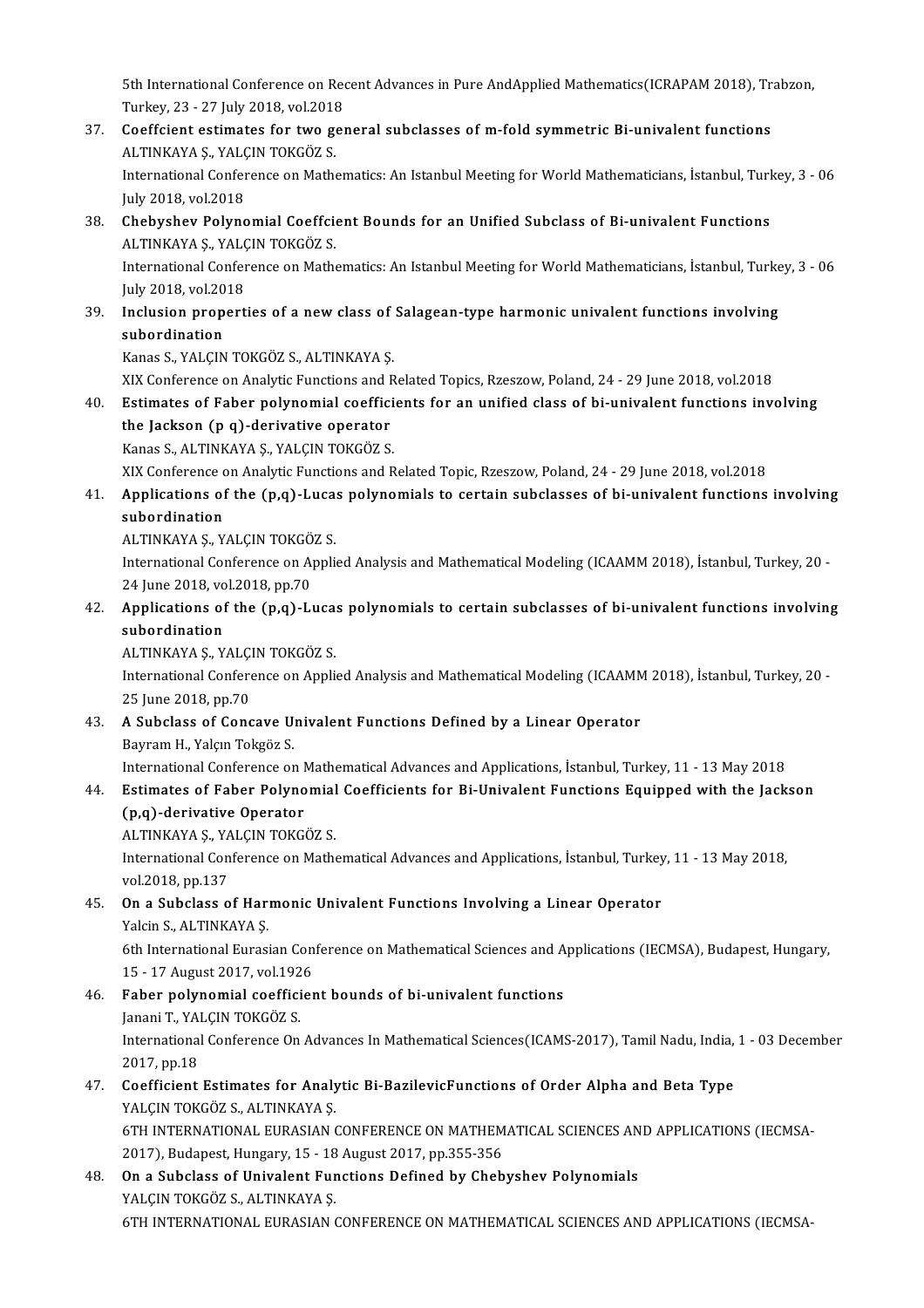5th International Conference on Recent Advances in Pure AndApplied Mathematics(ICRAPAM 2018), Trabzon,<br>Turkay 23 - 27 July 2019, vol 2019 5th International Conference on Red<br>Turkey, 23 - 27 July 2018, vol.2018<br>Coeffeient estimates for two sex 5th International Conference on Recent Advances in Pure AndApplied Mathematics(ICRAPAM 2018), Tr.<br>Turkey, 23 - 27 July 2018, vol.2018<br>37. Coeffcient estimates for two general subclasses of m-fold symmetric Bi-univalent fun

Turkey, 23 - 27 July 2018, vol.2018<br>Coeffcient estimates for two go<br>ALTINKAYA Ş., YALÇIN TOKGÖZ S. 37. Coeffcient estimates for two general subclasses of m-fold symmetric Bi-univalent functions<br>ALTINKAYA Ș., YALÇIN TOKGÖZ S.<br>International Conference on Mathematics: An Istanbul Meeting for World Mathematicians, İstanbul, ALTINKAYA Ş., YALÇ<br>International Confer<br>July 2018, vol.2018<br>Chebyshov, Bolyne

### International Conference on Mathematics: An Istanbul Meeting for World Mathematicians, İstanbul, Turl<br>July 2018, vol.2018<br>38. Chebyshev Polynomial Coeffcient Bounds for an Unified Subclass of Bi-univalent Functions<br>ALTINKA July 2018, vol.2018<br><mark>Chebyshev Polynomial Coeffci</mark>o<br>ALTINKAYA Ş., YALÇIN TOKGÖZ S.<br>International Conference en Math Chebyshev Polynomial Coeffcient Bounds for an Unified Subclass of Bi-univalent Functions<br>ALTINKAYA Ș., YALÇIN TOKGÖZ S.<br>International Conference on Mathematics: An Istanbul Meeting for World Mathematicians, İstanbul, Turke ALTINKAYA Ş., YALÇ<br>International Confer<br>July 2018, vol.2018<br>Inclusion proport

### International Conference on Mathematics: An Istanbul Meeting for World Mathematicians, İstanbul, Turke<br>July 2018, vol.2018<br>39. Inclusion properties of a new class of Salagean-type harmonic univalent functions involving<br>aut July 2018, vol.20<br>Inclusion prop<br>subordination<br>Kanas S. VALCIN Inclusion properties of a new class of<br>subordination<br>Kanas S., YALÇIN TOKGÖZ S., ALTINKAYA Ş.<br>YIY Conference en Anelytic Eunstiens and p

<mark>subordination</mark><br>Kanas S., YALÇIN TOKGÖZ S., ALTINKAYA Ş.<br>XIX Conference on Analytic Functions and Related Topics, Rzeszow, Poland, 24 - 29 June 2018, vol.2018<br>Estimates of Eaber nolynomial soofficients for an unified slass

### Kanas S., YALÇIN TOKGÖZ S., ALTINKAYA Ș.<br>XIX Conference on Analytic Functions and Related Topics, Rzeszow, Poland, 24 - 29 June 2018, vol.2018<br>40. Estimates of Faber polynomial coefficients for an unified class of bi-univa XIX Conference on Analytic Functions and F<br>Estimates of Faber polynomial coeffici<br>the Jackson (p q)-derivative operator<br>Kanas S. ALTINKAYA S. VALGIN TOKCÖZ S Estimates of Faber polynomial coeffici<br>the Jackson (p q)-derivative operator<br>Kanas S., ALTINKAYA Ş., YALÇIN TOKGÖZ S.<br>YIY Conference on Analytic Eunstiens and B the Jackson (p q)-derivative operator<br>Kanas S., ALTINKAYA Ş., YALÇIN TOKGÖZ S.<br>XIX Conference on Analytic Functions and Related Topic, Rzeszow, Poland, 24 - 29 June 2018, vol.2018

### Kanas S., ALTINKAYA Ș., YALÇIN TOKGÖZ S.<br>XIX Conference on Analytic Functions and Related Topic, Rzeszow, Poland, 24 - 29 June 2018, vol.2018<br>41. Applications of the (p,q)-Lucas polynomials to certain subclasses of bi-univ XIX Conference of<br>Applications of<br>subordination<br>ALTINIZAVA S. V Applications of the (p,q)-Luca<br>subordination<br>ALTINKAYA Ş., YALÇIN TOKGÖZ S.<br>International Conference on Appli subordination<br>ALTINKAYA Ş., YALÇIN TOKGÖZ S.<br>International Conference on Applied Analysis and Mathematical Modeling (ICAAMM 2018), İstanbul, Turkey, 20 -

ALTINKAYA Ș., YALÇIN TOKGÖ<br>International Conference on A<br>24 June 2018, vol.2018, pp.70<br>Applications of the (n s) J

### 42. Applications of the (p,q)-Lucas polynomials to certain subclasses of bi-univalent functions involving 24 June 2018, vo<br>Applications of<br>subordination<br>ALTINVAVA S V

ALTINKAYA Ş., YALÇIN TOKGÖZ S. subordination<br>ALTINKAYA Ş., YALÇIN TOKGÖZ S.<br>International Conference on Applied Analysis and Mathematical Modeling (ICAAMM 2018), İstanbul, Turkey, 20 -ALTINKAYA Ş., YALÇI<br>International Confere<br>25 June 2018, pp.70 International Conference on Applied Analysis and Mathematical Modeling (ICAAMM<br>25 June 2018, pp.70<br>43. A Subclass of Concave Univalent Functions Defined by a Linear Operator<br>Bouram H. Valam Takräz S

25 June 2018, pp.70<br>**A Subclass of Concave U**<br>Bayram H., Yalçın Tokgöz S.<br>International Conference or Bayram H., Yalçın Tokgöz S.<br>International Conference on Mathematical Advances and Applications, İstanbul, Turkey, 11 - 13 May 2018 Bayram H., Yalçın Tokgöz S.<br>International Conference on Mathematical Advances and Applications, İstanbul, Turkey, 11 - 13 May 2018<br>44. Estimates of Faber Polynomial Coefficients for Bi-Univalent Functions Equipped with

# International Conference on M<br>Estimates of Faber Polyno<br>(p,q)-derivative Operator<br>ALTINIZAVA S, VALCIN TOKC Estimates of Faber Polynomial<br>(p,q)-derivative Operator<br>ALTINKAYA Ş., YALÇIN TOKGÖZ S.<br>International Conference on Math

(p,q)-derivative Operator<br>ALTINKAYA Ş., YALÇIN TOKGÖZ S.<br>International Conference on Mathematical Advances and Applications, İstanbul, Turkey, 11 - 13 May 2018,<br>vel 2018, pp.127 ALTINKAYA Ş., YA<br>International Con<br>vol.2018, pp.137

### 45. On a Subclass of Harmonic Univalent Functions Involving a Linear Operator Yalcin S., ALTINKAYA Ş. on a Subclass of Harmonic Univalent Functions Involving a Linear Operator<br>Yalcin S., ALTINKAYA Ș.<br>6th International Eurasian Conference on Mathematical Sciences and Applications (IECMSA), Budapest, Hungary,<br>15 - 17 August

Yalcin S., ALTINKAYA Ş.<br>6th International Eurasian Con<br>15 - 17 August 2017, vol.1926<br>Eaber nolynemial coofficier 6th International Eurasian Conference on Mathematical Sciences and A<br>15 - 17 August 2017, vol.1926<br>46. Faber polynomial coefficient bounds of bi-univalent functions<br>Japani T. VALCIN TOKCÖZ S

### 15 - 17 August 2017, vol.192<br>Faber polynomial coeffici<br>Janani T., YALÇIN TOKGÖZ S.<br>International Conference On International Conference On Advances In Mathematical Sciences(ICAMS-2017), Tamil Nadu, India, 1 - 03 December 2017, pp.18 Janani T, YALCIN TOKGÖZ S. International Conference On Advances In Mathematical Sciences(ICAMS-2017), Tamil Nadu, India,<br>2017, pp.18<br>47. Coefficient Estimates for Analytic Bi-BazilevicFunctions of Order Alpha and Beta Type<br>2016 NALGIN TOKGÖZ S. ALTI

### 2017, pp.18<br>Coefficient Estimates for Analy<br>YALÇIN TOKGÖZ S., ALTINKAYA Ş.<br>ETH INTERNATIONAL EURASIAN ( Coefficient Estimates for Analytic Bi-BazilevicFunctions of Order Alpha and Beta Type<br>YALÇIN TOKGÖZ S., ALTINKAYA Ş.<br>6TH INTERNATIONAL EURASIAN CONFERENCE ON MATHEMATICAL SCIENCES AND APPLICATIONS (IECMSA-<br>2017), Budanest YALÇIN TOKGÖZ S., ALTINKAYA Ş.<br>6TH INTERNATIONAL EURASIAN CONFERENCE ON MATHEM<br>2017), Budapest, Hungary, 15 - 18 August 2017, pp.355-356<br>On a Subalage of Univelant Eunstians Defined by Chab 6TH INTERNATIONAL EURASIAN CONFERENCE ON MATHEMATICAL SCIENCES AN 2017), Budapest, Hungary, 15 - 18 August 2017, pp.355-356<br>48. On a Subclass of Univalent Functions Defined by Chebyshev Polynomials<br>5 MALCIN TOKCÖZ S. ALTIN

2017), Budapest, Hungary, 15 - 18 August 2017, pp.355-356<br>48. On a Subclass of Univalent Functions Defined by Chebyshev Polynomials<br>YALÇIN TOKGÖZ S., ALTINKAYA S. 6TH INTERNATIONAL EURASIAN CONFERENCE ON MATHEMATICAL SCIENCES AND APPLICATIONS (IECMSA-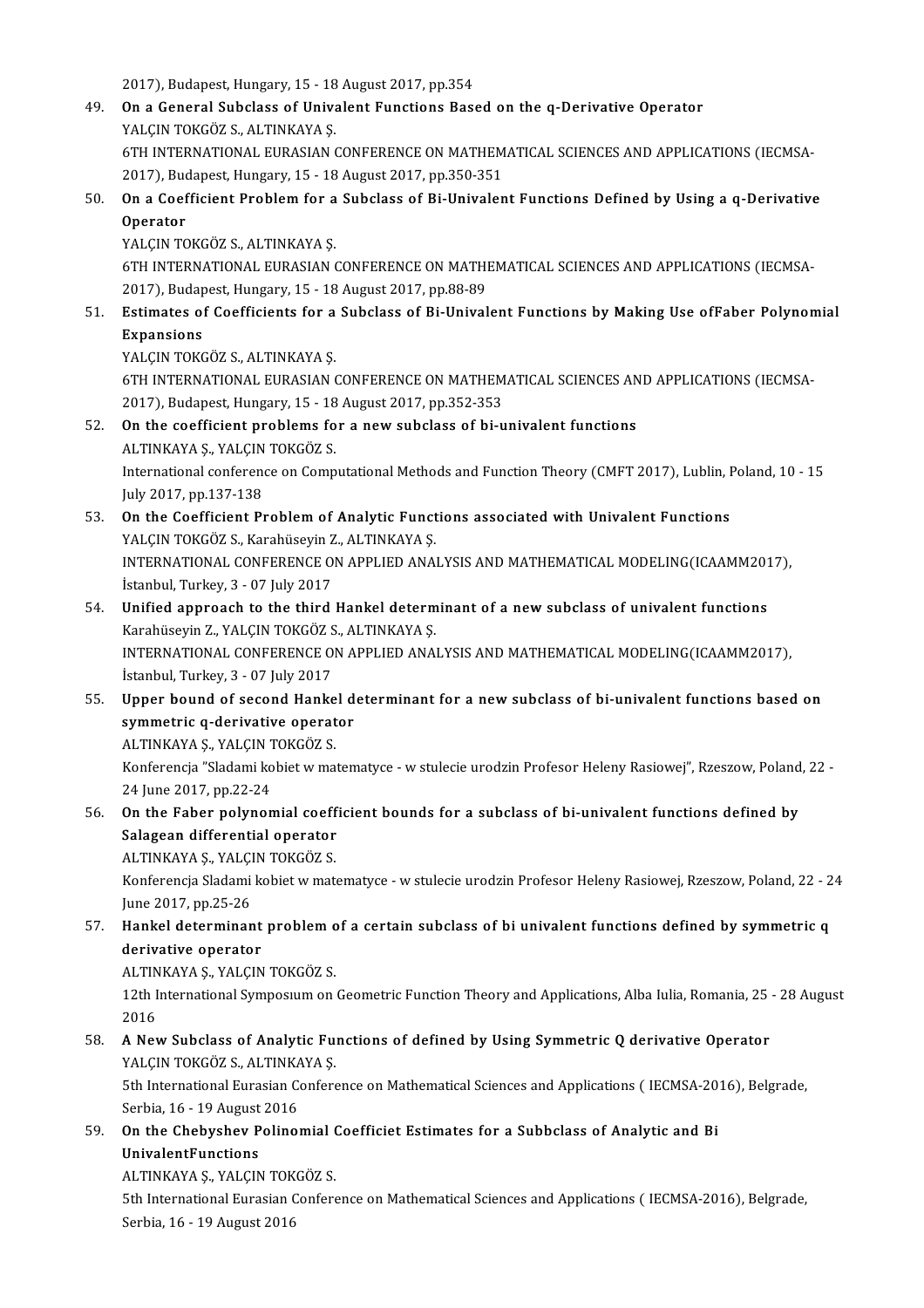2017), Budapest, Hungary, 15 - 18 August 2017, pp.354<br>2017), Budapest, Hungary, 15 - 18 August 2017, pp.354

- 49. On a General Subclass of Univalent Functions Based on the q-Derivative Operator 2017), Budapest, Hungary, 15 - 18<br>**On a General Subclass of Univa**<br>YALÇIN TOKGÖZ S., ALTINKAYA Ş.<br>ETH INTERNATIONAL EURASIAN ( 6TH INTERNATIONAL EURASIAN CONFERENCE ON MATHEMATICAL SCIENCES AND APPLICATIONS (IECMSA-YALÇIN TOKGÖZ S., ALTINKAYA Ş.<br>6TH INTERNATIONAL EURASIAN CONFERENCE ON MATHEM<br>2017), Budapest, Hungary, 15 - 18 August 2017, pp.350-351<br>On a Coefficient Broblem for a Subelass of Bi Univelen
- 6TH INTERNATIONAL EURASIAN CONFERENCE ON MATHEMATICAL SCIENCES AND APPLICATIONS (IECMSA-<br>2017), Budapest, Hungary, 15 18 August 2017, pp.350-351<br>50. On a Coefficient Problem for a Subclass of Bi-Univalent Functions Defin 2017), Bud<br>On a Coef<br>Operator<br>VALCIN TC On a Coefficient Problem for a<br>Operator<br>YALÇIN TOKGÖZ S., ALTINKAYA Ş.<br>ETH INTERNATIONAL EURASIAN (

Operator<br>YALÇIN TOKGÖZ S., ALTINKAYA Ş.<br>6TH INTERNATIONAL EURASIAN CONFERENCE ON MATHEMATICAL SCIENCES AND APPLICATIONS (IECMSA-<br>2017), Budanest, Hungary, 15, 18 August 2017, np.99,99. YALÇIN TOKGÖZ S., ALTINKAYA Ş.<br>6TH INTERNATIONAL EURASIAN CONFERENCE ON MATHI<br>2017), Budapest, Hungary, 15 - 18 August 2017, pp.88-89<br>Estimates of Coofficients for a Subelass of Bi Univel 6TH INTERNATIONAL EURASIAN CONFERENCE ON MATHEMATICAL SCIENCES AND APPLICATIONS (IECMSA-<br>2017), Budapest, Hungary, 15 - 18 August 2017, pp.88-89<br>51. Estimates of Coefficients for a Subclass of Bi-Univalent Functions by Mak

# 2017), Budap<br>Estimates of<br>Expansions<br>VALCIN TOVC Estimates of Coefficients for a<br>Expansions<br>YALÇIN TOKGÖZ S., ALTINKAYA Ş.<br>ETH INTERNATIONAL EURASIAN (

Expansions<br>YALÇIN TOKGÖZ S., ALTINKAYA Ş.<br>6TH INTERNATIONAL EURASIAN CONFERENCE ON MATHEMATICAL SCIENCES AND APPLICATIONS (IECMSA-<br>2017), Pudanest Hungary, 15, 18 Avgyst 2017, np.252,252. YALÇIN TOKGÖZ S., ALTINKAYA Ş.<br>6TH INTERNATIONAL EURASIAN CONFERENCE ON MATHEM<br>2017), Budapest, Hungary, 15 - 18 August 2017, pp.352-353<br>On the seefficient problems for a new subeless of bij 6TH INTERNATIONAL EURASIAN CONFERENCE ON MATHEMATICAL SCIENCES AN 2017), Budapest, Hungary, 15 - 18 August 2017, pp.352-353<br>52. On the coefficient problems for a new subclass of bi-univalent functions<br>ALTINKAYA S, YALCIN T 2017), Budapest, Hungary, 15 - 18 August 2017, pp.352-353<br>52. On the coefficient problems for a new subclass of bi-univalent functions

### ALTINKAYA Ş., YALÇIN TOKGÖZ S.

International conference on Computational Methods and Function Theory (CMFT 2017), Lublin, Poland, 10 - 15<br>July 2017, pp.137-138 International conference on Computational Methods and Function Theory (CMFT 2017), Lublin, I<br>July 2017, pp.137-138<br>53. On the Coefficient Problem of Analytic Functions associated with Univalent Functions<br>8. MALGIN TOVCÔZ S

- July 2017, pp.137-138<br>On the Coefficient Problem of Analytic Funct<br>YALÇIN TOKGÖZ S., Karahüseyin Z., ALTINKAYA Ş.<br>INTERNATIONAL CONEERENCE ON ARRIJED ANA. On the Coefficient Problem of Analytic Functions associated with Univalent Functions<br>YALÇIN TOKGÖZ S., Karahüseyin Z., ALTINKAYA Ş.<br>INTERNATIONAL CONFERENCE ON APPLIED ANALYSIS AND MATHEMATICAL MODELING(ICAAMM2017),<br>İstanb YALÇIN TOKGÖZ S., Karahüseyin Z., ALTINKAYA Ş.<br>INTERNATIONAL CONFERENCE ON APPLIED ANALYSIS AND MATHEMATICAL MODELING(ICAAMM2017),<br>İstanbul, Turkey, 3 - 07 July 2017 INTERNATIONAL CONFERENCE ON APPLIED ANALYSIS AND MATHEMATICAL MODELING(ICAAMM201<br>1. Islambul, Turkey, 3 - 07 July 2017<br>54. Unified approach to the third Hankel determinant of a new subclass of univalent functions<br>Karabücev
- İstanbul, Turkey, 3 07 July 2017<br>**Unified approach to the third Hankel determ**<br>Karahüseyin Z., YALÇIN TOKGÖZ S., ALTINKAYA Ş.<br>INTERNATIONAL CONEERENCE ON APPLIED ANA. Unified approach to the third Hankel determinant of a new subclass of univalent functions<br>Karahüseyin Z., YALÇIN TOKGÖZ S., ALTINKAYA Ş.<br>INTERNATIONAL CONFERENCE ON APPLIED ANALYSIS AND MATHEMATICAL MODELING(ICAAMM2017), Karahüseyin Z., YALÇIN TOKGÖZ S<br>INTERNATIONAL CONFERENCE O<br>İstanbul, Turkey, 3 - 07 July 2017<br>Haner bound of sessad Hanks

INTERNATIONAL CONFERENCE ON APPLIED ANALYSIS AND MATHEMATICAL MODELING(ICAAMM2017),<br>1. istanbul, Turkey, 3 - 07 July 2017<br>55. Upper bound of second Hankel determinant for a new subclass of bi-univalent functions based on<br>5 Stanbul, Turkey, 3 - 07 July 2017<br>Upper bound of second Hankel d<br>symmetric q-derivative operator<br>ALTINKAYA S. YALGIN TOKCÖZ S Upper bound of second Hanke<br>symmetric q-derivative operat<br>ALTINKAYA Ş., YALÇIN TOKGÖZ S.<br>Konferencie "Slademi kebist w me

ALTINKAYA Ş., YALÇIN TOKGÖZ S.

Konferencja "Sladami kobiet w matematyce - w stulecie urodzin Profesor Heleny Rasiowej", Rzeszow, Poland, 22 -<br>24 June 2017, pp.22-24 Konferencja "Sladami kobiet w matematyce - w stulecie urodzin Profesor Heleny Rasiowej", Rzeszow, Poland<br>24 June 2017, pp.22-24<br>56. On the Faber polynomial coefficient bounds for a subclass of bi-univalent functions define

# 24 June 2017, pp.22-24<br>On the Faber polynomial coeffi<br>Salagean differential operator<br>ALTINKAYA S. VALCIN TOKCÖZ S. On the Faber polynomial coeff<br>Salagean differential operator<br>ALTINKAYA Ş., YALÇIN TOKGÖZ S.<br>Konferencia Slademi kabist v. mat.

ALTINKAYA Ş., YALÇIN TOKGÖZ S.

Salagean differential operator<br>ALTINKAYA Ș., YALÇIN TOKGÖZ S.<br>Konferencja Sladami kobiet w matematyce - w stulecie urodzin Profesor Heleny Rasiowej, Rzeszow, Poland, 22 - 24<br>June 2017, pp.25-26 57. Konferencja Sladami kobiet w matematyce - w stulecie urodzin Profesor Heleny Rasiowej, Rzeszow, Poland, 22<br>57. Hankel determinant problem of a certain subclass of bi univalent functions defined by symmetric q<br>57. Hanke

# June 2017, pp.25-26<br>Hankel determinant<br>derivative operator<br>ALTINKAYA S. VALCIN Hankel determinant problem c<br>derivative operator<br>ALTINKAYA Ş., YALÇIN TOKGÖZ S.<br>12th International Sumnesuum en

derivative operator<br>ALTINKAYA Ș., YALÇIN TOKGÖZ S.<br>12th International Symposıum on Geometric Function Theory and Applications, Alba Iulia, Romania, 25 - 28 August ALTIN<br>12th I<br>2016 12th International Symposium on Geometric Function Theory and Applications, Alba Iulia, Romania, 25<br>2016<br>58. A New Subclass of Analytic Functions of defined by Using Symmetric Q derivative Operator<br>58. A New Subclass of An

# 2016<br>**A New Subclass of Analytic Fu**<br>YALÇIN TOKGÖZ S., ALTINKAYA Ş.<br>Eth International Eurasian Conforc A New Subclass of Analytic Functions of defined by Using Symmetric Q derivative Operator<br>YALÇIN TOKGÖZ S., ALTINKAYA Ş.<br>5th International Eurasian Conference on Mathematical Sciences and Applications ( IECMSA-2016), Belgra

YALÇIN TOKGÖZ S., ALTINKAYA Ş.<br>5th International Eurasian Conference on Mathematical Sciences and Applications ( IECMSA-2016), Belgrade,<br>Serbia, 16 - 19 August 2016 5th International Eurasian Conference on Mathematical Sciences and Applications (IECMSA-20<br>Serbia, 16 - 19 August 2016<br>59. On the Chebyshev Polinomial Coefficiet Estimates for a Subbclass of Analytic and Bi<br>InivelantEunati

Serbia, 16 - 19 August<br>On the Chebyshev P<br>UnivalentFunctions<br>ALTINKAVA S. VALCIA On the Chebyshev Polinomial<br>UnivalentFunctions<br>ALTINKAYA Ş., YALÇIN TOKGÖZ S.<br>Eth International Eurasian Confora

UnivalentFunctions<br>ALTINKAYA Ş., YALÇIN TOKGÖZ S.<br>5th International Eurasian Conference on Mathematical Sciences and Applications ( IECMSA-2016), Belgrade, Serbia, 16 - 19 August 2016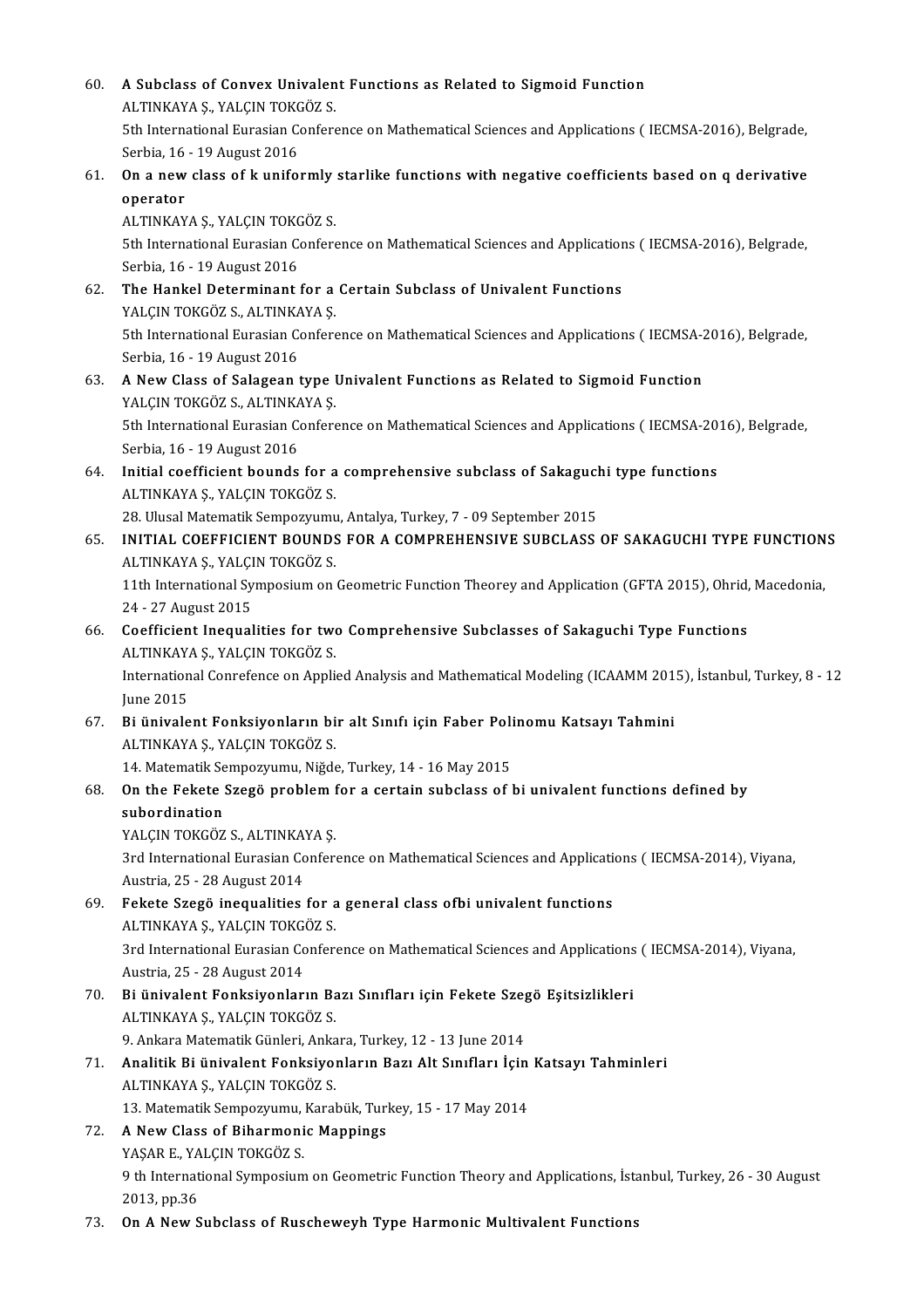60. A Subclass of Convex Univalent Functions as Related to Sigmoid Function<br>ALTINIZAVA S, VALGIN TOVCÔ7 S **A Subclass of Convex Univalen<br>ALTINKAYA Ş., YALÇIN TOKGÖZ S.<br>Eth International Eurasian Conform** ALTINKAYA Ș., YALÇIN TOKGÖZ S.<br>5th International Eurasian Conference on Mathematical Sciences and Applications ( IECMSA-2016), Belgrade, ALTINKAYA Ş., YALÇIN TOKO<br>5th International Eurasian Co<br>Serbia, 16 - 19 August 2016<br>On a navy slaga of kunifo 61. On a newclass of k uniformly starlike functions with negative coefficients based on q derivative Serbia, 16<br>**On a new<br>operator**<br>ALTINKAV On a new class of k uniformly<br>operator<br>ALTINKAYA Ş., YALÇIN TOKGÖZ S.<br>Eth International Eurasian Conforc 5th International Eurasian Conference on Mathematical Sciences and Applications (IECMSA-2016), Belgrade, Serbia, 16 - 19 August 2016 ALTINKAYA Ş., YALÇIN TOKO<br>5th International Eurasian Co<br>Serbia, 16 - 19 August 2016<br>The Hankel Determinant 5th International Eurasian Conference on Mathematical Sciences and Application<br>Serbia, 16 - 19 August 2016<br>62. The Hankel Determinant for a Certain Subclass of Univalent Functions<br>VALCIN TOKCÖZ S. ALTINKAVA S Serbia, 16 - 19 August 2016<br>**The Hankel Determinant for a**<br>YALÇIN TOKGÖZ S., ALTINKAYA Ş.<br>Eth International Eurasian Confore 5th International Eurasian Conference on Mathematical Sciences and Applications (IECMSA-2016), Belgrade, Serbia, 16 - 19 August 2016 YALÇIN TOKGÖZ S., ALTINKAYA Ş. 5th International Eurasian Conference on Mathematical Sciences and Applications (IECMSA-2<br>Serbia, 16 - 19 August 2016<br>63. A New Class of Salagean type Univalent Functions as Related to Sigmoid Function<br>8. MALGIN TOKCÖZ S. Serbia, 16 - 19 August 2016<br>**A New Class of Salagean type l<br>YALÇIN TOKGÖZ S., ALTINKAYA Ş.<br>Eth International Eurasian Conforc** A New Class of Salagean type Univalent Functions as Related to Sigmoid Function<br>YALÇIN TOKGÖZ S., ALTINKAYA Ş.<br>5th International Eurasian Conference on Mathematical Sciences and Applications ( IECMSA-2016), Belgrade,<br>Serbi YALÇIN TOKGÖZ S., ALTINKA<br>5th International Eurasian Co<br>Serbia, 16 - 19 August 2016<br>Initial coefficient bounds 5th International Eurasian Conference on Mathematical Sciences and Applications (IECMSA-20<br>Serbia, 16 - 19 August 2016<br>64. Initial coefficient bounds for a comprehensive subclass of Sakaguchi type functions<br>ALTINIANA S. VA Serbia, 16 - 19 August 2016<br>Initial coefficient bounds for a<br>ALTINKAYA Ş., YALÇIN TOKGÖZ S.<br>28 Hlusal Matematik Semnerrumu Initial coefficient bounds for a comprehensive subclass of Sakaguch<br>ALTINKAYA Ș., YALÇIN TOKGÖZ S.<br>28. Ulusal Matematik Sempozyumu, Antalya, Turkey, 7 - 09 September 2015<br>INITIAL COEFFICIENT POUNDS FOR A COMPREHENSIVE SURC ALTINKAYA Ş., YALÇIN TOKGÖZ S.<br>28. Ulusal Matematik Sempozyumu, Antalya, Turkey, 7 - 09 September 2015<br>65. INITIAL COEFFICIENT BOUNDS FOR A COMPREHENSIVE SUBCLASS OF SAKAGUCHI TYPE FUNCTIONS<br>ALTINKAYA Ş., YALÇIN TOKGÖZ 28. Ulusal Matematik Sempozyumu, Antalya, Turkey, 7 - 09 September 2015 INITIAL COEFFICIENT BOUNDS FOR A COMPREHENSIVE SUBCLASS OF SAKAGUCHI TYPE FUNCTION<br>ALTINKAYA Ș., YALÇIN TOKGÖZ S.<br>11th International Symposium on Geometric Function Theorey and Application (GFTA 2015), Ohrid, Macedonia,<br>24 ALTINKAYA Ş., YALÇI<br>11th International Sy<br>24 - 27 August 2015<br>Coefficient Incausl 11th International Symposium on Geometric Function Theorey and Application (GFTA 2015), Ohrid,<br>24 - 27 August 2015<br>66. Coefficient Inequalities for two Comprehensive Subclasses of Sakaguchi Type Functions<br>ALTINKAYA S, VALG 24 - 27 August 2015<br>66. Coefficient Inequalities for two Comprehensive Subclasses of Sakaguchi Type Functions<br>ALTINKAYA Ş., YALÇIN TOKGÖZ S. Coefficient Inequalities for two Comprehensive Subclasses of Sakaguchi Type Functions<br>ALTINKAYA Ș., YALÇIN TOKGÖZ S.<br>International Conrefence on Applied Analysis and Mathematical Modeling (ICAAMM 2015), İstanbul, Turkey, 8 ALTINKAY<br>Internation<br>June 2015<br>Bi ünivale International Conrefence on Applied Analysis and Mathematical Modeling (ICAAMM 201<br>June 2015<br>67. Bi ünivalent Fonksiyonların bir alt Sınıfı için Faber Polinomu Katsayı Tahmini<br>ALTINKAYA S. YALGIN TOKGÖZ S June 2015<br><mark>Bi ünivalent Fonksiyonların bi</mark><br>ALTINKAYA Ş., YALÇIN TOKGÖZ S.<br>14 Matamatik Samnagınımı, Niğde 12. Bi ünivalent Fonksiyonların bir alt Sınıfı için Faber Poli<br>ALTINKAYA Ş., YALÇIN TOKGÖZ S.<br>14. Matematik Sempozyumu, Niğde, Turkey, 14 - 16 May 2015<br>On the Fekste Sregë preblem for a sertain subeless ef l ALTINKAYA Ș., YALÇIN TOKGÖZ S.<br>14. Matematik Sempozyumu, Niğde, Turkey, 14 - 16 May 2015<br>68. On the Fekete Szegö problem for a certain subclass of bi univalent functions defined by<br>subordination 14. Matematik Se<br>On the Fekete :<br>subordination<br>YALCIN TOVCÖZ On the Fekete Szegö problem 1<br>subordination<br>YALÇIN TOKGÖZ S., ALTINKAYA Ş.<br><sup>2nd International Euresian Confor</sup> subordination<br>YALÇIN TOKGÖZ S., ALTINKAYA Ş.<br>3rd International Eurasian Conference on Mathematical Sciences and Applications ( IECMSA-2014), Viyana, YALÇIN TOKGÖZ S., ALTINKA<br>3rd International Eurasian Co<br>Austria, 25 - 28 August 2014<br>Esksts Szező insevelíties 3rd International Eurasian Conference on Mathematical Sciences and Application<br>Austria, 25 - 28 August 2014<br>69. Fekete Szegö inequalities for a general class ofbi univalent functions<br>ALTINKAVA S, VALCIN TOKCÖZ S Austria, 25 - 28 August 2014<br>Fekete Szegö inequalities for a<br>ALTINKAYA Ş., YALÇIN TOKGÖZ S.<br><sup>2rd Intornational Euresian Confor</sup> 59. Fekete Szegö inequalities for a general class ofbi univalent functions<br>ALTINKAYA Ș., YALÇIN TOKGÖZ S.<br>3rd International Eurasian Conference on Mathematical Sciences and Applications ( IECMSA-2014), Viyana,<br>Austria, 25 ALTINKAYA Ş., YALÇIN TOKGO<br>3rd International Eurasian Co<br>Austria, 25 - 28 August 2014<br>Bi ünivalant Fanksivanları 3rd International Eurasian Conference on Mathematical Sciences and Applications<br>Austria, 25 - 28 August 2014<br>70. Bi ünivalent Fonksiyonların Bazı Sınıfları için Fekete Szegö Eşitsizlikleri<br>ALTINKAYA S. VALGIN TOKÇÖZ S Austria, 25 - 28 August 2014<br><mark>Bi ünivalent Fonksiyonların Ba</mark><br>ALTINKAYA Ş., YALÇIN TOKGÖZ S.<br>9. Ankara Matamatik Cünlari, Anka Bi ünivalent Fonksiyonların Bazı Sınıfları için Fekete Szeg<br>ALTINKAYA Ş., YALÇIN TOKGÖZ S.<br>9. Ankara Matematik Günleri, Ankara, Turkey, 12 - 13 June 2014<br>Analitik Bi ünivalent Fonksiyonların Bazı Alt Sınıfları İsin ALTINKAYA Ş., YALÇIN TOKGÖZ S.<br>9. Ankara Matematik Günleri, Ankara, Turkey, 12 - 13 June 2014<br>71. Analitik Bi ünivalent Fonksiyonların Bazı Alt Sınıfları İçin Katsayı Tahminleri<br>ALTINKAYA S. VALGIN TOKGÖZ S. 9. Ankara Matematik Günleri, Ankara, Turkey, 12 - 13 June 2014<br>Analitik Bi ünivalent Fonksiyonların Bazı Alt Sınıfları İçin<br>ALTINKAYA Ş., YALÇIN TOKGÖZ S.<br>13. Matematik Sempozyumu, Karabük, Turkey, 15 - 17 May 2014 Analitik Bi ünivalent Fonksiyonların Bazı Alt Sınıfları İçin<br>ALTINKAYA Ş., YALÇIN TOKGÖZ S.<br>13. Matematik Sempozyumu, Karabük, Turkey, 15 - 17 May 2014<br>A Naw Class of Biharmanis Mannings. 72. A New Class of Biharmonic Mappings 13. Matematik Sempozyumu,<br>**A New Class of Biharmoni**<br>YAŞAR E., YALÇIN TOKGÖZ S. 9 th International Symposium on Geometric Function Theory and Applications, İstanbul, Turkey, 26 - 30 August<br>2013, pp.36 **YAŞAR E., YA<br>9 th Internat<br>2013, pp.36<br>On A Now S** 73. On A New Subclass of Ruscheweyh Type Harmonic Multivalent Functions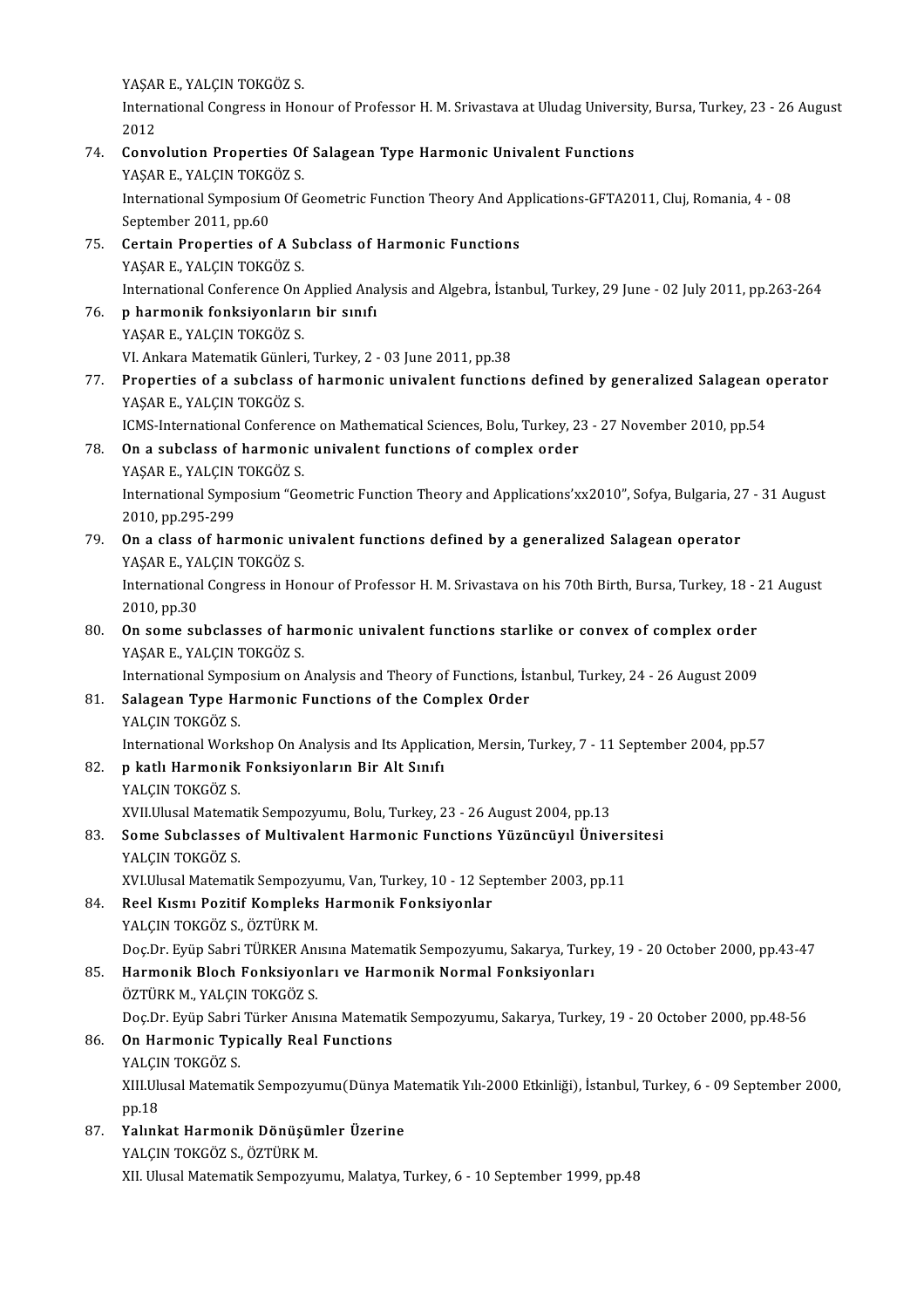.<br>YAŞAR E., YALÇIN TOKGÖZ S.<br>International Congress in Hos

International Congress in Honour of Professor H. M. Srivastava at Uludag University, Bursa, Turkey, 23 - 26 August<br>2012 YAŞAH<br>Intern<br>2012<br>Cary

International Congress in Honour of Professor H. M. Srivastava at Uludag Universi<br>2012<br>74. Convolution Properties Of Salagean Type Harmonic Univalent Functions<br>2008 R. MALEN TOVCÖZ S 2012<br><mark>Convolution Properties Of</mark><br>YAŞAR E., YALÇIN TOKGÖZ S.<br>International Sumperium Of ( International Symposium Of Geometric Function Theory And Applications-GFTA2011, Cluj, Romania, 4 - 08<br>September 2011, pp.60 YAŞAR E, YALÇIN TOKGÖZ S. International Symposium Of Geometric Function Theory And Ap<br>September 2011, pp.60<br>75. Certain Properties of A Subclass of Harmonic Functions<br>8 NASAR E VALCIN TOVCÔZ S September 2011, pp.60<br>Certain Properties of A Su<br>YAŞAR E., YALÇIN TOKGÖZ S.<br>International Conference On Certain Properties of A Subclass of Harmonic Functions<br>YAŞAR E., YALÇIN TOKGÖZ S.<br>International Conference On Applied Analysis and Algebra, İstanbul, Turkey, 29 June - 02 July 2011, pp.263-264 YAŞAR E., YALÇIN TOKGÖZ S.<br>International Conference On Applied Ana<br>76. p harmonik fonksiyonların bir sınıfı<br>XASAR E. YALÇIN TOKÇÖZ S International Conference On .<br>**p harmonik fonksiyonlarıı**<br>YAŞAR E., YALÇIN TOKGÖZ S.<br><sup>VI Ankare Matematik Cünleri</sup> p harmonik fonksiyonların bir sınıfı<br>YAŞAR E., YALÇIN TOKGÖZ S.<br>VI. Ankara Matematik Günleri, Turkey, 2 - 03 June 2011, pp.38 YAŞAR E., YALÇIN TOKGÖZ S.<br>VI. Ankara Matematik Günleri, Turkey, 2 - 03 June 2011, pp.38<br>77. Properties of a subclass of harmonic univalent functions defined by generalized Salagean operator<br>848AB E. YALGIN TOKGÖZ S VI. Ankara Matematik Günleri<br><mark>Properties of a subclass o</mark><br>YAŞAR E., YALÇIN TOKGÖZ S.<br>ICMS International Conferenc Properties of a subclass of harmonic univalent functions defined by generalized Salagean of<br>PAŞAR E., YALÇIN TOKGÖZ S.<br>ICMS-International Conference on Mathematical Sciences, Bolu, Turkey, 23 - 27 November 2010, pp.54<br>On a YAŞAR E., YALÇIN TOKGÖZ S.<br>ICMS-International Conference on Mathematical Sciences, Bolu, Turkey, 2:<br>78. On a subclass of harmonic univalent functions of complex order<br>YASAR E. YALGIN TOKGÖZ S. ICMS-International Conference<br>**On a subclass of harmonic**<br>YAŞAR E., YALÇIN TOKGÖZ S.<br>International Sumpesium "Ce On a subclass of harmonic univalent functions of complex order<br>YAŞAR E., YALÇIN TOKGÖZ S.<br>International Symposium "Geometric Function Theory and Applications'xx2010", Sofya, Bulgaria, 27 - 31 August<br>2010.pp.205.299. YAŞAR E., YALÇIN<br>International Symp<br>2010, pp.295-299<br>On a slass of ban International Symposium "Geometric Function Theory and Applications'xx2010", Sofya, Bulgaria, 2<br>2010, pp.295-299<br>79. On a class of harmonic univalent functions defined by a generalized Salagean operator<br>8 NASAR E VALCIN TO 2010, pp.295-299<br>79. On a class of harmonic univalent functions defined by a generalized Salagean operator<br>YAŞAR E., YALÇIN TOKGÖZ S. On a class of harmonic univalent functions defined by a generalized Salagean operator<br>YAŞAR E., YALÇIN TOKGÖZ S.<br>International Congress in Honour of Professor H. M. Srivastava on his 70th Birth, Bursa, Turkey, 18 - 21 Augu YAŞAR E., YA<br>International<br>2010, pp.30<br>On some su International Congress in Honour of Professor H. M. Srivastava on his 70th Birth, Bursa, Turkey, 18 - 2010, pp.30<br>80. On some subclasses of harmonic univalent functions starlike or convex of complex order<br>80. On some subcl 2010, pp.30<br>On some subclasses of harmonic univalent functions starlike or convex of complex order<br>YAŞAR E., YALÇIN TOKGÖZ S. On some subclasses of harmonic univalent functions starlike or convex of complex order<br>YAŞAR E., YALÇIN TOKGÖZ S.<br>International Symposium on Analysis and Theory of Functions, İstanbul, Turkey, 24 - 26 August 2009<br>Salagean YAŞAR E., YALÇIN TOKGÖZ S.<br>International Symposium on Analysis and Theory of Functions, İs<br>81. Salagean Type Harmonic Functions of the Complex Order<br>YALCIN TOKGÖZ S International Symp<br>Salagean Type Ha<br>YALÇIN TOKGÖZ S.<br>International Work Salagean Type Harmonic Functions of the Complex Order<br>YALÇIN TOKGÖZ S.<br>International Workshop On Analysis and Its Application, Mersin, Turkey, 7 - 11 September 2004, pp.57<br>n kath Harmonik Fonksivonlanın Bir Alt Sınıfı 1982. YALÇIN TOKGÖZ S.<br>192. p katlı Harmonik Fonksiyonların Bir Alt Sınıfı<br>192. p katlı Harmonik Fonksiyonların Bir Alt Sınıfı<br>193. YALÇIN TOKGÖZ S. International Work<br>**p katlı Harmonik**<br>YALÇIN TOKGÖZ S.<br>YVILIJusel Mateme XVII Ulusal Matematik Sempozyumu, Bolu, Turkey, 23 - 26 August 2004, pp.13 YALÇIN TOKGÖZ S.<br>XVII.Ulusal Matematik Sempozyumu, Bolu, Turkey, 23 - 26 August 2004, pp.13<br>83. Some Subclasses of Multivalent Harmonic Functions Yüzüncüyıl Üniversitesi<br>YALGIN TOKGÖZ S XVII.Ulusal Matema<br><mark>Some Subclasses</mark><br>YALÇIN TOKGÖZ S.<br>YVI Ulusal Matemat Some Subclasses of Multivalent Harmonic Functions Yüzüncüyıl Ünivers<br>YALÇIN TOKGÖZ S.<br>XVI.Ulusal Matematik Sempozyumu, Van, Turkey, 10 - 12 September 2003, pp.11<br>Peel Kiami Peritif Kempleks Harmonik Fenksivenler. 84. YALÇIN TOKGÖZ S.<br>84. XVI.Ulusal Matematik Sempozyumu, Van, Turkey, 10 - 12 September 2003, pp.11<br>84. Reel Kısmı Pozitif Kompleks Harmonik Fonksiyonlar YALÇIN TOKGÖZ S., ÖZTÜRK M. Doç.Dr. Eyüp Sabri TÜRKER Anısına Matematik Sempozyumu, Sakarya, Turkey, 19 - 20 October 2000, pp.43-47 85. Harmonik Bloch Fonksiyonları ve Harmonik Normal Fonksiyonları ÖZTÜRK M., YALÇIN TOKGÖZ S. Harmonik Bloch Fonksiyonları ve Harmonik Normal Fonksiyonları<br>ÖZTÜRK M., YALÇIN TOKGÖZ S.<br>Doç.Dr. Eyüp Sabri Türker Anısına Matematik Sempozyumu, Sakarya, Turkey, 19 - 20 October 2000, pp.48-56<br>On Harmonis Tunisally Boal E 86. On Harmonic Typically Real Functions Doç.Dr. Eyüp Sabri<br><mark>On Harmonic Typ</mark><br>YALÇIN TOKGÖZ S.<br>YIII Illusel Matemat XIII.Ulusal Matematik Sempozyumu(Dünya Matematik Yılı-2000 Etkinliği), İstanbul, Turkey, 6 - 09 September 2000, pp.18 YALCIN TOKGÖZ S. XIII.Ulusal Matematik Sempozyumu(Dünya Ma<br>197. – Yalınkat Harmonik Dönüşümler Üzerine<br>287. – YALCIN TOKCÖZ S, ÖZTÜRK M pp.18<br><mark>Yalınkat Harmonik Dönüşün</mark><br>YALÇIN TOKGÖZ S., ÖZTÜRK M.<br>YIL Ulusal Matamatik Samnagını

YALÇIN TOKGÖZ S., ÖZTÜRK M.<br>XII. Ulusal Matematik Sempozyumu, Malatya, Turkey, 6 - 10 September 1999, pp.48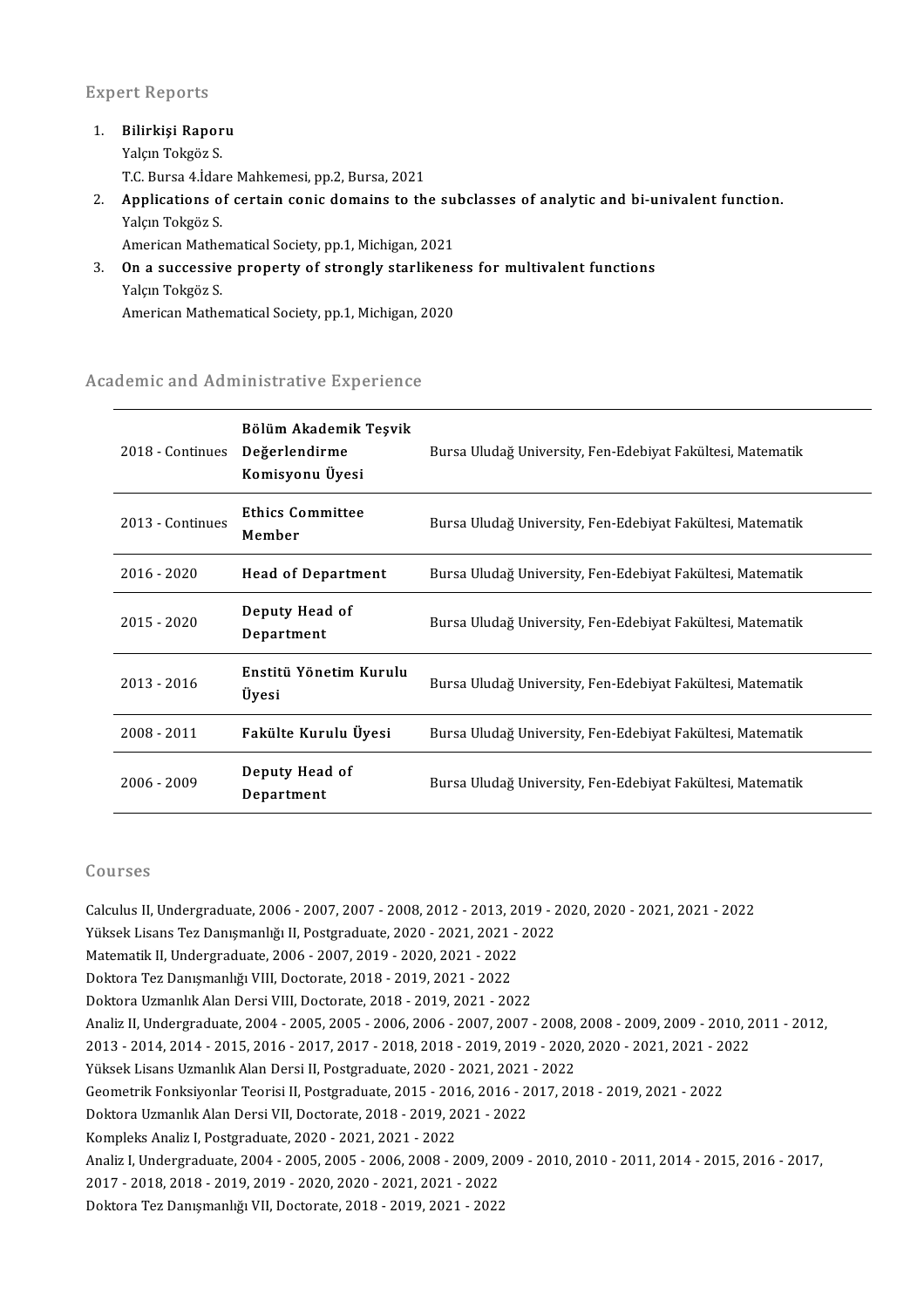### **Expert Reports**

1. Bilirkişi Raporu Yalçın Tokgöz S. Bilir<mark>kişi Raporu</mark><br>Yalçın Tokgöz S.<br>T.C. Bursa 4.İdare Mahkemesi, pp.2, Bursa, 2021<br>Annlisations of sertein sonis domains to th 2. Applications of certain conic domains to the subclasses of analytic and bi-univalent function. T.C. Bursa 4.İdar<br>**Applications o**<br>Yalçın Tokgöz S.<br>American Matho Applications of certain conic domains to the su<br>Yalçın Tokgöz S.<br>American Mathematical Society, pp.1, Michigan, 2021<br>On a sussessive preperty of strengly starlikens

Yalçın Tokgöz S.<br>American Mathematical Society, pp.1, Michigan, 2021<br>3. On a successive property of strongly starlikeness for multivalent functions<br>Valen Tokrës S American Mathe<br>**On a successiv**<br>Yalçın Tokgöz S.<br>American Mathe **On a successive property of strongly starlikene**<br>Yalçın Tokgöz S.<br>American Mathematical Society, pp.1, Michigan, 2020

# American Mathematical Society, pp.1, Michigan, 2<br>Academic and Administrative Experience

| 2018 - Continues | Bölüm Akademik Teşvik<br>Değerlendirme<br>Komisyonu Üyesi | Bursa Uludağ University, Fen-Edebiyat Fakültesi, Matematik |
|------------------|-----------------------------------------------------------|------------------------------------------------------------|
| 2013 - Continues | <b>Ethics Committee</b><br>Member                         | Bursa Uludağ University, Fen-Edebiyat Fakültesi, Matematik |
| 2016 - 2020      | <b>Head of Department</b>                                 | Bursa Uludağ University, Fen-Edebiyat Fakültesi, Matematik |
| 2015 - 2020      | Deputy Head of<br>Department                              | Bursa Uludağ University, Fen-Edebiyat Fakültesi, Matematik |
| 2013 - 2016      | Enstitü Yönetim Kurulu<br>Üyesi                           | Bursa Uludağ University, Fen-Edebiyat Fakültesi, Matematik |
| 2008 - 2011      | Fakülte Kurulu Üyesi                                      | Bursa Uludağ University, Fen-Edebiyat Fakültesi, Matematik |
| 2006 - 2009      | Deputy Head of<br>Department                              | Bursa Uludağ University, Fen-Edebiyat Fakültesi, Matematik |

### Courses

Courses<br>Calculus II, Undergraduate, 2006 - 2007, 2007 - 2008, 2012 - 2013, 2019 - 2020, 2020 - 2021, 2021 - 2022<br>Vilhelt Lisens Ter Denumerkör II. Bestanduste, 2020, ...2021, 2022 UURI 303<br>Calculus II, Undergraduate, 2006 - 2007, 2007 - 2008, 2012 - 2013, 2019 - 2<br>Yüksek Lisans Tez Danışmanlığı II, Postgraduate, 2020 - 2021, 2021 - 2022<br>Matamatik II, Undergraduate, 2006 - 2007, 2019, 2020, 2021, 202 Calculus II, Undergraduate, 2006 - 2007, 2007 - 2008, 2012 - 2013, 20<br>Yüksek Lisans Tez Danışmanlığı II, Postgraduate, 2020 - 2021, 2021 -<br>Matematik II, Undergraduate, 2006 - 2007, 2019 - 2020, 2021 - 2022<br>Poktora Tez Danı Yüksek Lisans Tez Danışmanlığı II, Postgraduate, 2020 - 2021, 2021<br>Matematik II, Undergraduate, 2006 - 2007, 2019 - 2020, 2021 - 2022<br>Doktora Tez Danışmanlığı VIII, Doctorate, 2018 - 2019, 2021 - 2022<br>Doktora Uzmanlık Alan Matematik II, Undergraduate, 2006 - 2007, 2019 - 2020, 2021 - 2022<br>Doktora Tez Danışmanlığı VIII, Doctorate, 2018 - 2019, 2021 - 2022<br>Doktora Uzmanlık Alan Dersi VIII, Doctorate, 2018 - 2019, 2021 - 2022<br>Analiz II, Undergr Doktora Tez Danışmanlığı VIII, Doctorate, 2018 - 2019, 2021 - 2022<br>Doktora Uzmanlık Alan Dersi VIII, Doctorate, 2018 - 2019, 2021 - 2022<br>Analiz II, Undergraduate, 2004 - 2005, 2005 - 2006, 2006 - 2007, 2007 - 2008, 2008 - Doktora Uzmanlık Alan Dersi VIII, Doctorate, 2018 - 2019, 2021 - 2022<br>Analiz II, Undergraduate, 2004 - 2005, 2005 - 2006, 2006 - 2007, 2007 - 2008, 2008 - 2009, 2009 - 2010, 2<br>2013 - 2014, 2014 - 2015, 2016 - 2017, 2017 - Analiz II, Undergraduate, 2004 - 2005, 2005 - 2006, 2006 - 2007, 2007 - 2008,<br>2013 - 2014, 2014 - 2015, 2016 - 2017, 2017 - 2018, 2018 - 2019, 2019 - 2020<br>Yüksek Lisans Uzmanlık Alan Dersi II, Postgraduate, 2020 - 2021, 20 2013 - 2014, 2014 - 2015, 2016 - 2017, 2017 - 2018, 2018 - 2019, 2019 - 2020, 2020 - 2021, 2021 - 20<br>Yüksek Lisans Uzmanlık Alan Dersi II, Postgraduate, 2020 - 2021, 2021 - 2022<br>Geometrik Fonksiyonlar Teorisi II, Postgradu Yüksek Lisans Uzmanlık Alan Dersi II, Postgraduate, 2020 - 2021, 2021<br>Geometrik Fonksiyonlar Teorisi II, Postgraduate, 2015 - 2016, 2016 - 2<br>Doktora Uzmanlık Alan Dersi VII, Doctorate, 2018 - 2019, 2021 - 2022<br>Kampleks Ana Geometrik Fonksiyonlar Teorisi II, Postgraduate, 2015 - 201<br>Doktora Uzmanlık Alan Dersi VII, Doctorate, 2018 - 2019, 20<br>Kompleks Analiz I, Postgraduate, 2020 - 2021, 2021 - 2022<br>Analiz I, Undergraduate, 2004, 2005, 2005, 2 Doktora Uzmanlık Alan Dersi VII, Doctorate, 2018 - 2019, 2021 - 2022<br>Kompleks Analiz I, Postgraduate, 2020 - 2021, 2021 - 2022<br>Analiz I, Undergraduate, 2004 - 2005, 2005 - 2006, 2008 - 2009, 2009 - 2010, 2010 - 2011, 2014 2017-2018,2018-2019,2019-2020,2020-2021,2021-2022 Doktora Tez Danışmanlığı VII, Doctorate, 2018 - 2019, 2021 - 2022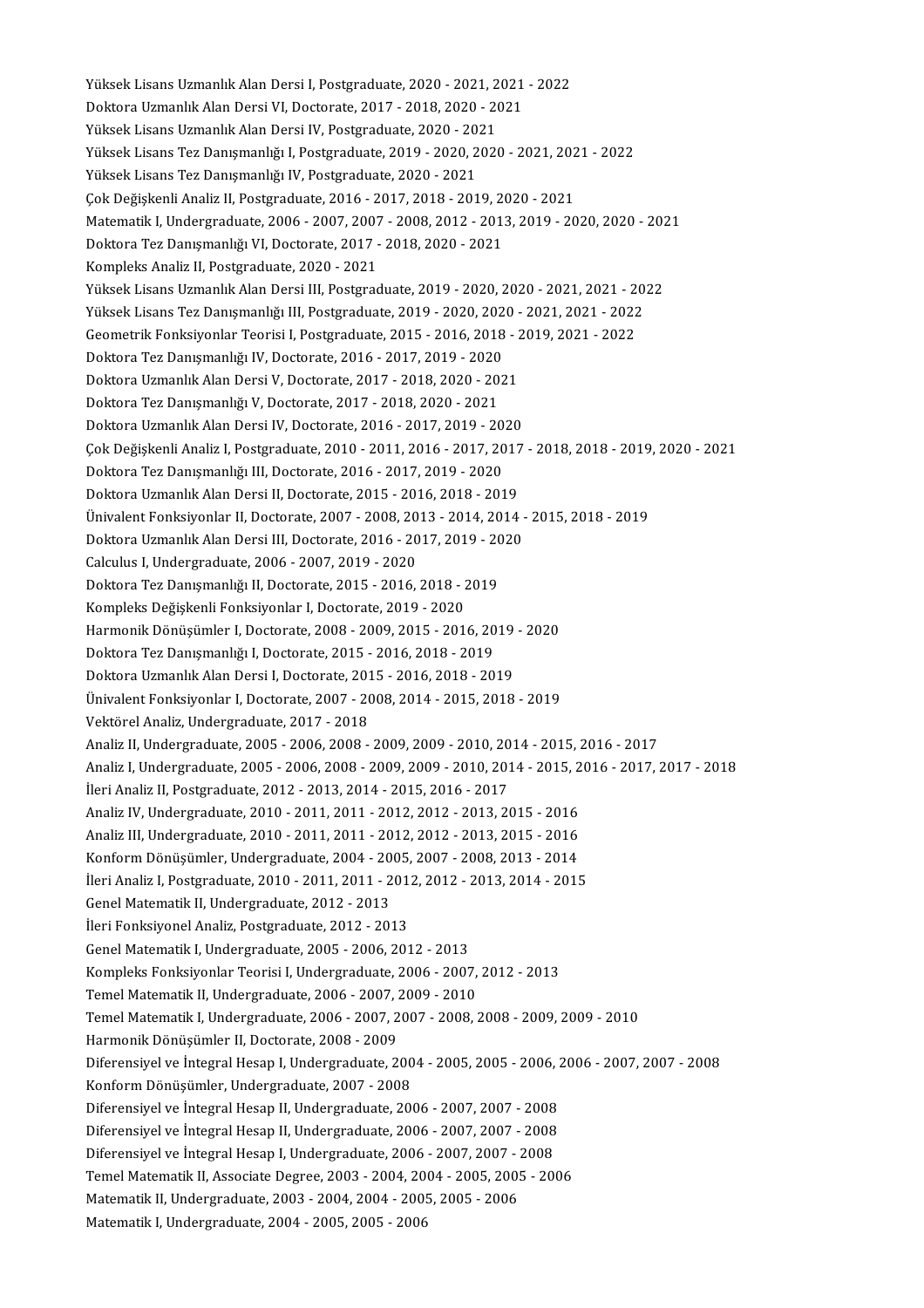Yüksek Lisans Uzmanlık Alan Dersi I, Postgraduate, 2020 - 2021, 2021 - 2022<br>Dektara Uzmanlık Alan Dersi VI, Postarata 2017, 2019, 2020, 2021 Yüksek Lisans Uzmanlık Alan Dersi I, Postgraduate, 2020 - 2021, 2021<br>Doktora Uzmanlık Alan Dersi VI, Doctorate, 2017 - 2018, 2020 - 2021<br>Yüksek Lisans Uzmanlık Alan Dersi IV, Postsraduata 2020, 2021 Yüksek Lisans Uzmanlık Alan Dersi I, Postgraduate, 2020 - 2021, 2<br>Doktora Uzmanlık Alan Dersi VI, Doctorate, 2017 - 2018, 2020 - 20<br>Yüksek Lisans Uzmanlık Alan Dersi IV, Postgraduate, 2020 - 2021<br>Yüksek Lisans Tex Danısman Doktora Uzmanlık Alan Dersi VI, Doctorate, 2017 - 2018, 2020 - 2021<br>Yüksek Lisans Uzmanlık Alan Dersi IV, Postgraduate, 2020 - 2021<br>Yüksek Lisans Tez Danışmanlığı I, Postgraduate, 2019 - 2020, 2020 - 2021, 2021 - 2022<br>Yüks Yüksek Lisans Uzmanlık Alan Dersi IV, Postgraduate, 2020 - 2021<br>Yüksek Lisans Tez Danışmanlığı I, Postgraduate, 2019 - 2020, 2020 - 2021, 20<br>Yüksek Lisans Tez Danışmanlığı IV, Postgraduate, 2020 - 2021<br>Çok Değişkenli Anali Yüksek Lisans Tez Danışmanlığı I, Postgraduate, 2019 - 2020, 2020 - 2021, 202<br>Yüksek Lisans Tez Danışmanlığı IV, Postgraduate, 2020 - 2021<br>Çok Değişkenli Analiz II, Postgraduate, 2016 - 2017, 2018 - 2019, 2020 - 2021<br>Matem Yüksek Lisans Tez Danışmanlığı IV, Postgraduate, 2020 - 2021<br>Çok Değişkenli Analiz II, Postgraduate, 2016 - 2017, 2018 - 2019, 2020 - 2021<br>Matematik I, Undergraduate, 2006 - 2007, 2007 - 2008, 2012 - 2013, 2019 - 2020, 202 Çok Değişkenli Analiz II, Postgraduate, 2016 - 2017, 2018 - 2019, 20<br>Matematik I, Undergraduate, 2006 - 2007, 2007 - 2008, 2012 - 201:<br>Doktora Tez Danışmanlığı VI, Doctorate, 2017 - 2018, 2020 - 2021<br>Kampleks Analiz II, Bo Matematik I, Undergraduate, 2006 - 2007, 2007<br>Doktora Tez Danışmanlığı VI, Doctorate, 2017 -<br>Kompleks Analiz II, Postgraduate, 2020 - 2021<br>Vülsek Lisans Hamanlık Alan Dorsi III, Bostgrad Doktora Tez Danışmanlığı VI, Doctorate, 2017 - 2018, 2020 - 2021<br>Kompleks Analiz II, Postgraduate, 2020 - 2021<br>Yüksek Lisans Uzmanlık Alan Dersi III, Postgraduate, 2019 - 2020, 2020 - 2021, 2021 - 2022<br>Yüksek Lisans Uzmanl Kompleks Analiz II, Postgraduate, 2020 - 2021<br>Yüksek Lisans Uzmanlık Alan Dersi III, Postgraduate, 2019 - 2020, 2020 - 2021, 2021 - 20<br>Yüksek Lisans Tez Danışmanlığı III, Postgraduate, 2019 - 2020, 2020 - 2021, 2021 - 2022 Yüksek Lisans Uzmanlık Alan Dersi III, Postgraduate, 2019 - 2020, 2020 - 2021, 2021 - 2<br>Yüksek Lisans Tez Danışmanlığı III, Postgraduate, 2019 - 2020, 2020 - 2021, 2021 - 2022<br>Geometrik Fonksiyonlar Teorisi I, Postgraduate Yüksek Lisans Tez Danışmanlığı III, Postgraduate, 2019 - 2020, 2020 - 2021, 2021 - 2022<br>Geometrik Fonksiyonlar Teorisi I, Postgraduate, 2015 - 2016, 2018 - 2019, 2021 - 2022<br>Doktora Tez Danışmanlığı IV, Doctorate, 2016 - 2 Geometrik Fonksiyonlar Teorisi I, Postgraduate, 2015 - 2016, 2018 - 2<br>Doktora Tez Danışmanlığı IV, Doctorate, 2016 - 2017, 2019 - 2020<br>Doktora Uzmanlık Alan Dersi V, Doctorate, 2017 - 2018, 2020 - 2021<br>Doktora Tez Danısman Doktora Tez Danışmanlığı IV, Doctorate, 2016 - 2017, 2019 - 2020<br>Doktora Uzmanlık Alan Dersi V, Doctorate, 2017 - 2018, 2020 - 20<br>Doktora Tez Danışmanlığı V, Doctorate, 2017 - 2018, 2020 - 2021<br>Doktora Uzmanlık Alan Dersi Doktora Uzmanlık Alan Dersi V, Doctorate, 2017 - 2018, 2020 - 2021<br>Doktora Tez Danışmanlığı V, Doctorate, 2017 - 2018, 2020 - 2021<br>Doktora Uzmanlık Alan Dersi IV, Doctorate, 2016 - 2017, 2019 - 2020<br>Cek Değişkenli Analiz I Doktora Tez Danışmanlığı V, Doctorate, 2017 - 2018, 2020 - 2021<br>Doktora Uzmanlık Alan Dersi IV, Doctorate, 2016 - 2017, 2019 - 2020<br>Çok Değişkenli Analiz I, Postgraduate, 2010 - 2011, 2016 - 2017, 2017 - 2018, 2018 - 2019, Doktora Uzmanlık Alan Dersi IV, Doctorate, 2016 - 2017, 2019 - 20<br>Çok Değişkenli Analiz I, Postgraduate, 2010 - 2011, 2016 - 2017, 20<br>Doktora Tez Danışmanlığı III, Doctorate, 2016 - 2017, 2019 - 2020<br>Doktora Uzmanlık Alan Çok Değişkenli Analiz I, Postgraduate, 2010 - 2011, 2016 - 2017, 2017<br>Doktora Tez Danışmanlığı III, Doctorate, 2016 - 2017, 2019 - 2020<br>Doktora Uzmanlık Alan Dersi II, Doctorate, 2015 - 2016, 2018 - 2019<br>Ünivelent Fenksive Doktora Tez Danışmanlığı III, Doctorate, 2016 - 2017, 2019 - 2020<br>Doktora Uzmanlık Alan Dersi II, Doctorate, 2015 - 2016, 2018 - 2019<br>Ünivalent Fonksiyonlar II, Doctorate, 2007 - 2008, 2013 - 2014, 2014 - 2015, 2018 - 2019 Doktora Uzmanlık Alan Dersi II, Doctorate, 2015 - 2016, 2018 - 2019<br>Ünivalent Fonksiyonlar II, Doctorate, 2007 - 2008, 2013 - 2014, 2014 -<br>Doktora Uzmanlık Alan Dersi III, Doctorate, 2016 - 2017, 2019 - 2020<br>Calculus I, Un Ünivalent Fonksiyonlar II, Doctorate, 2007 - 2008, 20<br>Doktora Uzmanlık Alan Dersi III, Doctorate, 2016 - 20<br>Calculus I, Undergraduate, 2006 - 2007, 2019 - 2020<br>Doktora Tez Danısmanlığı II, Doctorate, 2015 - 2016 Doktora Uzmanlık Alan Dersi III, Doctorate, 2016 - 2017, 2019 - 20<br>Calculus I, Undergraduate, 2006 - 2007, 2019 - 2020<br>Doktora Tez Danışmanlığı II, Doctorate, 2015 - 2016, 2018 - 2019<br>Kompleks Değiskenli Fenksivenler I, Do Calculus I, Undergraduate, 2006 - 2007, 2019 - 2020<br>Doktora Tez Danışmanlığı II, Doctorate, 2015 - 2016, 2018 - 2<br>Kompleks Değişkenli Fonksiyonlar I, Doctorate, 2019 - 2020<br>Harmanik Dönüsümlar I, Doctorate, 2009, 2009, 201 Doktora Tez Danışmanlığı II, Doctorate, 2015 - 2016, 2018 - 2019<br>Kompleks Değişkenli Fonksiyonlar I, Doctorate, 2019 - 2020<br>Harmonik Dönüşümler I, Doctorate, 2008 - 2009, 2015 - 2016, 2019 - 2020<br>Doktora Tez Danısmanlığı I Kompleks Değişkenli Fonksiyonlar I, Doctorate, 2019 - 2020<br>Harmonik Dönüşümler I, Doctorate, 2008 - 2009, 2015 - 2016, 20<br>Doktora Tez Danışmanlığı I, Doctorate, 2015 - 2016, 2018 - 2019<br>Doktora Uzmanlık Alan Dorsi I, Docto Harmonik Dönüşümler I, Doctorate, 2008 - 2009, 2015 - 2016, 2019<br>Doktora Tez Danışmanlığı I, Doctorate, 2015 - 2016, 2018 - 2019<br>Doktora Uzmanlık Alan Dersi I, Doctorate, 2015 - 2016, 2018 - 2019<br>Ünivelent Fonksivenler I, Doktora Tez Danışmanlığı I, Doctorate, 2015 - 2016, 2018 - 2019<br>Doktora Uzmanlık Alan Dersi I, Doctorate, 2015 - 2016, 2018 - 2019<br>Ünivalent Fonksiyonlar I, Doctorate, 2007 - 2008, 2014 - 2015, 2018 - 2019 Vektörel Analiz, Undergraduate, 2017 - 2018 Analiz II, Undergraduate, 2005 - 2006, 2008 - 2009, 2009 - 2010, 2014 - 2015, 2016 - 2017 Analiz I,Undergraduate,2005-2006,2008-2009,2009-2010,2014-2015,2016-2017,2017-2018 İleri Analiz II, Postgraduate, 2012 - 2013, 2014 - 2015, 2016 - 2017 Analiz I, Undergraduate, 2005 - 2006, 2008 - 2009, 2009 - 2010, 2014 - 2015, 2<br>İleri Analiz II, Postgraduate, 2012 - 2013, 2014 - 2015, 2016 - 2017<br>Analiz IV, Undergraduate, 2010 - 2011, 2011 - 2012, 2012 - 2013, 2015 - 20 İleri Analiz II, Postgraduate, 2012 - 2013, 2014 - 2015, 2016 - 2017<br>Analiz IV, Undergraduate, 2010 - 2011, 2011 - 2012, 2012 - 2013, 2015 - 2016<br>Analiz III, Undergraduate, 2010 - 2011, 2011 - 2012, 2012 - 2013, 2015 - 201 Analiz IV, Undergraduate, 2010 - 2011, 2011 - 2012, 2012 - 2013, 2015 - 2016<br>Analiz III, Undergraduate, 2010 - 2011, 2011 - 2012, 2012 - 2013, 2015 - 2016<br>Konform Dönüşümler, Undergraduate, 2004 - 2005, 2007 - 2008, 2013 -Analiz III, Undergraduate, 2010 - 2011, 2011 - 2012, 2012 - 2013, 2015 - 2016<br>Konform Dönüşümler, Undergraduate, 2004 - 2005, 2007 - 2008, 2013 - 2014<br>İleri Analiz I, Postgraduate, 2010 - 2011, 2011 - 2012, 2012 - 2013, 20 Genel Matematik II, Undergraduate, 2012 - 2013 İleri Fonksiyonel Analiz, Postgraduate, 2012 - 2013 Genel Matematik I, Undergraduate, 2005 - 2006, 2012 - 2013 Kompleks Fonksiyonlar Teorisi I, Undergraduate, 2006 - 2007, 2012 - 2013 Temel Matematik II, Undergraduate, 2006 - 2007, 2009 - 2010 Kompleks Fonksiyonlar Teorisi I, Undergraduate, 2006 - 2007, 2012 - 2013<br>Temel Matematik II, Undergraduate, 2006 - 2007, 2009 - 2010<br>Temel Matematik I, Undergraduate, 2006 - 2007, 2007 - 2008, 2008 - 2009, 2009 - 2010<br>Harm Temel Matematik II, Undergraduate, 2006 - 2007, 2<br>Temel Matematik I, Undergraduate, 2006 - 2007, 2<br>Harmonik Dönüşümler II, Doctorate, 2008 - 2009<br>Diferensivel ve İntegral Hesan I, Undergraduate, 2 Temel Matematik I, Undergraduate, 2006 - 2007, 2007 - 2008, 2008 - 2009, 2009 - 2010<br>Harmonik Dönüşümler II, Doctorate, 2008 - 2009<br>Diferensiyel ve İntegral Hesap I, Undergraduate, 2004 - 2005, 2005 - 2006, 2006 - 2007, 20 Harmonik Dönüşümler II, Doctorate, 2008 - 2009<br>Diferensiyel ve İntegral Hesap I, Undergraduate, 2004 - 2005, 2005 - 2006, 2006 - 2007, 2007 - 2008<br>Konform Dönüşümler, Undergraduate, 2007 - 2008 Diferensiyel ve İntegral Hesap II, Undergraduate, 2006 - 2007, 2007 - 2008 Konform Dönüşümler, Undergraduate, 2007 - 2008<br>Diferensiyel ve İntegral Hesap II, Undergraduate, 2006 - 2007, 2007 - 2008<br>Diferensiyel ve İntegral Hesap II, Undergraduate, 2006 - 2007, 2007 - 2008<br>Diferensiyel ve İntegral Diferensiyel ve İntegral Hesap II, Undergraduate, 2006 - 2007, 2007 - 2008<br>Diferensiyel ve İntegral Hesap II, Undergraduate, 2006 - 2007, 2007 - 2008<br>Diferensiyel ve İntegral Hesap I, Undergraduate, 2006 - 2007, 2007 - 200 Diferensiyel ve İntegral Hesap II, Undergraduate, 2006 - 2007, 2007 - 2008<br>Diferensiyel ve İntegral Hesap I, Undergraduate, 2006 - 2007, 2007 - 2008<br>Temel Matematik II, Associate Degree, 2003 - 2004, 2004 - 2005, 2005 - 20 Diferensiyel ve İntegral Hesap I, Undergraduate, 2006 - 2007, 2007 - 2008<br>Temel Matematik II, Associate Degree, 2003 - 2004, 2004 - 2005, 2005 - 2006<br>Matematik II, Undergraduate, 2003 - 2004, 2004 - 2005, 2005 - 2006<br>Matem Matematik II, Undergraduate, 2003 - 2004, 2004 - 2005, 2005 - 2006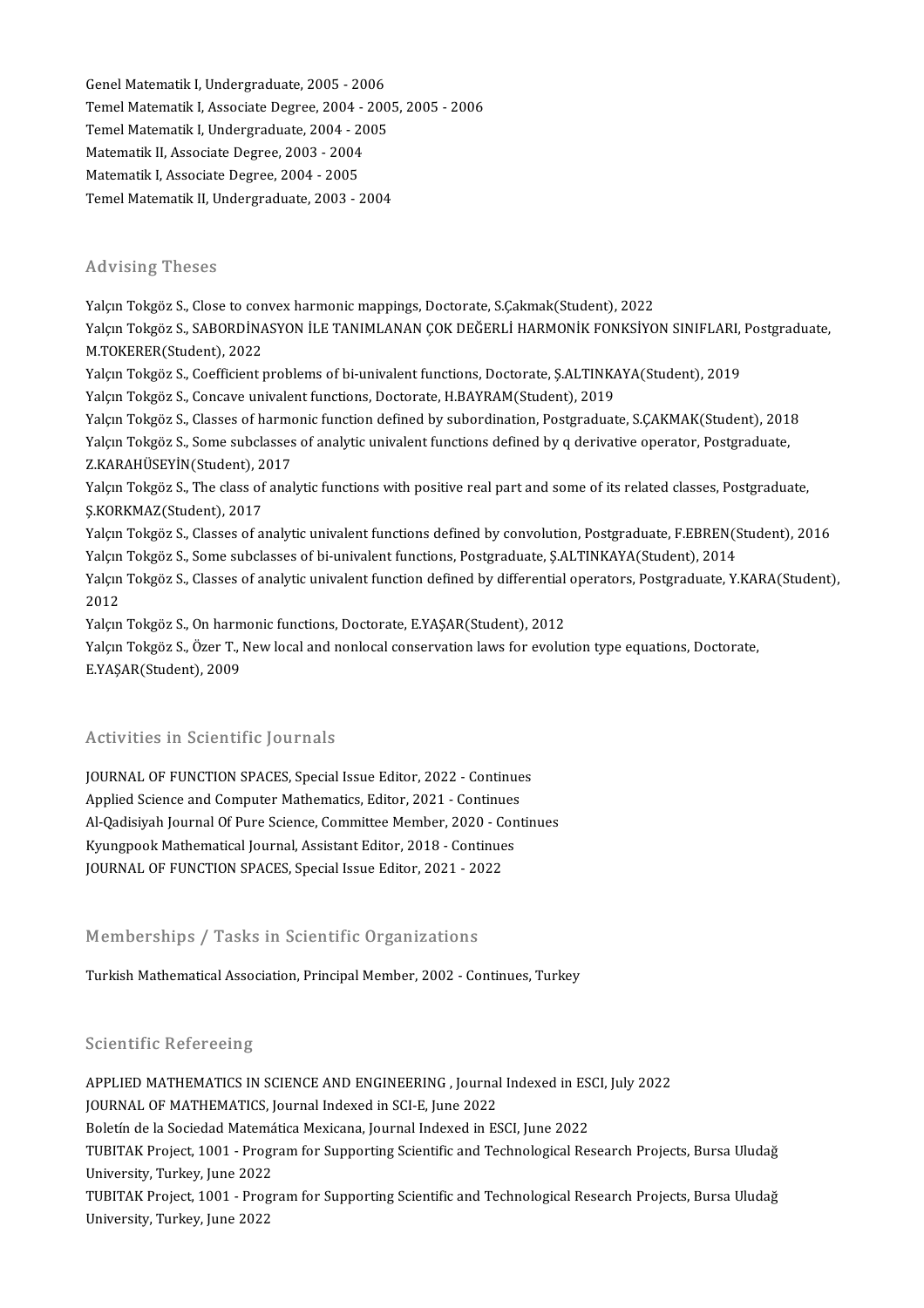Genel Matematik I, Undergraduate, 2005 - 2006<br>Temel Matematik I, Undergraduate, 2005 - 2006 Temel Matematik I, Associate Degree, 2004 - 2005, 2005 - 2006 Genel Matematik I, Undergraduate, 2005 - 2006<br>Temel Matematik I, Associate Degree, 2004 - 200<br>Temel Matematik I, Undergraduate, 2004 - 2005<br>Matematik II, Associate Degree, 2002, 2004 Temel Matematik I, Associate Degree, 2004 -<br>Temel Matematik I, Undergraduate, 2004 - 20<br>Matematik II, Associate Degree, 2003 - 2004<br>Matematik I, Associate Degree, 2004 - 2005 Temel Matematik I, Undergraduate, 2004 - 2<br>Matematik II, Associate Degree, 2003 - 2004<br>Matematik I, Associate Degree, 2004 - 2005<br>Temel Matematik II, Undergraduate, 2003 Matematik II, Associate Degree, 2003 - 2004<br>Matematik I, Associate Degree, 2004 - 2005<br>Temel Matematik II, Undergraduate, 2003 - 2004

### Advising Theses

Yalçın Tokgöz S., Close to convex harmonic mappings, Doctorate, S.Çakmak(Student), 2022 Yalçın Tokgöz S., Close to convex harmonic mappings, Doctorate, S.Çakmak(Student), 2022<br>Yalçın Tokgöz S., SABORDİNASYON İLE TANIMLANAN ÇOK DEĞERLİ HARMONİK FONKSİYON SINIFLARI, Postgraduate,<br>M.TOKERER(Student), 2022 Yalçın Tokgöz S., Close to con<br>Yalçın Tokgöz S., SABORDİNA<br>M.TOKERER(Student), 2022<br>Yalçın Tokgöz S., Coofficient r Yalçın Tokgöz S., SABORDİNASYON İLE TANIMLANAN ÇOK DEĞERLİ HARMONİK FONKSİYON SINIFLARI,<br>M.TOKERER(Student), 2022<br>Yalçın Tokgöz S., Coefficient problems of bi-univalent functions, Doctorate, Ş.ALTINKAYA(Student), 2019<br>Yalç M.TOKERER(Student), 2022<br>Yalçın Tokgöz S., Coefficient problems of bi-univalent functions, Doctorate, Ş.ALTINKAYA(Student), 2019<br>Yalçın Tokgöz S., Concave univalent functions, Doctorate, H.BAYRAM(Student), 2019 Yalçın Tokgöz S., Classes of harmonic function defined by subordination, Postgraduate, S.ÇAKMAK(Student), 2018 Yalçın Tokgöz S., Concave univalent functions, Doctorate, H.BAYRAM(Student), 2019<br>Yalçın Tokgöz S., Classes of harmonic function defined by subordination, Postgraduate, S.ÇAKMAK(Student), 201<br>Yalçın Tokgöz S., Some subclas Yalçın Tokgöz S., Classes of harmo<br>Yalçın Tokgöz S., Some subclasses<br>Z.KARAHÜSEYİN(Student), 2017<br>Yalam Tokgöz S., The slass of anal Yalçın Tokgöz S., Some subclasses of analytic univalent functions defined by q derivative operator, Postgraduate,<br>Z.KARAHÜSEYİN(Student), 2017<br>Yalçın Tokgöz S., The class of analytic functions with positive real part and s Z.KARAHÜSEYİN(Student), 2017<br>Yalçın Tokgöz S., The class of analytic functions with positive real part and some of its related classes, Postgraduate,<br>S.KORKMAZ(Student), 2017 Yalçın Tokgöz S., The class of analytic functions with positive real part and some of its related classes, Postgraduate,<br>Ş.KORKMAZ(Student), 2017<br>Yalçın Tokgöz S., Classes of analytic univalent functions defined by convolu Ş.KORKMAZ(Student), 2017<br>Yalçın Tokgöz S., Classes of analytic univalent functions defined by convolution, Postgraduate, F.EBREN(S<br>Yalçın Tokgöz S., Some subclasses of bi-univalent function defined by differential aperator Yalçın Tokgöz S., Classes of analytic univalent functions defined by convolution, Postgraduate, F.EBREN(Student), 2016<br>Yalçın Tokgöz S., Some subclasses of bi-univalent functions, Postgraduate, Ş.ALTINKAYA(Student), 2014<br>Y Yalçın<br>Yalçın<br>2012 Yalçın Tokgöz S., Classes of analytic univalent function defined by differential<br>2012<br>Yalçın Tokgöz S., On harmonic functions, Doctorate, E.YAŞAR(Student), 2012<br>Yalçın Tokgöz S., Özer T., Novi leçel and nonlocal sonsoryati 2012<br>Yalçın Tokgöz S., On harmonic functions, Doctorate, E.YAŞAR(Student), 2012<br>Yalçın Tokgöz S., Özer T., New local and nonlocal conservation laws for evolution type equations, Doctorate,<br>E.VASAR(Student), 2009 Yalçın Tokgöz S., On harm<br>Yalçın Tokgöz S., Özer T., 1<br>E.YAŞAR(Student), 2009 EYAŞAR(Student), 2009<br>Activities in Scientific Journals

Activities in Scientific Journals<br>JOURNAL OF FUNCTION SPACES, Special Issue Editor, 2022 - Continues<br>Applied Science and Computer Mathematics Editor, 2021 - Continues FOURNAL OF FUNCTION SPACES, Special Issue Editor, 2022 - Continue<br>Applied Science and Computer Mathematics, Editor, 2021 - Continues<br>Al Oodisiveh Journal Of Burs Science, Committee Member 2020 - Cont JOURNAL OF FUNCTION SPACES, Special Issue Editor, 2022 - Continues<br>Applied Science and Computer Mathematics, Editor, 2021 - Continues<br>Al-Qadisiyah Journal Of Pure Science, Committee Member, 2020 - Continues<br>Kuungpeel: Math Applied Science and Computer Mathematics, Editor, 2021 - Continues<br>Al-Qadisiyah Journal Of Pure Science, Committee Member, 2020 - Con<br>Kyungpook Mathematical Journal, Assistant Editor, 2018 - Continues<br>JOURNAL OF EUNCTION S Al-Qadisiyah Journal Of Pure Science, Committee Member, 2020 - C<br>Kyungpook Mathematical Journal, Assistant Editor, 2018 - Continue<br>JOURNAL OF FUNCTION SPACES, Special Issue Editor, 2021 - 2022 JOURNAL OF FUNCTION SPACES, Special Issue Editor, 2021 - 2022<br>Memberships / Tasks in Scientific Organizations

Turkish Mathematical Association, Principal Member, 2002 - Continues, Turkey

### Scientific Refereeing

Scientific Refereeing<br>APPLIED MATHEMATICS IN SCIENCE AND ENGINEERING , Journal Indexed in ESCI, July 2022<br>JOURNAL OF MATHEMATICS, Journal Indoved in SCLE June 2022 Betentinie Refereenig<br>APPLIED MATHEMATICS IN SCIENCE AND ENGINEERING , Journal<br>JOURNAL OF MATHEMATICS, Journal Indexed in SCI-E, June 2022<br>Belstín de la Sesiedad Matemática Mayiaane, Journal Indexed in ES APPLIED MATHEMATICS IN SCIENCE AND ENGINEERING , Journal Indexed in ES<br>JOURNAL OF MATHEMATICS, Journal Indexed in SCI-E, June 2022<br>Boletín de la Sociedad Matemática Mexicana, Journal Indexed in ESCI, June 2022<br>TUBITAK Prej JOURNAL OF MATHEMATICS, Journal Indexed in SCI-E, June 2022<br>Boletín de la Sociedad Matemática Mexicana, Journal Indexed in ESCI, June 2022<br>TUBITAK Project, 1001 - Program for Supporting Scientific and Technological Researc Boletín de la Sociedad Matemática Mexicana, Journal Indexed in ESCI, June 2022 TUBITAK Project, 1001 - Program for Supporting Scientific and Technological Research Projects, Bursa Uludağ<br>University, Turkey, June 2022<br>TUBITAK Project, 1001 - Program for Supporting Scientific and Technological Research University, Turkey, June 2022<br>TUBITAK Project, 1001 - Prog<br>University, Turkey, June 2022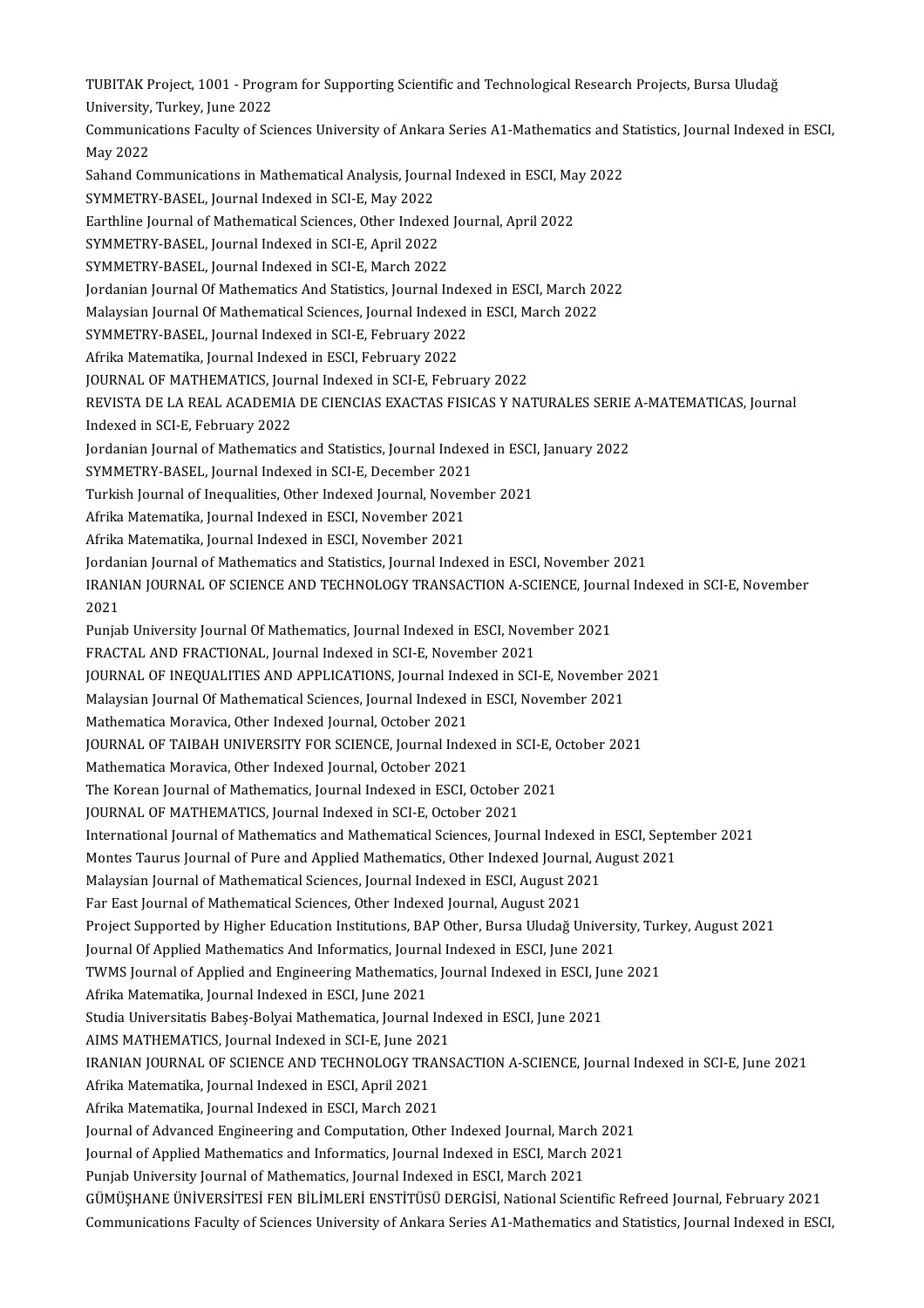TUBITAK Project, 1001 - Program for Supporting Scientific and Technological Research Projects, Bursa Uludağ<br>University Turkey June 2022 TUBITAK Project, 1001 - Progr<br>University, Turkey, June 2022<br>Communisatione Fosulty of Ssi TUBITAK Project, 1001 - Program for Supporting Scientific and Technological Research Projects, Bursa Uludağ<br>University, Turkey, June 2022<br>Communications Faculty of Sciences University of Ankara Series A1-Mathematics and St University, Turkey, June 2022<br>Communications Faculty of Sciences University of Ankara Series A1-Mathematics and Statistics, Journal Indexed in ESCI,<br>Mav 2022 Communications Faculty of Sciences University of Ankara Series A1-Mathematics and S<br>May 2022<br>Sahand Communications in Mathematical Analysis, Journal Indexed in ESCI, May 2022<br>SYMMETRY RASEL Journal Indexed in SCLE May 2022 May 2022<br>Sahand Communications in Mathematical Analysis, Journ<br>SYMMETRY-BASEL, Journal Indexed in SCI-E, May 2022<br>Farthline Journal of Mathematical Sciences, Other Indove Sahand Communications in Mathematical Analysis, Journal Indexed in ESCI, Ma<br>SYMMETRY-BASEL, Journal Indexed in SCI-E, May 2022<br>Earthline Journal of Mathematical Sciences, Other Indexed Journal, April 2022<br>SYMMETRY RASEL, J SYMMETRY-BASEL, Journal Indexed in SCI-E, May 2022<br>Earthline Journal of Mathematical Sciences, Other Indexe<br>SYMMETRY-BASEL, Journal Indexed in SCI-E, April 2022<br>SYMMETRY RASEL, Journal Indexed in SCI-E, March 2022 Earthline Journal of Mathematical Sciences, Other Indexed<br>SYMMETRY-BASEL, Journal Indexed in SCI-E, April 2022<br>SYMMETRY-BASEL, Journal Indexed in SCI-E, March 2022<br>Jordanian Journal Of Mathematics And Statistics Journal In SYMMETRY-BASEL, Journal Indexed in SCI-E, April 2022<br>SYMMETRY-BASEL, Journal Indexed in SCI-E, March 2022<br>Jordanian Journal Of Mathematics And Statistics, Journal Indexed in ESCI, March 2022<br>Malaysian Journal Of Mathematic SYMMETRY-BASEL, Journal Indexed in SCI-E, March 2022<br>Jordanian Journal Of Mathematics And Statistics, Journal Indexed in ESCI, March 20<br>Malaysian Journal Of Mathematical Sciences, Journal Indexed in ESCI, March 2022<br>SYMMET Jordanian Journal Of Mathematics And Statistics, Journal Index<br>Malaysian Journal Of Mathematical Sciences, Journal Indexed<br>SYMMETRY-BASEL, Journal Indexed in SCI-E, February 2022<br>Afrika Matamatika Journal Indexed in ESCI-E Malaysian Journal Of Mathematical Sciences, Journal Indexed in ESCI, March 2022<br>SYMMETRY-BASEL, Journal Indexed in SCI-E, February 2022<br>Afrika Matematika, Journal Indexed in ESCI, February 2022 SYMMETRY-BASEL, Journal Indexed in SCI-E, February 2022<br>Afrika Matematika, Journal Indexed in ESCI, February 2022<br>JOURNAL OF MATHEMATICS, Journal Indexed in SCI-E, February 2022<br>REVISTA DE LA REAL ACADEMIA DE CIENCIAS EXAC Afrika Matematika, Journal Indexed in ESCI, February 2022<br>JOURNAL OF MATHEMATICS, Journal Indexed in SCI-E, February 2022<br>REVISTA DE LA REAL ACADEMIA DE CIENCIAS EXACTAS FISICAS Y NATURALES SERIE A-MATEMATICAS, Journal<br>Ind **JOURNAL OF MATHEMATICS, Journal COVENTA**<br>REVISTA DE LA REAL ACADEMIA<br>Indexed in SCI-E, February 2022<br>Iordanian Journal of Mathematics REVISTA DE LA REAL ACADEMIA DE CIENCIAS EXACTAS FISICAS Y NATURALES SERIE<br>Indexed in SCI-E, February 2022<br>Jordanian Journal of Mathematics and Statistics, Journal Indexed in ESCI, January 2022<br>SYMMETRY RASEL Journal Indove Indexed in SCI-E, February 2022<br>Jordanian Journal of Mathematics and Statistics, Journal Indexe<br>SYMMETRY-BASEL, Journal Indexed in SCI-E, December 2021<br>Turkish Journal of Insqualities, Other Indexed Journal, Nevemb Jordanian Journal of Mathematics and Statistics, Journal Indexed in ESCI<br>SYMMETRY-BASEL, Journal Indexed in SCI-E, December 2021<br>Turkish Journal of Inequalities, Other Indexed Journal, November 2021<br>Afrika Matematika Journ SYMMETRY-BASEL, Journal Indexed in SCI-E, December 2021<br>Turkish Journal of Inequalities, Other Indexed Journal, Noven<br>Afrika Matematika, Journal Indexed in ESCI, November 2021<br>Afrika Matematika, Journal Indexed in ESCI, No Turkish Journal of Inequalities, Other Indexed Journal, Noven<br>Afrika Matematika, Journal Indexed in ESCI, November 2021<br>Afrika Matematika, Journal Indexed in ESCI, November 2021<br>Jordanian Journal of Mathematics and Statist Afrika Matematika, Journal Indexed in ESCI, November 2021<br>Jordanian Journal of Mathematics and Statistics, Journal Indexed in ESCI, November 2021 Afrika Matematika, Journal Indexed in ESCI, November 2021<br>Jordanian Journal of Mathematics and Statistics, Journal Indexed in ESCI, November 2021<br>IRANIAN JOURNAL OF SCIENCE AND TECHNOLOGY TRANSACTION A-SCIENCE, Journal Ind Jordai<br>IRANI<br>2021<br><sup>Punial</sup> IRANIAN JOURNAL OF SCIENCE AND TECHNOLOGY TRANSACTION A-SCIENCE, Journ<br>2021<br>Punjab University Journal Of Mathematics, Journal Indexed in ESCI, November 2021<br>ERACTAL AND ERACTIONAL Journal Indexed in SCLE, November 2021 2021<br>Punjab University Journal Of Mathematics, Journal Indexed in ESCI, November 2021<br>FRACTAL AND FRACTIONAL, Journal Indexed in SCI-E, November 2021 Punjab University Journal Of Mathematics, Journal Indexed in ESCI, November 2021<br>FRACTAL AND FRACTIONAL, Journal Indexed in SCI-E, November 2021<br>JOURNAL OF INEQUALITIES AND APPLICATIONS, Journal Indexed in SCI-E, November FRACTAL AND FRACTIONAL, Journal Indexed in SCI-E, November 2021<br>JOURNAL OF INEQUALITIES AND APPLICATIONS, Journal Indexed in SCI-E, November<br>Malaysian Journal Of Mathematical Sciences, Journal Indexed in ESCI, November 202 JOURNAL OF INEQUALITIES AND APPLICATIONS, Journal Inde<br>Malaysian Journal Of Mathematical Sciences, Journal Indexed<br>Mathematica Moravica, Other Indexed Journal, October 2021<br>JOURNAL OF TAJPAH UNIVERSITY FOR SCIENCE Journal Malaysian Journal Of Mathematical Sciences, Journal Indexed in ESCI, November 2021<br>Mathematica Moravica, Other Indexed Journal, October 2021<br>JOURNAL OF TAIBAH UNIVERSITY FOR SCIENCE, Journal Indexed in SCI-E, October 2021<br> Mathematica Moravica, Other Indexed Journal, October 2021<br>JOURNAL OF TAIBAH UNIVERSITY FOR SCIENCE, Journal Inde<br>Mathematica Moravica, Other Indexed Journal, October 2021<br>The Kersen Journal of Mathematics, Journal Indexed JOURNAL OF TAIBAH UNIVERSITY FOR SCIENCE, Journal Indexed in SCI-E, C<br>Mathematica Moravica, Other Indexed Journal, October 2021<br>The Korean Journal of Mathematics, Journal Indexed in ESCI, October 2021<br>JOURNAL OF MATHEMATIC Mathematica Moravica, Other Indexed Journal, October 2021<br>The Korean Journal of Mathematics, Journal Indexed in ESCI, October<br>JOURNAL OF MATHEMATICS, Journal Indexed in SCI-E, October 2021<br>International Journal of Mathemat JOURNAL OF MATHEMATICS, Journal Indexed in SCI-E, October 2021<br>International Journal of Mathematics and Mathematical Sciences, Journal Indexed in ESCI, September 2021 JOURNAL OF MATHEMATICS, Journal Indexed in SCI-E, October 2021<br>International Journal of Mathematics and Mathematical Sciences, Journal Indexed in ESCI, Septe<br>Montes Taurus Journal of Pure and Applied Mathematics, Other Ind International Journal of Mathematics and Mathematical Sciences, Journal Indexed in<br>Montes Taurus Journal of Pure and Applied Mathematics, Other Indexed Journal, A<br>Malaysian Journal of Mathematical Sciences, Journal Indexed Montes Taurus Journal of Pure and Applied Mathematics, Other Indexed Journa<br>Malaysian Journal of Mathematical Sciences, Journal Indexed in ESCI, August 201<br>Far East Journal of Mathematical Sciences, Other Indexed Journal, Malaysian Journal of Mathematical Sciences, Journal Indexed in ESCI, August 2021<br>Far East Journal of Mathematical Sciences, Other Indexed Journal, August 2021<br>Project Supported by Higher Education Institutions, BAP Other, Far East Journal of Mathematical Sciences, Other Indexed Journal, August 2021<br>Project Supported by Higher Education Institutions, BAP Other, Bursa Uludağ Univers<br>Journal Of Applied Mathematics And Informatics, Journal Inde Project Supported by Higher Education Institutions, BAP Other, Bursa Uludağ University, Tur<br>Journal Of Applied Mathematics And Informatics, Journal Indexed in ESCI, June 2021<br>TWMS Journal of Applied and Engineering Mathema Journal Of Applied Mathematics And Informatics, Journal Indexed in ESCI, June 2021<br>TWMS Journal of Applied and Engineering Mathematics, Journal Indexed in ESCI, June 2021<br>Afrika Matematika, Journal Indexed in ESCI, June 20 TWMS Journal of Applied and Engineering Mathematics, Journal Indexed in ESCI, Ju<br>Afrika Matematika, Journal Indexed in ESCI, June 2021<br>Studia Universitatis Babeș-Bolyai Mathematica, Journal Indexed in ESCI, June 2021<br>AIMS Afrika Matematika, Journal Indexed in ESCI, June 2021<br>Studia Universitatis Babeş-Bolyai Mathematica, Journal Ind<br>AIMS MATHEMATICS, Journal Indexed in SCI-E, June 2021<br>IPANIAN JOUPNAL OF SCIENCE AND TECHNOLOCY TRANS Studia Universitatis Babeș-Bolyai Mathematica, Journal Indexed in ESCI, June 2021<br>AIMS MATHEMATICS, Journal Indexed in SCI-E, June 2021<br>IRANIAN JOURNAL OF SCIENCE AND TECHNOLOGY TRANSACTION A-SCIENCE, Journal Indexed in SC AIMS MATHEMATICS, Journal Indexed in SCI-E, June 2021<br>IRANIAN JOURNAL OF SCIENCE AND TECHNOLOGY TRAN:<br>Afrika Matematika, Journal Indexed in ESCI, April 2021<br>Afrika Matematika, Journal Indexed in ESCI, March 2021 IRANIAN JOURNAL OF SCIENCE AND TECHNOLOGY TRAN<br>Afrika Matematika, Journal Indexed in ESCI, April 2021<br>Afrika Matematika, Journal Indexed in ESCI, March 2021<br>Journal of Advanced Engineering and Computation, Other Afrika Matematika, Journal Indexed in ESCI, April 2021<br>Afrika Matematika, Journal Indexed in ESCI, March 2021<br>Journal of Annlied Mathematics and Informatics, Journal Indexed Journal, March 2021<br>Journal of Annlied Mathemati Afrika Matematika, Journal Indexed in ESCI, March 2021<br>Journal of Advanced Engineering and Computation, Other Indexed Journal, March 2021<br>Journal of Applied Mathematics and Informatics, Journal Indexed in ESCI, March 2021<br> Journal of Applied Mathematics and Informatics, Journal Indexed in ESCI, March 2021<br>Punjab University Journal of Mathematics, Journal Indexed in ESCI, March 2021 GÜMÜŞHANEÜNİVERSİTESİFENBİLİMLERİENSTİTÜSÜDERGİSİ,NationalScientificRefreedJournal,February2021 Communications Faculty of Sciences University of Ankara Series A1-Mathematics and Statistics, Journal Indexed in ESCI,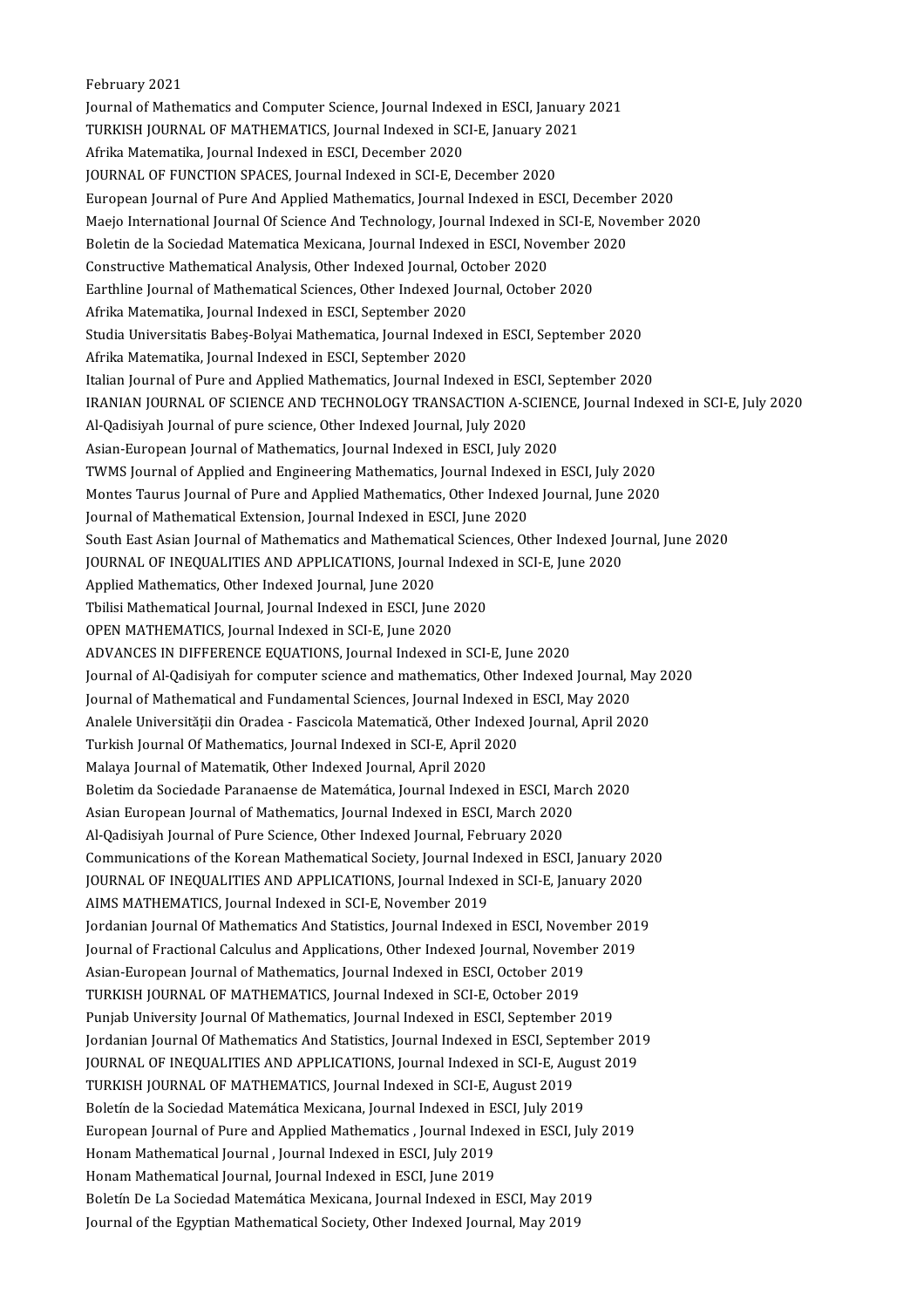February 2021

Journal of Mathematics and Computer Science, Journal Indexed in ESCI, January 2021 February 2021<br>Journal of Mathematics and Computer Science, Journal Indexed in ESCI, January<br>TURKISH JOURNAL OF MATHEMATICS, Journal Indexed in SCI-E, January 2021<br>Afrika Matamatika Journal Indexed in ESCI, Desember 2020 Journal of Mathematics and Computer Science, Journal Index<br>TURKISH JOURNAL OF MATHEMATICS, Journal Indexed in SC<br>Afrika Matematika, Journal Indexed in ESCI, December 2020<br>JOURNAL OF EUNCTION SPACES, Journal Indexed in SCLE TURKISH JOURNAL OF MATHEMATICS, Journal Indexed in SCI-E, January 20<br>Afrika Matematika, Journal Indexed in ESCI, December 2020<br>JOURNAL OF FUNCTION SPACES, Journal Indexed in SCI-E, December 2020<br>European Journal of Bure An Afrika Matematika, Journal Indexed in ESCI, December 2020<br>JOURNAL OF FUNCTION SPACES, Journal Indexed in SCI-E, December 2020<br>European Journal of Pure And Applied Mathematics, Journal Indexed in ESCI, December 2020 JOURNAL OF FUNCTION SPACES, Journal Indexed in SCI-E, December 2020<br>European Journal of Pure And Applied Mathematics, Journal Indexed in ESCI, December 2020<br>Maejo International Journal Of Science And Technology, Journal In European Journal of Pure And Applied Mathematics, Journal Indexed in ESCI, Decembe<br>Maejo International Journal Of Science And Technology, Journal Indexed in SCI-E, Nove<br>Boletin de la Sociedad Matematica Mexicana, Journal I Maejo International Journal Of Science And Technology, Journal Indexed in<br>Boletin de la Sociedad Matematica Mexicana, Journal Indexed in ESCI, Nove<br>Constructive Mathematical Analysis, Other Indexed Journal, October 2020<br>Fa Boletin de la Sociedad Matematica Mexicana, Journal Indexed in ESCI, November 2020<br>Constructive Mathematical Analysis, Other Indexed Journal, October 2020<br>Earthline Journal of Mathematical Sciences, Other Indexed Journal, Constructive Mathematical Analysis, Other Indexed Journal, October 2020 Studia Universitatis Babeș-Bolyai Mathematica, Journal Indexed in ESCI, September 2020<br>Afrika Matematika, Journal Indexed in ESCI, September 2020 Afrika Matematika, Journal Indexed in ESCI, September 2020 Studia Universitatis Babeş-Bolyai Mathematica, Journal Indexed in ESCI, September 2020<br>Afrika Matematika, Journal Indexed in ESCI, September 2020<br>Italian Journal of Pure and Applied Mathematics, Journal Indexed in ESCI, Se Afrika Matematika, Journal Indexed in ESCI, September 2020<br>Italian Journal of Pure and Applied Mathematics, Journal Indexed in ESCI, September 2020<br>IRANIAN JOURNAL OF SCIENCE AND TECHNOLOGY TRANSACTION A-SCIENCE, Journal I Italian Journal of Pure and Applied Mathematics, Journal Indexed in ES<br>IRANIAN JOURNAL OF SCIENCE AND TECHNOLOGY TRANSACTION A-S<br>Al-Qadisiyah Journal of pure science, Other Indexed Journal, July 2020<br>Asian Euronean Journal IRANIAN JOURNAL OF SCIENCE AND TECHNOLOGY TRANSACTION A-SCIEN<br>Al-Qadisiyah Journal of pure science, Other Indexed Journal, July 2020<br>Asian-European Journal of Mathematics, Journal Indexed in ESCI, July 2020<br>TWMS Journal of Al-Qadisiyah Journal of pure science, Other Indexed Journal, July 2020<br>Asian-European Journal of Mathematics, Journal Indexed in ESCI, July 2020<br>TWMS Journal of Applied and Engineering Mathematics, Journal Indexed in ESCI, Asian-European Journal of Mathematics, Journal Indexed in ESCI, July 2020<br>TWMS Journal of Applied and Engineering Mathematics, Journal Indexed in ESCI, July 2020<br>Montes Taurus Journal of Pure and Applied Mathematics, Other TWMS Journal of Applied and Engineering Mathematics, Journal Indexe<br>Montes Taurus Journal of Pure and Applied Mathematics, Other Indexe<br>Journal of Mathematical Extension, Journal Indexed in ESCI, June 2020<br>South Fest Asian Montes Taurus Journal of Pure and Applied Mathematics, Other Indexed Journal, June 2020<br>Journal of Mathematical Extension, Journal Indexed in ESCI, June 2020<br>South East Asian Journal of Mathematics and Mathematical Science Journal of Mathematical Extension, Journal Indexed in ESCI, June 2020<br>South East Asian Journal of Mathematics and Mathematical Sciences, Other Indexed Journal I<br>JOURNAL OF INEQUALITIES AND APPLICATIONS, Journal Indexed in JOURNAL OF INEQUALITIES AND APPLICATIONS, Journal Indexed in SCI-E, June 2020<br>Applied Mathematics, Other Indexed Journal, June 2020 JOURNAL OF INEQUALITIES AND APPLICATIONS, Journal Indexe<br>Applied Mathematics, Other Indexed Journal, June 2020<br>Tbilisi Mathematical Journal, Journal Indexed in ESCI, June 2020<br>OPEN MATHEMATICS, Journal Indexed in SCLE, Jun Applied Mathematics, Other Indexed Journal, June 2020<br>Tbilisi Mathematical Journal, Journal Indexed in ESCI, June<br>OPEN MATHEMATICS, Journal Indexed in SCI-E, June 2020<br>ADVANCES IN DIEEERENCE EQUATIONS, Journal Indexed i OPEN MATHEMATICS, Journal Indexed in SCI-E, June 2020<br>ADVANCES IN DIFFERENCE EQUATIONS, Journal Indexed in SCI-E, June 2020 OPEN MATHEMATICS, Journal Indexed in SCI-E, June 2020<br>ADVANCES IN DIFFERENCE EQUATIONS, Journal Indexed in SCI-E, June 2020<br>Journal of Al-Qadisiyah for computer science and mathematics, Other Indexed Journal, May 2020<br>Jour ADVANCES IN DIFFERENCE EQUATIONS, Journal Indexed in SCI-E, June 2020<br>Journal of Al-Qadisiyah for computer science and mathematics, Other Indexed Journal, May<br>Journal of Mathematical and Fundamental Sciences, Journal Index Journal of Al-Qadisiyah for computer science and mathematics, Other Indexed Journal, May<br>Journal of Mathematical and Fundamental Sciences, Journal Indexed in ESCI, May 2020<br>Analele Universității din Oradea - Fascicola Mate Journal of Mathematical and Fundamental Sciences, Journal Indexed in<br>Analele Universității din Oradea - Fascicola Matematică, Other Indexed<br>Turkish Journal Of Mathematics, Journal Indexed in SCI-E, April 2020<br>Malava Journa Analele Universității din Oradea - Fascicola Matematică, Other Indexed<br>Turkish Journal Of Mathematics, Journal Indexed in SCI-E, April 2<br>Malaya Journal of Matematik, Other Indexed Journal, April 2020<br>Belstim de Sesiedade P Turkish Journal Of Mathematics, Journal Indexed in SCI-E, April 2020<br>Malaya Journal of Matematik, Other Indexed Journal, April 2020<br>Boletim da Sociedade Paranaense de Matemática, Journal Indexed in ESCI, March 2020<br>Asian E Malaya Journal of Matematik, Other Indexed Journal, April 2020<br>Boletim da Sociedade Paranaense de Matemática, Journal Indexed in ESCI, March<br>Asian European Journal of Mathematics, Journal Indexed in ESCI, March 2020<br>Al Ood Boletim da Sociedade Paranaense de Matemática, Journal Indexed in ESCI, Ma<br>Asian European Journal of Mathematics, Journal Indexed in ESCI, March 2020<br>Al-Qadisiyah Journal of Pure Science, Other Indexed Journal, February 20 Asian European Journal of Mathematics, Journal Indexed in ESCI, March 2020<br>Al-Qadisiyah Journal of Pure Science, Other Indexed Journal, February 2020<br>Communications of the Korean Mathematical Society, Journal Indexed in ES Al-Qadisiyah Journal of Pure Science, Other Indexed Journal, February 2020<br>Communications of the Korean Mathematical Society, Journal Indexed in ESCI, January 20<br>JOURNAL OF INEQUALITIES AND APPLICATIONS, Journal Indexed in Communications of the Korean Mathematical Society, Journal Indexedin<br>AIMS MATHEMATICS, Journal Indexed in SCI-E, November 2019<br>AIMS MATHEMATICS, Journal Indexed in SCI-E, November 2019<br>Jordanian Journal Of Mathematics And JOURNAL OF INEQUALITIES AND APPLICATIONS, Journal Indexed in SCI-E, January 2020<br>AIMS MATHEMATICS, Journal Indexed in SCI-E, November 2019<br>Jordanian Journal Of Mathematics And Statistics, Journal Indexed in ESCI, November AIMS MATHEMATICS, Journal Indexed in SCI-E, November 2019<br>Jordanian Journal Of Mathematics And Statistics, Journal Indexed in ESCI, November 201<br>Journal of Fractional Calculus and Applications, Other Indexed Journal, Novem Jordanian Journal Of Mathematics And Statistics, Journal Indexed in ESCI, Novem<br>Journal of Fractional Calculus and Applications, Other Indexed Journal, November<br>Asian-European Journal of Mathematics, Journal Indexed in ESC Journal of Fractional Calculus and Applications, Other Indexed Journal, November 2019<br>Asian-European Journal of Mathematics, Journal Indexed in ESCI, October 2019<br>TURKISH JOURNAL OF MATHEMATICS, Journal Indexed in SCI-E, O Asian-European Journal of Mathematics, Journal Indexed in ESCI, October 2019<br>TURKISH JOURNAL OF MATHEMATICS, Journal Indexed in SCI-E, October 2019<br>Punjab University Journal Of Mathematics, Journal Indexed in ESCI, Septemb TURKISH JOURNAL OF MATHEMATICS, Journal Indexed in SCI-E, October 2019<br>Punjab University Journal Of Mathematics, Journal Indexed in ESCI, September 2019<br>Jordanian Journal Of Mathematics And Statistics, Journal Indexed in E Punjab University Journal Of Mathematics, Journal Indexed in ESCI, September 2019<br>Jordanian Journal Of Mathematics And Statistics, Journal Indexed in ESCI, September 201<br>JOURNAL OF INEQUALITIES AND APPLICATIONS, Journal In Jordanian Journal Of Mathematics And Statistics, Journal Indexed in ESCI, Septe<br>JOURNAL OF INEQUALITIES AND APPLICATIONS, Journal Indexed in SCI-E, August<br>TURKISH JOURNAL OF MATHEMATICS, Journal Indexed in SCI-E, August 20 JOURNAL OF INEQUALITIES AND APPLICATIONS, Journal Indexed in SCI-E, Augu<br>TURKISH JOURNAL OF MATHEMATICS, Journal Indexed in SCI-E, August 2019<br>Boletín de la Sociedad Matemática Mexicana, Journal Indexed in ESCI, July 2019<br> TURKISH JOURNAL OF MATHEMATICS, Journal Indexed in SCI-E, August 2019<br>Boletín de la Sociedad Matemática Mexicana, Journal Indexed in ESCI, July 2019<br>European Journal of Pure and Applied Mathematics , Journal Indexed in ESC Boletín de la Sociedad Matemática Mexicana, Journal Indexed in ESCI, July 2019<br>European Journal of Pure and Applied Mathematics , Journal Indexed in ESCI, Ju<br>Honam Mathematical Journal , Journal Indexed in ESCI, July 2019<br> European Journal of Pure and Applied Mathematics , Journal Inde:<br>Honam Mathematical Journal , Journal Indexed in ESCI, July 2019<br>Honam Mathematical Journal, Journal Indexed in ESCI, June 2019<br>Belstín De Le Sesisdad Matemát Honam Mathematical Journal , Journal Indexed in ESCI, July 2019<br>Honam Mathematical Journal, Journal Indexed in ESCI, June 2019<br>Boletín De La Sociedad Matemática Mexicana, Journal Indexed in ESCI, May 2019<br>Journal of the Eq Honam Mathematical Journal, Journal Indexed in ESCI, June 2019<br>Boletín De La Sociedad Matemática Mexicana, Journal Indexed in ESCI, May 201<br>Journal of the Egyptian Mathematical Society, Other Indexed Journal, May 2019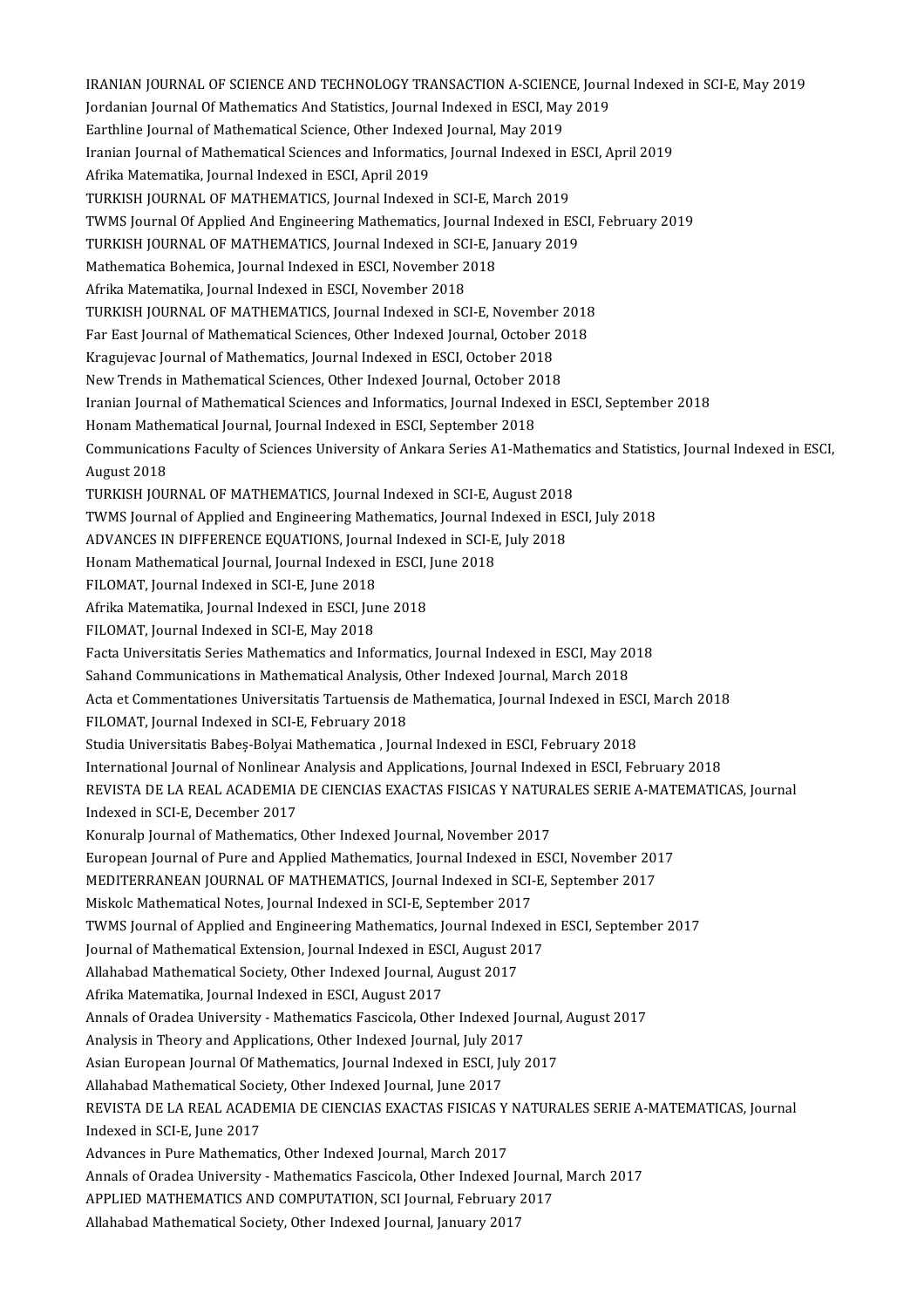IRANIAN JOURNAL OF SCIENCE AND TECHNOLOGY TRANSACTION A-SCIENCE, Journal Indexed in SCI-E, May 2019<br>Iordanian Journal Of Mathematics And Statistics Journal Indexed in ESCI, May 2019 IRANIAN JOURNAL OF SCIENCE AND TECHNOLOGY TRANSACTION A-SCIENCE, Journal<br>Jordanian Journal Of Mathematics And Statistics, Journal Indexed in ESCI, May 2019<br>Farthline Journal of Mathematical Science, Other Indexed Journal, IRANIAN JOURNAL OF SCIENCE AND TECHNOLOGY TRANSACTION A-SCIENC<br>Jordanian Journal Of Mathematics And Statistics, Journal Indexed in ESCI, May<br>Earthline Journal of Mathematical Science, Other Indexed Journal, May 2019<br>Irania Jordanian Journal Of Mathematics And Statistics, Journal Indexed in ESCI, May 2019<br>Earthline Journal of Mathematical Science, Other Indexed Journal, May 2019<br>Iranian Journal of Mathematical Sciences and Informatics, Journa Earthline Journal of Mathematical Science, Other Indexed Journal, May 2019<br>Iranian Journal of Mathematical Sciences and Informatics, Journal Indexed in<br>Afrika Matematika, Journal Indexed in ESCI, April 2019<br>TURKISH JOURNAL Iranian Journal of Mathematical Sciences and Informatics, Journal Indexed in I<br>Afrika Matematika, Journal Indexed in ESCI, April 2019<br>TURKISH JOURNAL OF MATHEMATICS, Journal Indexed in SCI-E, March 2019<br>TWMS Journal Of App Afrika Matematika, Journal Indexed in ESCI, April 2019<br>TURKISH JOURNAL OF MATHEMATICS, Journal Indexed in SCI-E, March 2019<br>TURKISH JOURNAL OF MATHEMATICS, Journal Indexed in SCI E, January 2019<br>TURKISH JOURNAL OF MATHEMAT TURKISH JOURNAL OF MATHEMATICS, Journal Indexed in SCI-E, March 2019<br>TWMS Journal Of Applied And Engineering Mathematics, Journal Indexed in ESO<br>TURKISH JOURNAL OF MATHEMATICS, Journal Indexed in SCI-E, January 2019<br>Mathem TWMS Journal Of Applied And Engineering Mathematics, Journal I<br>TURKISH JOURNAL OF MATHEMATICS, Journal Indexed in SCI-E, Ja<br>Mathematica Bohemica, Journal Indexed in ESCI, November 2018<br>Afrika Matematika, Journal Indexed in TURKISH JOURNAL OF MATHEMATICS, Journal Indexed in SCI-E, January 2019<br>Mathematica Bohemica, Journal Indexed in ESCI, November 2018<br>Afrika Matematika, Journal Indexed in ESCI, November 2018 Mathematica Bohemica, Journal Indexed in ESCI, November 2018<br>Afrika Matematika, Journal Indexed in ESCI, November 2018<br>TURKISH JOURNAL OF MATHEMATICS, Journal Indexed in SCI-E, November 2018<br>Ear East Journal of Mathematica Afrika Matematika, Journal Indexed in ESCI, November 2018<br>TURKISH JOURNAL OF MATHEMATICS, Journal Indexed in SCI-E, November 2018<br>Far East Journal of Mathematical Sciences, Other Indexed Journal, October 2018<br>Knasujayas Jo TURKISH JOURNAL OF MATHEMATICS, Journal Indexed in SCI-E, November<br>Far East Journal of Mathematical Sciences, Other Indexed Journal, October 2<br>Kragujevac Journal of Mathematics, Journal Indexed in ESCI, October 2018<br>Nau Tr Far East Journal of Mathematical Sciences, Other Indexed Journal, October 20<br>Kragujevac Journal of Mathematics, Journal Indexed in ESCI, October 2018<br>New Trends in Mathematical Sciences, Other Indexed Journal, October 2018 Kragujevac Journal of Mathematics, Journal Indexed in ESCI, October 2018<br>New Trends in Mathematical Sciences, Other Indexed Journal, October 2018<br>Iranian Journal of Mathematical Sciences and Informatics, Journal Indexed in New Trends in Mathematical Sciences, Other Indexed Journal, October 20<br>Iranian Journal of Mathematical Sciences and Informatics, Journal Indexe<br>Honam Mathematical Journal, Journal Indexed in ESCI, September 2018<br>Communicat Communications Faculty of Sciences University of Ankara Series A1-Mathematics and Statistics, Journal Indexed in ESCI,<br>August 2018 Honam Mathematical Journal, Journal Indexed in ESCI, September 2018 Communications Faculty of Sciences University of Ankara Series A1-Mathemati<br>August 2018<br>TURKISH JOURNAL OF MATHEMATICS, Journal Indexed in SCI-E, August 2018<br>TWMS Journal of Annlied and Engineering Mathematics, Journal Ind August 2018<br>TURKISH JOURNAL OF MATHEMATICS, Journal Indexed in SCI-E, August 2018<br>TWMS Journal of Applied and Engineering Mathematics, Journal Indexed in ESCI, July 2018<br>ADVANCES IN DIEEERENCE EQUATIONS, Journal Indexed in TURKISH JOURNAL OF MATHEMATICS, Journal Indexed in SCI-E, August 2018<br>TWMS Journal of Applied and Engineering Mathematics, Journal Indexed in E.<br>ADVANCES IN DIFFERENCE EQUATIONS, Journal Indexed in SCI-E, July 2018<br>Honom M TWMS Journal of Applied and Engineering Mathematics, Journal Indexed in ESCI, July 2018<br>ADVANCES IN DIFFERENCE EQUATIONS, Journal Indexed in SCI-E, July 2018<br>Honam Mathematical Journal, Journal Indexed in ESCI, June 2018<br>F ADVANCES IN DIFFERENCE EQUATIONS, Journal Indexed in SCI-E, July 2018 Honam Mathematical Journal, Journal Indexed in ESCI,<br>FILOMAT, Journal Indexed in SCI-E, June 2018<br>Afrika Matematika, Journal Indexed in ESCI, June 2018<br>FU OMAT, Journal Indexed in SCLE, May 2019 FILOMAT, Journal Indexed in SCI-E, June 2018<br>Afrika Matematika, Journal Indexed in ESCI, Jun<br>FILOMAT, Journal Indexed in SCI-E, May 2018<br>Fasta Universitatis Sories Mathematiss and Info Afrika Matematika, Journal Indexed in ESCI, June 2018<br>FILOMAT, Journal Indexed in SCI-E, May 2018<br>Facta Universitatis Series Mathematics and Informatics, Journal Indexed in ESCI, May 2018<br>Seband Communisations in Mathemati FILOMAT, Journal Indexed in SCI-E, May 2018<br>Facta Universitatis Series Mathematics and Informatics, Journal Indexed in ESCI, May 20<br>Sahand Communications in Mathematical Analysis, Other Indexed Journal, March 2018<br>Asta et Facta Universitatis Series Mathematics and Informatics, Journal Indexed in ESCI, May 2018<br>Sahand Communications in Mathematical Analysis, Other Indexed Journal, March 2018<br>Acta et Commentationes Universitatis Tartuensis de Sahand Communications in Mathematical Analysis, Other Indexed Journal, March 2018<br>Acta et Commentationes Universitatis Tartuensis de Mathematica, Journal Indexed in ESC<br>FILOMAT, Journal Indexed in SCI-E, February 2018<br>Stud Acta et Commentationes Universitatis Tartuensis de Mathematica, Journal Indexed in ESC<br>FILOMAT, Journal Indexed in SCI-E, February 2018<br>Studia Universitatis Babeș-Bolyai Mathematica , Journal Indexed in ESCI, February 2018 International Journal of Nonlinear Analysis and Applications, Journal Indexed in ESCI, February 2018 Studia Universitatis Babeș-Bolyai Mathematica , Journal Indexed in ESCI, February 2018<br>International Journal of Nonlinear Analysis and Applications, Journal Indexed in ESCI, February 2018<br>REVISTA DE LA REAL ACADEMIA DE CIE International Journal of Nonlinear<br>REVISTA DE LA REAL ACADEMIA<br>Indexed in SCI-E, December 2017<br>Konuraln Journal of Mathematics REVISTA DE LA REAL ACADEMIA DE CIENCIAS EXACTAS FISICAS Y NATUR<br>Indexed in SCI-E, December 2017<br>Konuralp Journal of Mathematics, Other Indexed Journal, November 2017<br>European Journal of Bure and Annlied Mathematics, Journa Indexed in SCI-E, December 2017<br>Konuralp Journal of Mathematics, Other Indexed Journal, November 2017<br>European Journal of Pure and Applied Mathematics, Journal Indexed in ESCI, November 2017<br>MEDITERRANEAN JOURNAL OF MATHEM Konuralp Journal of Mathematics, Other Indexed Journal, November 2017<br>European Journal of Pure and Applied Mathematics, Journal Indexed in ESCI, November 201<br>MEDITERRANEAN JOURNAL OF MATHEMATICS, Journal Indexed in SCI-E, European Journal of Pure and Applied Mathematics, Journal Indexed in<br>MEDITERRANEAN JOURNAL OF MATHEMATICS, Journal Indexed in SCI-<br>Miskolc Mathematical Notes, Journal Indexed in SCI-E, September 2017<br>TWMS Journal of Applie MEDITERRANEAN JOURNAL OF MATHEMATICS, Journal Indexed in SCI-E, September 2017<br>Miskolc Mathematical Notes, Journal Indexed in SCI-E, September 2017<br>TWMS Journal of Applied and Engineering Mathematics, Journal Indexed in ES Miskolc Mathematical Notes, Journal Indexed in SCI-E, September 2017<br>TWMS Journal of Applied and Engineering Mathematics, Journal Indexed<br>Journal of Mathematical Extension, Journal Indexed in ESCI, August 2017<br>Allahabed Ma TWMS Journal of Applied and Engineering Mathematics, Journal Index<br>Journal of Mathematical Extension, Journal Indexed in ESCI, August 20<br>Allahabad Mathematical Society, Other Indexed Journal, August 2017<br>Afrika Matematika Journal of Mathematical Extension, Journal Indexed in ESCI, August 2017<br>Allahabad Mathematical Society, Other Indexed Journal, August 2017<br>Afrika Matematika, Journal Indexed in ESCI, August 2017 Allahabad Mathematical Society, Other Indexed Journal, August 2017<br>Afrika Matematika, Journal Indexed in ESCI, August 2017<br>Annals of Oradea University - Mathematics Fascicola, Other Indexed Journal, August 2017<br>Analysis in Afrika Matematika, Journal Indexed in ESCI, August 2017<br>Annals of Oradea University - Mathematics Fascicola, Other Indexed Journal, July<br>Analysis in Theory and Applications, Other Indexed Journal, July 2017<br>Asian Euronean Annals of Oradea University - Mathematics Fascicola, Other Indexed Journal,<br>Analysis in Theory and Applications, Other Indexed Journal, July 2017<br>Asian European Journal Of Mathematics, Journal Indexed in ESCI, July 2017<br>Al Analysis in Theory and Applications, Other Indexed Journal, July 2017<br>Asian European Journal Of Mathematics, Journal Indexed in ESCI, July 2017<br>Allahabad Mathematical Society, Other Indexed Iournal, Iune 2017 Asian European Journal Of Mathematics, Journal Indexed in ESCI, July 2017<br>Allahabad Mathematical Society, Other Indexed Journal, June 2017<br>REVISTA DE LA REAL ACADEMIA DE CIENCIAS EXACTAS FISICAS Y NATURALES SERIE A-MATEMAT Allahabad Mathematical Soci<br>REVISTA DE LA REAL ACADI<br>Indexed in SCI-E, June 2017<br>Advances in Bure Mathemati REVISTA DE LA REAL ACADEMIA DE CIENCIAS EXACTAS FISICAS Y<br>Indexed in SCI-E, June 2017<br>Advances in Pure Mathematics, Other Indexed Journal, March 2017<br>Annals of Orades University, Mathematics Eassicals, Other Indexed Indexed in SCI-E, June 2017<br>Advances in Pure Mathematics, Other Indexed Journal, March 2017<br>Annals of Oradea University - Mathematics Fascicola, Other Indexed Journal, March 2017 Advances in Pure Mathematics, Other Indexed Journal, March 2017<br>Annals of Oradea University - Mathematics Fascicola, Other Indexed Journal<br>APPLIED MATHEMATICS AND COMPUTATION, SCI Journal, February 2017<br>Allababed Mathemati Annals of Oradea University - Mathematics Fascicola, Other Indexed Jo<br>APPLIED MATHEMATICS AND COMPUTATION, SCI Journal, February<br>Allahabad Mathematical Society, Other Indexed Journal, January 2017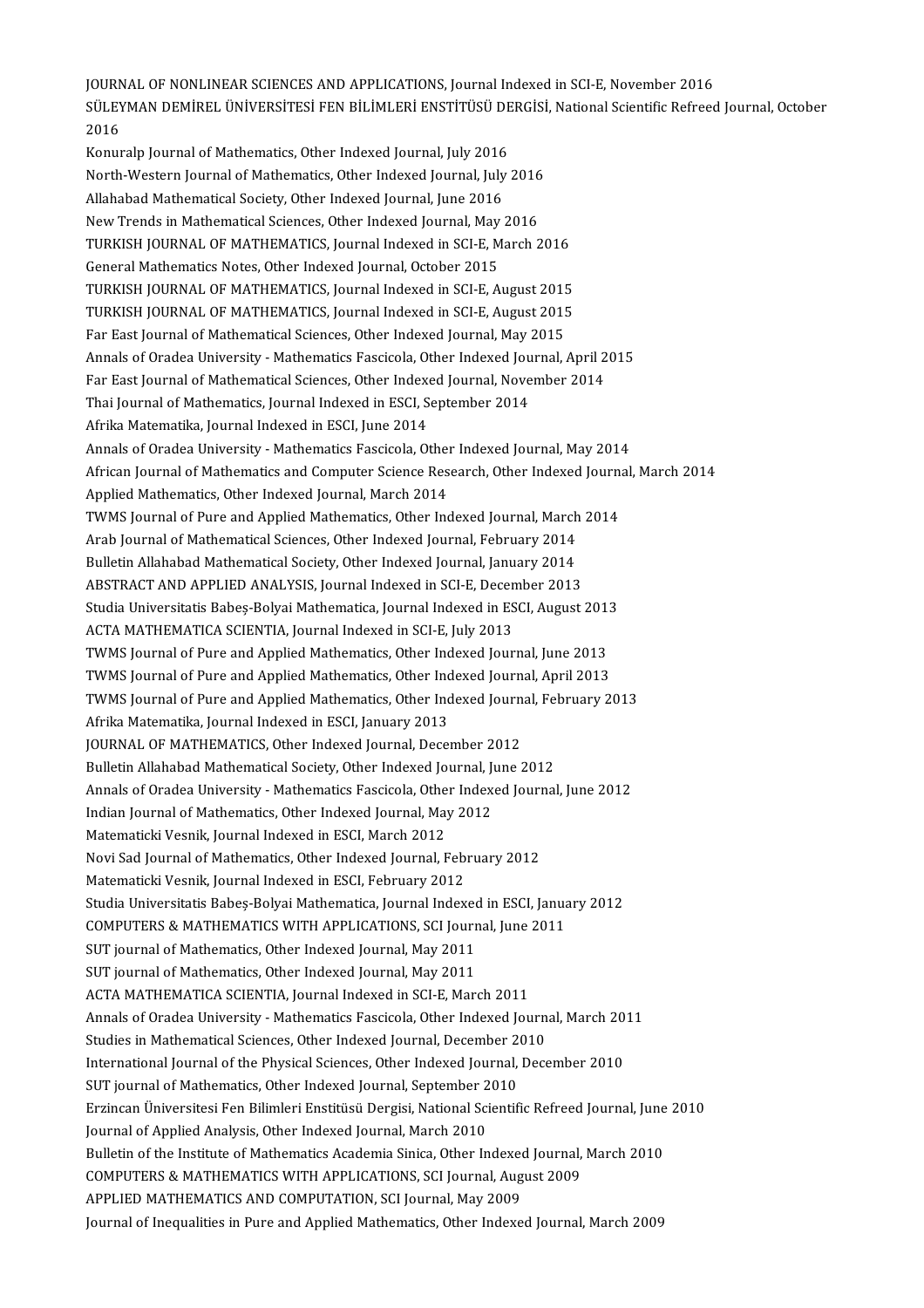JOURNAL OF NONLINEAR SCIENCES AND APPLICATIONS, Journal Indexed in SCI-E, November 2016 JOURNAL OF NONLINEAR SCIENCES AND APPLICATIONS, Journal Indexed in SCI-E, November 2016<br>SÜLEYMAN DEMİREL ÜNİVERSİTESİ FEN BİLİMLERİ ENSTİTÜSÜ DERGİSİ, National Scientific Refreed Journal, October JOURN<br>SÜLEY<br>2016<br>Kanur SÜLEYMAN DEMİREL ÜNİVERSİTESİ FEN BİLİMLERİ ENSTİTÜSÜ DE<br>2016<br>Konuralp Journal of Mathematics, Other Indexed Journal, July 2016<br>Narth Westam Journal of Mathematics, Other Indexed Journal, July

2016<br>Konuralp Journal of Mathematics, Other Indexed Journal, July 2016<br>North-Western Journal of Mathematics, Other Indexed Journal, July 2016<br>Allababed Mathematical Society, Other Indexed Journal, June 2016 Konuralp Journal of Mathematics, Other Indexed Journal, July 2016<br>North-Western Journal of Mathematics, Other Indexed Journal, July<br>Allahabad Mathematical Society, Other Indexed Journal, June 2016 North-Western Journal of Mathematics, Other Indexed Journal, July 2016<br>Allahabad Mathematical Society, Other Indexed Journal, June 2016<br>New Trends in Mathematical Sciences, Other Indexed Journal, May 2016<br>TURKISH JOURNAL O Allahabad Mathematical Society, Other Indexed Journal, June 2016<br>New Trends in Mathematical Sciences, Other Indexed Journal, May 2016<br>TURKISH JOURNAL OF MATHEMATICS, Journal Indexed in SCI-E, March 2016<br>Conaral Mathematics New Trends in Mathematical Sciences, Other Indexed Journal, May<br>TURKISH JOURNAL OF MATHEMATICS, Journal Indexed in SCI-E, M<br>General Mathematics Notes, Other Indexed Journal, October 2015<br>TURKISH JOURNAL OF MATHEMATICS, Jou TURKISH JOURNAL OF MATHEMATICS, Journal Indexed in SCI-E, March 2016<br>General Mathematics Notes, Other Indexed Journal, October 2015<br>TURKISH JOURNAL OF MATHEMATICS, Journal Indexed in SCI-E, August 2015<br>TURKISH JOURNAL OF M General Mathematics Notes, Other Indexed Journal, October 2015<br>TURKISH JOURNAL OF MATHEMATICS, Journal Indexed in SCI-E, August 2015<br>TURKISH JOURNAL OF MATHEMATICS, Journal Indexed in SCI-E, August 2015<br>Far Fast Journal of TURKISH JOURNAL OF MATHEMATICS, Journal Indexed in SCI-E, August 2015<br>TURKISH JOURNAL OF MATHEMATICS, Journal Indexed in SCI-E, August 2015<br>Far East Journal of Mathematical Sciences, Other Indexed Journal, May 2015<br>Annals TURKISH JOURNAL OF MATHEMATICS, Journal Indexed in SCI-E, August 2015<br>Far East Journal of Mathematical Sciences, Other Indexed Journal, May 2015<br>Annals of Oradea University - Mathematics Fascicola, Other Indexed Journal, A Far East Journal of Mathematical Sciences, Other Indexed Journal, May 2015<br>Annals of Oradea University - Mathematics Fascicola, Other Indexed Journal, April 2<br>Far East Journal of Mathematical Sciences, Other Indexed Journa Annals of Oradea University - Mathematics Fascicola, Other Indexed Journal<br>Far East Journal of Mathematical Sciences, Other Indexed Journal, Nove<br>Thai Journal of Mathematics, Journal Indexed in ESCI, September 2014<br>Afrika Far East Journal of Mathematical Sciences, Other Index<br>Thai Journal of Mathematics, Journal Indexed in ESCI, S<br>Afrika Matematika, Journal Indexed in ESCI, June 2014<br>Annals of Oradea University, Mathematics Essaisels, Of Thai Journal of Mathematics, Journal Indexed in ESCI, September 2014<br>Afrika Matematika, Journal Indexed in ESCI, June 2014<br>Annals of Oradea University - Mathematics Fascicola, Other Indexed Journal, May 2014 African Journal of Mathematics and Computer Science Research, Other Indexed Journal, March 2014 Applied Mathematics, Other Indexed Journal, March 2014 African Journal of Mathematics and Computer Science Research, Other Indexed Journal<br>Applied Mathematics, Other Indexed Journal, March 2014<br>TWMS Journal of Pure and Applied Mathematics, Other Indexed Journal, March 2014<br>Are Applied Mathematics, Other Indexed Journal, March 2014<br>TWMS Journal of Pure and Applied Mathematics, Other Indexed Journal, March<br>Arab Journal of Mathematical Sciences, Other Indexed Journal, February 2014<br>Pulletin Allabab TWMS Journal of Pure and Applied Mathematics, Other Indexed Journal, March<br>Arab Journal of Mathematical Sciences, Other Indexed Journal, February 2014<br>Bulletin Allahabad Mathematical Society, Other Indexed Journal, January Arab Journal of Mathematical Sciences, Other Indexed Journal, February 2014<br>Bulletin Allahabad Mathematical Society, Other Indexed Journal, January 2014<br>ABSTRACT AND APPLIED ANALYSIS, Journal Indexed in SCI-E, December 201 Bulletin Allahabad Mathematical Society, Other Indexed Journal, January 2014<br>ABSTRACT AND APPLIED ANALYSIS, Journal Indexed in SCI-E, December 2013<br>Studia Universitatis Babeș-Bolyai Mathematica, Journal Indexed in ESCI, Au ABSTRACT AND APPLIED ANALYSIS, Journal Indexed in SCI-E, Decen<br>Studia Universitatis Babeş-Bolyai Mathematica, Journal Indexed in ES<br>ACTA MATHEMATICA SCIENTIA, Journal Indexed in SCI-E, July 2013<br>TWMS Journal of Bure and Ap Studia Universitatis Babeş-Bolyai Mathematica, Journal Indexed in ESCI, August 2013<br>ACTA MATHEMATICA SCIENTIA, Journal Indexed in SCI-E, July 2013<br>TWMS Journal of Pure and Applied Mathematics, Other Indexed Journal, June 2 TWMS Journal of Pure and Applied Mathematics, Other Indexed Journal, April 2013 TWMS Journal of Pure and Applied Mathematics, Other Indexed Journal, June 2013<br>TWMS Journal of Pure and Applied Mathematics, Other Indexed Journal, April 2013<br>TWMS Journal of Pure and Applied Mathematics, Other Indexed Jou Afrika Matematika, Journal Indexed in ESCI, January 2013 TWMS Journal of Pure and Applied Mathematics, Other Indexed Journ<br>Afrika Matematika, Journal Indexed in ESCI, January 2013<br>JOURNAL OF MATHEMATICS, Other Indexed Journal, December 2012<br>Pulletin Allababed Mathematical Seciet JOURNAL OF MATHEMATICS, Other Indexed Journal, December 2012<br>Bulletin Allahabad Mathematical Society, Other Indexed Journal, June 2012 JOURNAL OF MATHEMATICS, Other Indexed Journal, December 2012<br>Bulletin Allahabad Mathematical Society, Other Indexed Journal, June 2012<br>Annals of Oradea University - Mathematics Fascicola, Other Indexed Journal, June 2012<br>I Bulletin Allahabad Mathematical Society, Other Indexed Journal, J<br>Annals of Oradea University - Mathematics Fascicola, Other Index<br>Indian Journal of Mathematics, Other Indexed Journal, May 2012<br>Matematicki Vesnik Journal I Annals of Oradea University - Mathematics Fascicola, Othe<br>Indian Journal of Mathematics, Other Indexed Journal, May<br>Matematicki Vesnik, Journal Indexed in ESCI, March 2012<br>Navi Sed Journal of Mathematics, Other Indexed Jou Indian Journal of Mathematics, Other Indexed Journal, May 2012<br>Matematicki Vesnik, Journal Indexed in ESCI, March 2012<br>Novi Sad Journal of Mathematics, Other Indexed Journal, February 2012<br>Matematicki Vesnik, Journal Index Matematicki Vesnik, Journal Indexed in ESCI, March 2012<br>Novi Sad Journal of Mathematics, Other Indexed Journal, Febr<br>Matematicki Vesnik, Journal Indexed in ESCI, February 2012<br>Studie Universitatie Babes Bolyai Mathematics, Matematicki Vesnik, Journal Indexed in ESCI, February 2012<br>Studia Universitatis Babeș-Bolyai Mathematica, Journal Indexed in ESCI, January 2012 Matematicki Vesnik, Journal Indexed in ESCI, February 2012<br>Studia Universitatis Babeş-Bolyai Mathematica, Journal Indexed in ESCI, Janua<br>COMPUTERS & MATHEMATICS WITH APPLICATIONS, SCI Journal, June 2011<br>SUT iournal of Math Studia Universitatis Babeș-Bolyai Mathematica, Journal Indexed<br>COMPUTERS & MATHEMATICS WITH APPLICATIONS, SCI Journ<br>SUT journal of Mathematics, Other Indexed Journal, May 2011<br>SUT journal of Mathematics, Other Indexed Jour COMPUTERS & MATHEMATICS WITH APPLICATIONS, SCI Journ<br>SUT journal of Mathematics, Other Indexed Journal, May 2011<br>SUT journal of Mathematics, Other Indexed Journal, May 2011<br>ACTA MATHEMATICA SCIENTIA, Journal Indoved in SCL SUT journal of Mathematics, Other Indexed Journal, May 2011<br>SUT journal of Mathematics, Other Indexed Journal, May 2011<br>ACTA MATHEMATICA SCIENTIA, Journal Indexed in SCI-E, March 2011<br>Annals of Oradaa University, Mathemati SUT journal of Mathematics, Other Indexed Journal, May 2011<br>ACTA MATHEMATICA SCIENTIA, Journal Indexed in SCI-E, March 2011<br>Annals of Oradea University - Mathematics Fascicola, Other Indexed Journal, March 2011<br>Studies in ACTA MATHEMATICA SCIENTIA, Journal Indexed in SCI-E, March 2011<br>Annals of Oradea University - Mathematics Fascicola, Other Indexed Journ<br>Studies in Mathematical Sciences, Other Indexed Journal, December 2010<br>International Annals of Oradea University - Mathematics Fascicola, Other Indexed Journal, March 20<br>Studies in Mathematical Sciences, Other Indexed Journal, December 2010<br>International Journal of the Physical Sciences, Other Indexed Jour Studies in Mathematical Sciences, Other Indexed Journal, December 2<br>International Journal of the Physical Sciences, Other Indexed Journal,<br>SUT journal of Mathematics, Other Indexed Journal, September 2010<br>Erringen Universi International Journal of the Physical Sciences, Other Indexed Journal, December 2010<br>SUT journal of Mathematics, Other Indexed Journal, September 2010<br>Erzincan Üniversitesi Fen Bilimleri Enstitüsü Dergisi, National Scienti SUT journal of Mathematics, Other Indexed Journal, September 2<br>Erzincan Üniversitesi Fen Bilimleri Enstitüsü Dergisi, National Sci<br>Journal of Applied Analysis, Other Indexed Journal, March 2010<br>Bulletin of the Institute of Brzincan Üniversitesi Fen Bilimleri Enstitüsü Dergisi, National Scientific Refreed Journal, June<br>Journal of Applied Analysis, Other Indexed Journal, March 2010<br>Bulletin of the Institute of Mathematics Academia Sinica, Othe Journal of Applied Analysis, Other Indexed Journal, March 2010<br>Bulletin of the Institute of Mathematics Academia Sinica, Other Indexed Journal,<br>COMPUTERS & MATHEMATICS WITH APPLICATIONS, SCI Journal, August 2009<br>APPLIED MA Bulletin of the Institute of Mathematics Academia Sinica, Other Indexed<br>COMPUTERS & MATHEMATICS WITH APPLICATIONS, SCI Journal, Aug<br>APPLIED MATHEMATICS AND COMPUTATION, SCI Journal, May 2009<br>Journal of Inquisities in Pure APPLIED MATHEMATICS AND COMPUTATION, SCI Journal, May 2009<br>Journal of Inequalities in Pure and Applied Mathematics, Other Indexed Journal, March 2009